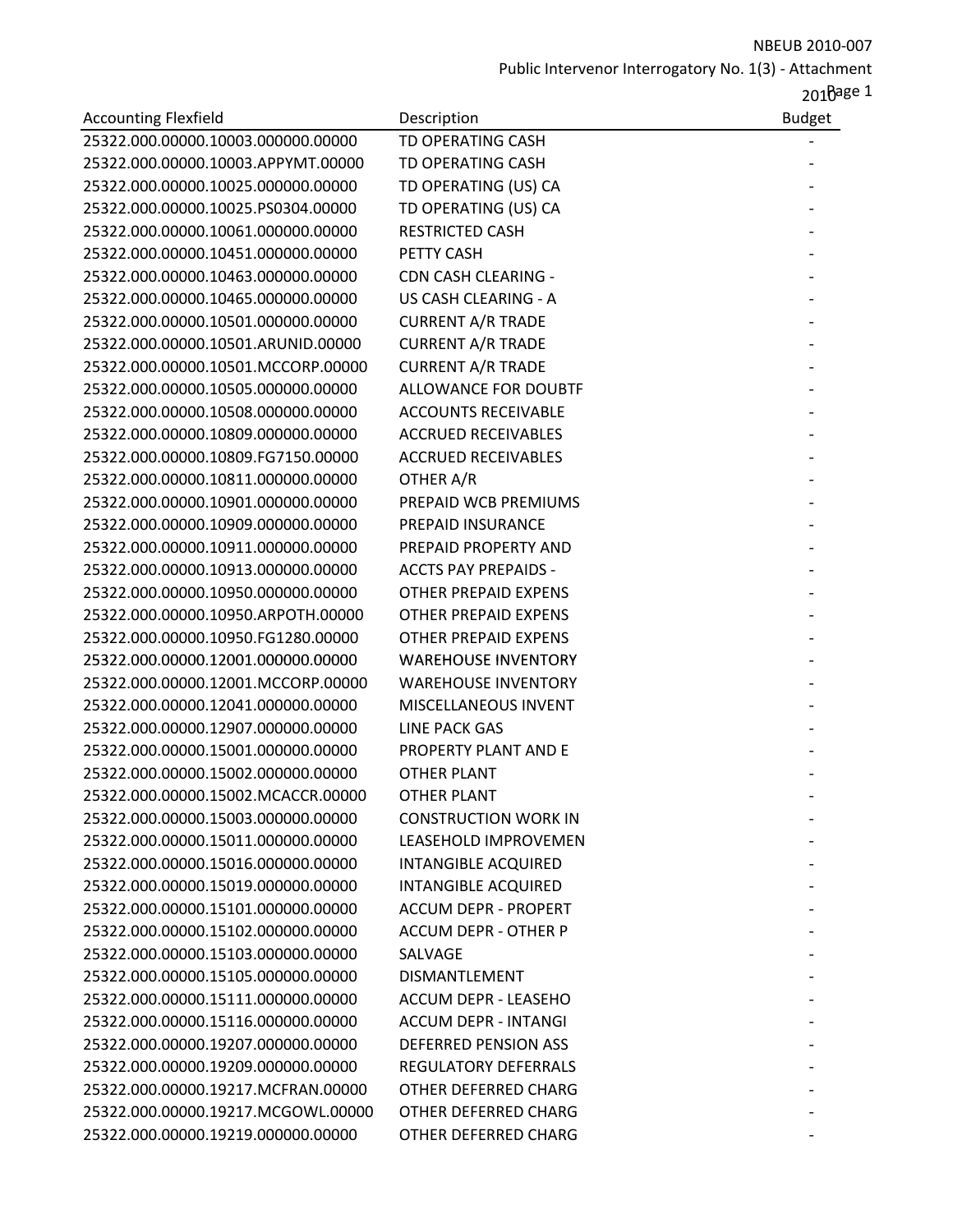|                                    |                             | 2010age 1     |
|------------------------------------|-----------------------------|---------------|
| <b>Accounting Flexfield</b>        | Description                 | <b>Budget</b> |
| 25322.000.00000.10003.000000.00000 | TD OPERATING CASH           |               |
| 25322.000.00000.10003.APPYMT.00000 | TD OPERATING CASH           |               |
| 25322.000.00000.10025.000000.00000 | TD OPERATING (US) CA        |               |
| 25322.000.00000.10025.PS0304.00000 | TD OPERATING (US) CA        |               |
| 25322.000.00000.10061.000000.00000 | <b>RESTRICTED CASH</b>      |               |
| 25322.000.00000.10451.000000.00000 | PETTY CASH                  |               |
| 25322.000.00000.10463.000000.00000 | <b>CDN CASH CLEARING -</b>  |               |
| 25322.000.00000.10465.000000.00000 | US CASH CLEARING - A        |               |
| 25322.000.00000.10501.000000.00000 | <b>CURRENT A/R TRADE</b>    |               |
| 25322.000.00000.10501.ARUNID.00000 | <b>CURRENT A/R TRADE</b>    |               |
| 25322.000.00000.10501.MCCORP.00000 | <b>CURRENT A/R TRADE</b>    |               |
| 25322.000.00000.10505.000000.00000 | ALLOWANCE FOR DOUBTF        |               |
| 25322.000.00000.10508.000000.00000 | <b>ACCOUNTS RECEIVABLE</b>  |               |
| 25322.000.00000.10809.000000.00000 | <b>ACCRUED RECEIVABLES</b>  |               |
| 25322.000.00000.10809.FG7150.00000 | <b>ACCRUED RECEIVABLES</b>  |               |
| 25322.000.00000.10811.000000.00000 | OTHER A/R                   |               |
| 25322.000.00000.10901.000000.00000 | PREPAID WCB PREMIUMS        |               |
| 25322.000.00000.10909.000000.00000 | PREPAID INSURANCE           |               |
| 25322.000.00000.10911.000000.00000 | PREPAID PROPERTY AND        |               |
| 25322.000.00000.10913.000000.00000 | <b>ACCTS PAY PREPAIDS -</b> |               |
| 25322.000.00000.10950.000000.00000 | <b>OTHER PREPAID EXPENS</b> |               |
| 25322.000.00000.10950.ARPOTH.00000 | <b>OTHER PREPAID EXPENS</b> |               |
| 25322.000.00000.10950.FG1280.00000 | <b>OTHER PREPAID EXPENS</b> |               |
| 25322.000.00000.12001.000000.00000 | <b>WAREHOUSE INVENTORY</b>  |               |
| 25322.000.00000.12001.MCCORP.00000 | <b>WAREHOUSE INVENTORY</b>  |               |
| 25322.000.00000.12041.000000.00000 | MISCELLANEOUS INVENT        |               |
| 25322.000.00000.12907.000000.00000 | <b>LINE PACK GAS</b>        |               |
| 25322.000.00000.15001.000000.00000 | PROPERTY PLANT AND E        |               |
| 25322.000.00000.15002.000000.00000 | <b>OTHER PLANT</b>          |               |
| 25322.000.00000.15002.MCACCR.00000 | <b>OTHER PLANT</b>          |               |
| 25322.000.00000.15003.000000.00000 | <b>CONSTRUCTION WORK IN</b> |               |
| 25322.000.00000.15011.000000.00000 | LEASEHOLD IMPROVEMEN        |               |
| 25322.000.00000.15016.000000.00000 | <b>INTANGIBLE ACQUIRED</b>  |               |
| 25322.000.00000.15019.000000.00000 | <b>INTANGIBLE ACQUIRED</b>  |               |
| 25322.000.00000.15101.000000.00000 | <b>ACCUM DEPR - PROPERT</b> |               |
| 25322.000.00000.15102.000000.00000 | <b>ACCUM DEPR - OTHER P</b> |               |
| 25322.000.00000.15103.000000.00000 | SALVAGE                     |               |
| 25322.000.00000.15105.000000.00000 | <b>DISMANTLEMENT</b>        |               |
| 25322.000.00000.15111.000000.00000 | ACCUM DEPR - LEASEHO        |               |
| 25322.000.00000.15116.000000.00000 | <b>ACCUM DEPR - INTANGI</b> |               |
| 25322.000.00000.19207.000000.00000 | <b>DEFERRED PENSION ASS</b> |               |
| 25322.000.00000.19209.000000.00000 | <b>REGULATORY DEFERRALS</b> |               |
| 25322.000.00000.19217.MCFRAN.00000 | OTHER DEFERRED CHARG        |               |
| 25322.000.00000.19217.MCGOWL.00000 | OTHER DEFERRED CHARG        |               |
| 25322.000.00000.19219.000000.00000 | OTHER DEFERRED CHARG        |               |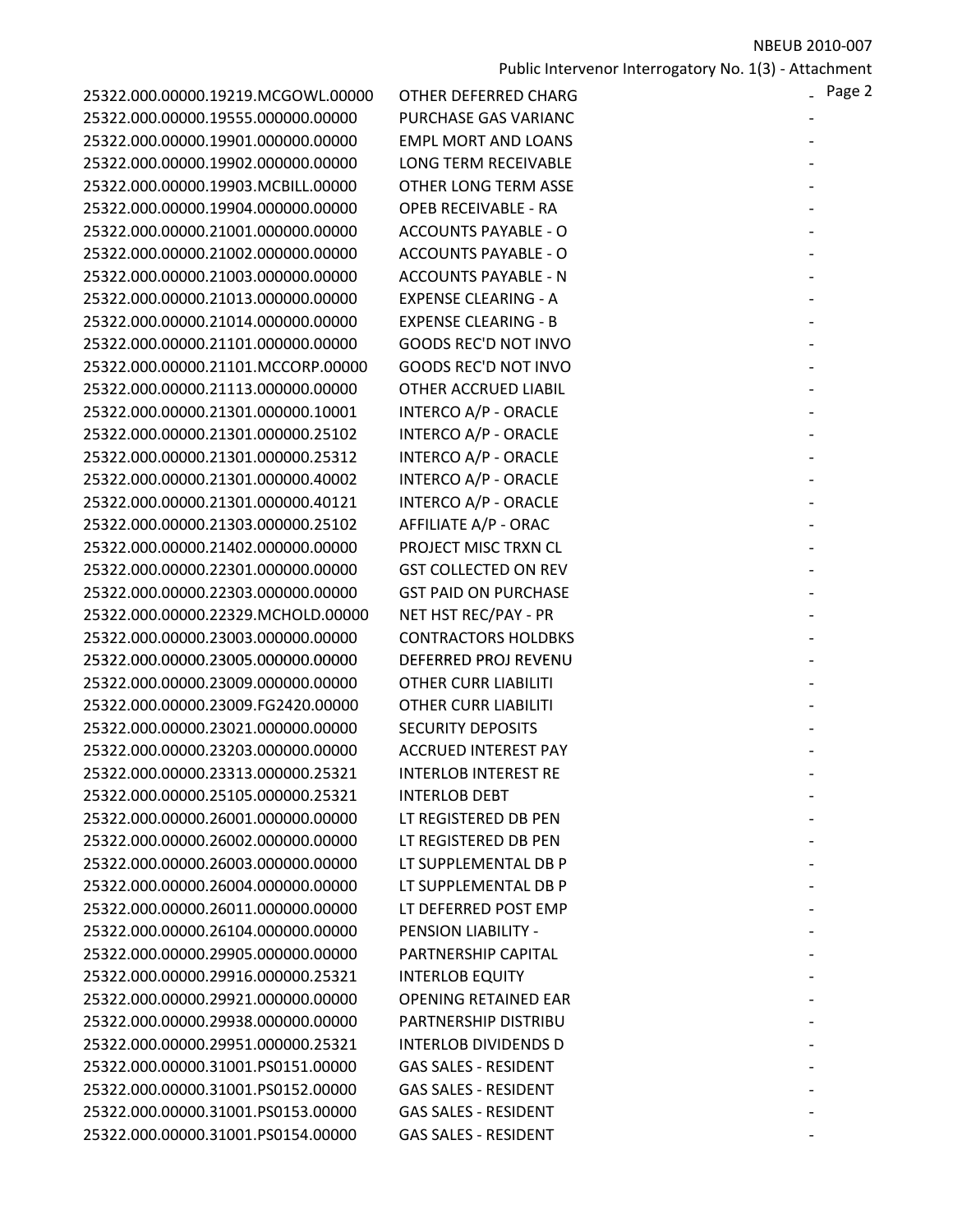| 25322.000.00000.19219.MCGOWL.00000 | OTHER DEFERRED CHARG        |
|------------------------------------|-----------------------------|
| 25322.000.00000.19555.000000.00000 | PURCHASE GAS VARIANO        |
| 25322.000.00000.19901.000000.00000 | <b>EMPL MORT AND LOANS</b>  |
| 25322.000.00000.19902.000000.00000 | LONG TERM RECEIVABLE        |
| 25322.000.00000.19903.MCBILL.00000 | <b>OTHER LONG TERM ASSE</b> |
| 25322.000.00000.19904.000000.00000 | <b>OPEB RECEIVABLE - RA</b> |
| 25322.000.00000.21001.000000.00000 | <b>ACCOUNTS PAYABLE - O</b> |
| 25322.000.00000.21002.000000.00000 | <b>ACCOUNTS PAYABLE - O</b> |
| 25322.000.00000.21003.000000.00000 | <b>ACCOUNTS PAYABLE - N</b> |
| 25322.000.00000.21013.000000.00000 | <b>EXPENSE CLEARING - A</b> |
| 25322.000.00000.21014.000000.00000 | <b>EXPENSE CLEARING - B</b> |
| 25322.000.00000.21101.000000.00000 | <b>GOODS REC'D NOT INVO</b> |
| 25322.000.00000.21101.MCCORP.00000 | <b>GOODS REC'D NOT INVO</b> |
| 25322.000.00000.21113.000000.00000 | OTHER ACCRUED LIABIL        |
| 25322.000.00000.21301.000000.10001 | <b>INTERCO A/P - ORACLE</b> |
| 25322.000.00000.21301.000000.25102 | INTERCO A/P - ORACLE        |
| 25322.000.00000.21301.000000.25312 | INTERCO A/P - ORACLE        |
| 25322.000.00000.21301.000000.40002 | INTERCO A/P - ORACLE        |
| 25322.000.00000.21301.000000.40121 | <b>INTERCO A/P - ORACLE</b> |
| 25322.000.00000.21303.000000.25102 | <b>AFFILIATE A/P - ORAC</b> |
| 25322.000.00000.21402.000000.00000 | PROJECT MISC TRXN CL        |
| 25322.000.00000.22301.000000.00000 | <b>GST COLLECTED ON REV</b> |
| 25322.000.00000.22303.000000.00000 | <b>GST PAID ON PURCHASE</b> |
| 25322.000.00000.22329.MCHOLD.00000 | NET HST REC/PAY - PR        |
| 25322.000.00000.23003.000000.00000 | <b>CONTRACTORS HOLDBKS</b>  |
| 25322.000.00000.23005.000000.00000 | DEFERRED PROJ REVENU        |
| 25322.000.00000.23009.000000.00000 | OTHER CURR LIABILITI        |
| 25322.000.00000.23009.FG2420.00000 | <b>OTHER CURR LIABILITI</b> |
| 25322.000.00000.23021.000000.00000 | <b>SECURITY DEPOSITS</b>    |
| 25322.000.00000.23203.000000.00000 | <b>ACCRUED INTEREST PAY</b> |
| 25322.000.00000.23313.000000.25321 | <b>INTERLOB INTEREST RE</b> |
| 25322.000.00000.25105.000000.25321 | <b>INTERLOB DEBT</b>        |
| 25322.000.00000.26001.000000.00000 | LT REGISTERED DB PEN        |
| 25322.000.00000.26002.000000.00000 | LT REGISTERED DB PEN        |
| 25322.000.00000.26003.000000.00000 | LT SUPPLEMENTAL DB P        |
| 25322.000.00000.26004.000000.00000 | LT SUPPLEMENTAL DB P        |
| 25322.000.00000.26011.000000.00000 | LT DEFERRED POST EMP        |
| 25322.000.00000.26104.000000.00000 | <b>PENSION LIABILITY -</b>  |
| 25322.000.00000.29905.000000.00000 | PARTNERSHIP CAPITAL         |
| 25322.000.00000.29916.000000.25321 | <b>INTERLOB EQUITY</b>      |
| 25322.000.00000.29921.000000.00000 | <b>OPENING RETAINED EAR</b> |
| 25322.000.00000.29938.000000.00000 | <b>PARTNERSHIP DISTRIBU</b> |
| 25322.000.00000.29951.000000.25321 | <b>INTERLOB DIVIDENDS D</b> |
| 25322.000.00000.31001.PS0151.00000 | <b>GAS SALES - RESIDENT</b> |
| 25322.000.00000.31001.PS0152.00000 | <b>GAS SALES - RESIDENT</b> |
| 25322.000.00000.31001.PS0153.00000 | <b>GAS SALES - RESIDENT</b> |
| 25322.000.00000.31001.PS0154.00000 | <b>GAS SALES - RESIDENT</b> |
|                                    |                             |

| 25322.000.00000.19219.MCGOWL.00000 | <b>OTHER DEFERRED CHARG</b> | - Page 2 |
|------------------------------------|-----------------------------|----------|
| 25322.000.00000.19555.000000.00000 | PURCHASE GAS VARIANC        |          |
| 25322.000.00000.19901.000000.00000 | <b>EMPL MORT AND LOANS</b>  |          |
| 25322.000.00000.19902.000000.00000 | <b>LONG TERM RECEIVABLE</b> |          |
| 25322.000.00000.19903.MCBILL.00000 | <b>OTHER LONG TERM ASSE</b> |          |
| 25322.000.00000.19904.000000.00000 | <b>OPEB RECEIVABLE - RA</b> |          |
| 25322.000.00000.21001.000000.00000 | <b>ACCOUNTS PAYABLE - O</b> |          |
| 25322.000.00000.21002.000000.00000 | <b>ACCOUNTS PAYABLE - O</b> |          |
| 25322.000.00000.21003.000000.00000 | <b>ACCOUNTS PAYABLE - N</b> |          |
| 25322.000.00000.21013.000000.00000 | <b>EXPENSE CLEARING - A</b> |          |
| 25322.000.00000.21014.000000.00000 | <b>EXPENSE CLEARING - B</b> |          |
| 25322.000.00000.21101.000000.00000 | <b>GOODS REC'D NOT INVO</b> |          |
| 25322.000.00000.21101.MCCORP.00000 | <b>GOODS REC'D NOT INVO</b> |          |
| 25322.000.00000.21113.000000.00000 | <b>OTHER ACCRUED LIABIL</b> |          |
| 25322.000.00000.21301.000000.10001 | INTERCO A/P - ORACLE        |          |
| 25322.000.00000.21301.000000.25102 | <b>INTERCO A/P - ORACLE</b> |          |
| 25322.000.00000.21301.000000.25312 | INTERCO A/P - ORACLE        |          |
| 25322.000.00000.21301.000000.40002 | <b>INTERCO A/P - ORACLE</b> |          |
| 25322.000.00000.21301.000000.40121 | <b>INTERCO A/P - ORACLE</b> |          |
| 25322.000.00000.21303.000000.25102 | AFFILIATE A/P - ORAC        |          |
| 25322.000.00000.21402.000000.00000 | PROJECT MISC TRXN CL        |          |
| 25322.000.00000.22301.000000.00000 | <b>GST COLLECTED ON REV</b> |          |
| 25322.000.00000.22303.000000.00000 | <b>GST PAID ON PURCHASE</b> |          |
| 25322.000.00000.22329.MCHOLD.00000 | NET HST REC/PAY - PR        |          |
| 25322.000.00000.23003.000000.00000 | <b>CONTRACTORS HOLDBKS</b>  |          |
| 25322.000.00000.23005.000000.00000 | DEFERRED PROJ REVENU        |          |
| 25322.000.00000.23009.000000.00000 | <b>OTHER CURR LIABILITI</b> |          |
| 25322.000.00000.23009.FG2420.00000 | <b>OTHER CURR LIABILITI</b> |          |
| 25322.000.00000.23021.000000.00000 | <b>SECURITY DEPOSITS</b>    |          |
| 25322.000.00000.23203.000000.00000 | <b>ACCRUED INTEREST PAY</b> |          |
| 25322.000.00000.23313.000000.25321 | <b>INTERLOB INTEREST RE</b> |          |
| 25322.000.00000.25105.000000.25321 | <b>INTERLOB DEBT</b>        |          |
| 25322.000.00000.26001.000000.00000 | LT REGISTERED DB PEN        |          |
| 25322.000.00000.26002.000000.00000 | LT REGISTERED DB PEN        |          |
| 25322.000.00000.26003.000000.00000 | LT SUPPLEMENTAL DB P        |          |
| 25322.000.00000.26004.000000.00000 | LT SUPPLEMENTAL DB P        |          |
| 25322.000.00000.26011.000000.00000 | LT DEFERRED POST EMP        |          |
| 25322.000.00000.26104.000000.00000 | PENSION LIABILITY -         |          |
| 25322.000.00000.29905.000000.00000 | PARTNERSHIP CAPITAL         |          |
| 25322.000.00000.29916.000000.25321 | <b>INTERLOB EQUITY</b>      |          |
| 25322.000.00000.29921.000000.00000 | <b>OPENING RETAINED EAR</b> |          |
| 25322.000.00000.29938.000000.00000 | PARTNERSHIP DISTRIBU        |          |
| 25322.000.00000.29951.000000.25321 | <b>INTERLOB DIVIDENDS D</b> |          |
| 25322.000.00000.31001.PS0151.00000 | <b>GAS SALES - RESIDENT</b> |          |
| 25322.000.00000.31001.PS0152.00000 | <b>GAS SALES - RESIDENT</b> |          |
| 25322.000.00000.31001.PS0153.00000 | <b>GAS SALES - RESIDENT</b> |          |
| 25322.000.00000.31001.PS0154.00000 | <b>GAS SALES - RESIDENT</b> |          |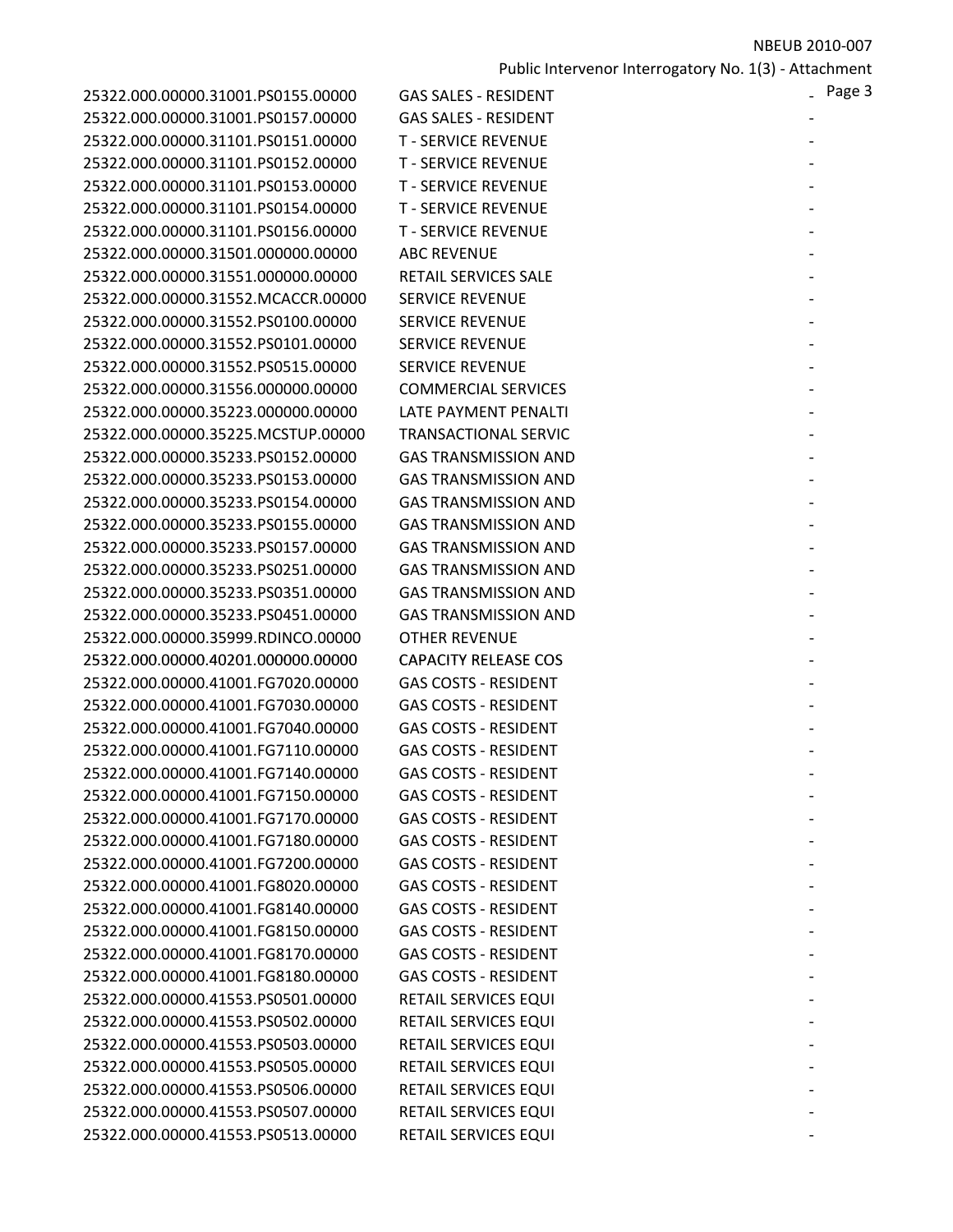| 25322.000.00000.31001.PS0155.00000 | <b>GAS SALES - RESIDENT</b> | Page 3 |
|------------------------------------|-----------------------------|--------|
| 25322.000.00000.31001.PS0157.00000 | <b>GAS SALES - RESIDENT</b> |        |
| 25322.000.00000.31101.PS0151.00000 | <b>T - SERVICE REVENUE</b>  |        |
| 25322.000.00000.31101.PS0152.00000 | <b>T - SERVICE REVENUE</b>  |        |
| 25322.000.00000.31101.PS0153.00000 | <b>T - SERVICE REVENUE</b>  |        |
| 25322.000.00000.31101.PS0154.00000 | <b>T - SERVICE REVENUE</b>  |        |
| 25322.000.00000.31101.PS0156.00000 | <b>T - SERVICE REVENUE</b>  |        |
| 25322.000.00000.31501.000000.00000 | <b>ABC REVENUE</b>          |        |
| 25322.000.00000.31551.000000.00000 | RETAIL SERVICES SALE        |        |
| 25322.000.00000.31552.MCACCR.00000 | <b>SERVICE REVENUE</b>      |        |
| 25322.000.00000.31552.PS0100.00000 | <b>SERVICE REVENUE</b>      |        |
| 25322.000.00000.31552.PS0101.00000 | <b>SERVICE REVENUE</b>      |        |
| 25322.000.00000.31552.PS0515.00000 | <b>SERVICE REVENUE</b>      |        |
| 25322.000.00000.31556.000000.00000 | <b>COMMERCIAL SERVICES</b>  |        |
| 25322.000.00000.35223.000000.00000 | LATE PAYMENT PENALTI        |        |
| 25322.000.00000.35225.MCSTUP.00000 | <b>TRANSACTIONAL SERVIC</b> |        |
| 25322.000.00000.35233.PS0152.00000 | <b>GAS TRANSMISSION AND</b> |        |
| 25322.000.00000.35233.PS0153.00000 | <b>GAS TRANSMISSION AND</b> |        |
| 25322.000.00000.35233.PS0154.00000 | <b>GAS TRANSMISSION AND</b> |        |
| 25322.000.00000.35233.PS0155.00000 | <b>GAS TRANSMISSION AND</b> |        |
| 25322.000.00000.35233.PS0157.00000 | <b>GAS TRANSMISSION AND</b> |        |
| 25322.000.00000.35233.PS0251.00000 | <b>GAS TRANSMISSION AND</b> |        |
| 25322.000.00000.35233.PS0351.00000 | <b>GAS TRANSMISSION AND</b> |        |
| 25322.000.00000.35233.PS0451.00000 | <b>GAS TRANSMISSION AND</b> |        |
| 25322.000.00000.35999.RDINCO.00000 | <b>OTHER REVENUE</b>        |        |
| 25322.000.00000.40201.000000.00000 | <b>CAPACITY RELEASE COS</b> |        |
| 25322.000.00000.41001.FG7020.00000 | <b>GAS COSTS - RESIDENT</b> |        |
| 25322.000.00000.41001.FG7030.00000 | <b>GAS COSTS - RESIDENT</b> |        |
| 25322.000.00000.41001.FG7040.00000 | <b>GAS COSTS - RESIDENT</b> |        |
| 25322.000.00000.41001.FG7110.00000 | <b>GAS COSTS - RESIDENT</b> |        |
| 25322.000.00000.41001.FG7140.00000 | <b>GAS COSTS - RESIDENT</b> |        |
| 25322.000.00000.41001.FG7150.00000 | <b>GAS COSTS - RESIDENT</b> |        |
| 25322.000.00000.41001.FG7170.00000 | <b>GAS COSTS - RESIDENT</b> |        |
| 25322.000.00000.41001.FG7180.00000 | <b>GAS COSTS - RESIDENT</b> |        |
| 25322.000.00000.41001.FG7200.00000 | <b>GAS COSTS - RESIDENT</b> |        |
| 25322.000.00000.41001.FG8020.00000 | <b>GAS COSTS - RESIDENT</b> |        |
| 25322.000.00000.41001.FG8140.00000 | <b>GAS COSTS - RESIDENT</b> |        |
| 25322.000.00000.41001.FG8150.00000 | <b>GAS COSTS - RESIDENT</b> |        |
| 25322.000.00000.41001.FG8170.00000 | <b>GAS COSTS - RESIDENT</b> |        |
| 25322.000.00000.41001.FG8180.00000 | <b>GAS COSTS - RESIDENT</b> |        |
| 25322.000.00000.41553.PS0501.00000 | RETAIL SERVICES EQUI        |        |
| 25322.000.00000.41553.PS0502.00000 | RETAIL SERVICES EQUI        |        |
| 25322.000.00000.41553.PS0503.00000 | RETAIL SERVICES EQUI        |        |
| 25322.000.00000.41553.PS0505.00000 | RETAIL SERVICES EQUI        |        |
| 25322.000.00000.41553.PS0506.00000 | RETAIL SERVICES EQUI        |        |
| 25322.000.00000.41553.PS0507.00000 | RETAIL SERVICES EQUI        |        |
| 25322.000.00000.41553.PS0513.00000 | RETAIL SERVICES EQUI        |        |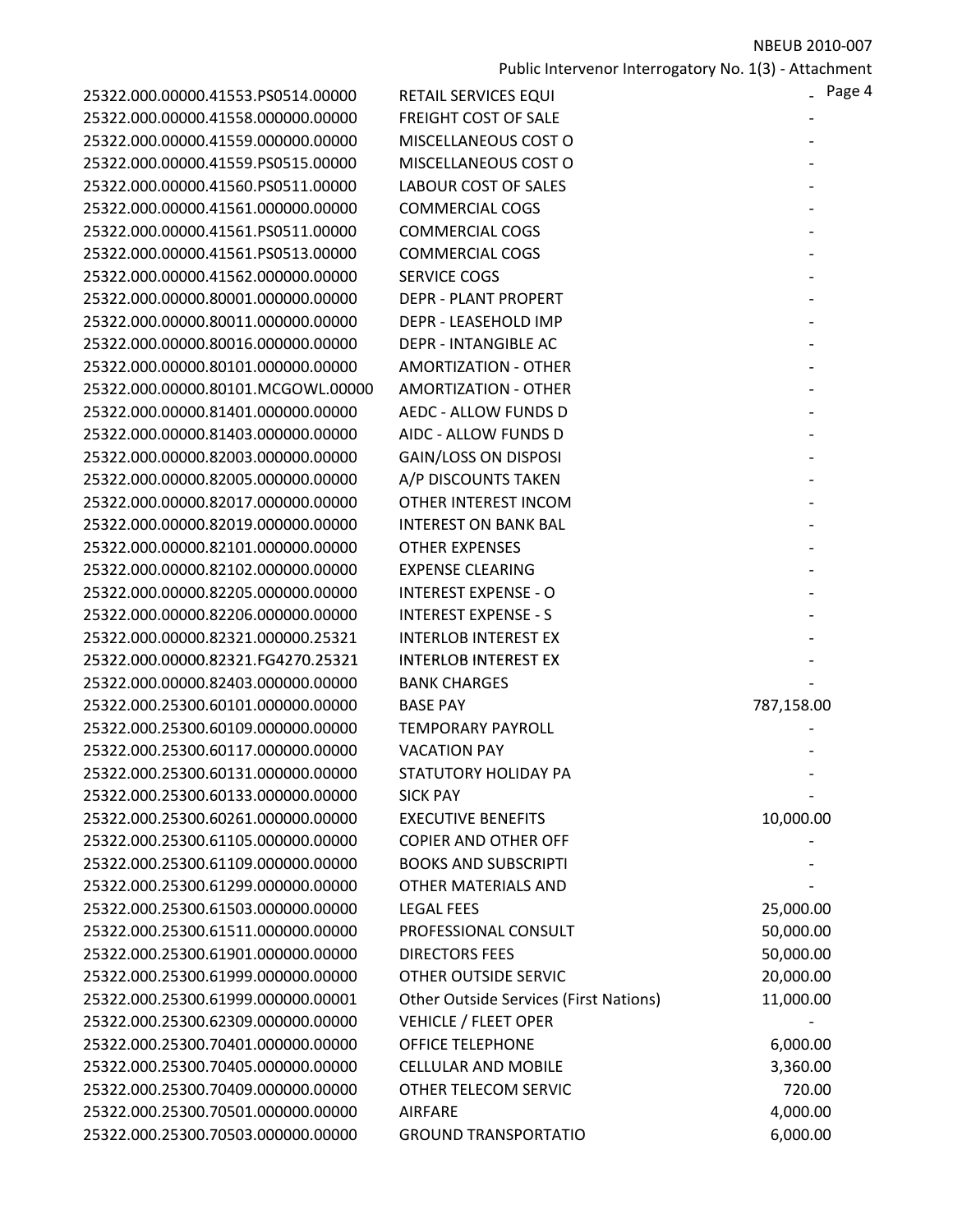| 25322.000.00000.41553.PS0514.00000 | RETAIL SERVICES EQUI          |
|------------------------------------|-------------------------------|
| 25322.000.00000.41558.000000.00000 | <b>FREIGHT COST OF SALE</b>   |
| 25322.000.00000.41559.000000.00000 | MISCELLANEOUS COST            |
| 25322.000.00000.41559.PS0515.00000 | MISCELLANEOUS COST            |
| 25322.000.00000.41560.PS0511.00000 | <b>LABOUR COST OF SALE</b>    |
| 25322.000.00000.41561.000000.00000 | <b>COMMERCIAL COGS</b>        |
| 25322.000.00000.41561.PS0511.00000 | <b>COMMERCIAL COGS</b>        |
| 25322.000.00000.41561.PS0513.00000 | <b>COMMERCIAL COGS</b>        |
| 25322.000.00000.41562.000000.00000 | <b>SERVICE COGS</b>           |
| 25322.000.00000.80001.000000.00000 | <b>DEPR - PLANT PROPERT</b>   |
| 25322.000.00000.80011.000000.00000 | DEPR - LEASEHOLD IMF          |
| 25322.000.00000.80016.000000.00000 | <b>DEPR - INTANGIBLE AC</b>   |
| 25322.000.00000.80101.000000.00000 | <b>AMORTIZATION - OTHE</b>    |
| 25322.000.00000.80101.MCGOWL.00000 | <b>AMORTIZATION - OTHE</b>    |
| 25322.000.00000.81401.000000.00000 | <b>AEDC - ALLOW FUNDS</b>     |
| 25322.000.00000.81403.000000.00000 | AIDC - ALLOW FUNDS D          |
| 25322.000.00000.82003.000000.00000 | <b>GAIN/LOSS ON DISPOS</b>    |
| 25322.000.00000.82005.000000.00000 | A/P DISCOUNTS TAKEN           |
| 25322.000.00000.82017.000000.00000 | <b>OTHER INTEREST INCO</b>    |
| 25322.000.00000.82019.000000.00000 | <b>INTEREST ON BANK BA</b>    |
| 25322.000.00000.82101.000000.00000 | <b>OTHER EXPENSES</b>         |
| 25322.000.00000.82102.000000.00000 | <b>EXPENSE CLEARING</b>       |
| 25322.000.00000.82205.000000.00000 | <b>INTEREST EXPENSE - O</b>   |
| 25322.000.00000.82206.000000.00000 | <b>INTEREST EXPENSE - S</b>   |
| 25322.000.00000.82321.000000.25321 | <b>INTERLOB INTEREST EX</b>   |
| 25322.000.00000.82321.FG4270.25321 | <b>INTERLOB INTEREST EX</b>   |
| 25322.000.00000.82403.000000.00000 | <b>BANK CHARGES</b>           |
| 25322.000.25300.60101.000000.00000 | <b>BASE PAY</b>               |
| 25322.000.25300.60109.000000.00000 | <b>TEMPORARY PAYROLL</b>      |
| 25322.000.25300.60117.000000.00000 | <b>VACATION PAY</b>           |
| 25322.000.25300.60131.000000.00000 | <b>STATUTORY HOLIDAY P</b>    |
| 25322.000.25300.60133.000000.00000 | <b>SICK PAY</b>               |
| 25322.000.25300.60261.000000.00000 | <b>EXECUTIVE BENEFITS</b>     |
| 25322.000.25300.61105.000000.00000 | <b>COPIER AND OTHER OF</b>    |
| 25322.000.25300.61109.000000.00000 | <b>BOOKS AND SUBSCRIPT</b>    |
| 25322.000.25300.61299.000000.00000 | <b>OTHER MATERIALS ANI</b>    |
| 25322.000.25300.61503.000000.00000 | <b>LEGAL FEES</b>             |
| 25322.000.25300.61511.000000.00000 | PROFESSIONAL CONSU            |
| 25322.000.25300.61901.000000.00000 | <b>DIRECTORS FEES</b>         |
| 25322.000.25300.61999.000000.00000 | <b>OTHER OUTSIDE SERVI</b>    |
| 25322.000.25300.61999.000000.00001 | <b>Other Outside Services</b> |
| 25322.000.25300.62309.000000.00000 | <b>VEHICLE / FLEET OPER</b>   |
| 25322.000.25300.70401.000000.00000 | <b>OFFICE TELEPHONE</b>       |
| 25322.000.25300.70405.000000.00000 | <b>CELLULAR AND MOBILE</b>    |
| 25322.000.25300.70409.000000.00000 | OTHER TELECOM SERV            |
| 25322.000.25300.70501.000000.00000 | <b>AIRFARE</b>                |
| 25322.000.25300.70503.000000.00000 | <b>GROUND TRANSPORTA</b>      |

| 25322.000.00000.41553.PS0514.00000 | RETAIL SERVICES EQUI                          | - Page 4   |
|------------------------------------|-----------------------------------------------|------------|
| 25322.000.00000.41558.000000.00000 | <b>FREIGHT COST OF SALE</b>                   |            |
| 25322.000.00000.41559.000000.00000 | MISCELLANEOUS COST O                          |            |
| 25322.000.00000.41559.PS0515.00000 | MISCELLANEOUS COST O                          |            |
| 25322.000.00000.41560.PS0511.00000 | <b>LABOUR COST OF SALES</b>                   |            |
| 25322.000.00000.41561.000000.00000 | <b>COMMERCIAL COGS</b>                        |            |
| 25322.000.00000.41561.PS0511.00000 | <b>COMMERCIAL COGS</b>                        |            |
| 25322.000.00000.41561.PS0513.00000 | <b>COMMERCIAL COGS</b>                        |            |
| 25322.000.00000.41562.000000.00000 | <b>SERVICE COGS</b>                           |            |
| 25322.000.00000.80001.000000.00000 | <b>DEPR - PLANT PROPERT</b>                   |            |
| 25322.000.00000.80011.000000.00000 | DEPR - LEASEHOLD IMP                          |            |
| 25322.000.00000.80016.000000.00000 | <b>DEPR - INTANGIBLE AC</b>                   |            |
| 25322.000.00000.80101.000000.00000 | <b>AMORTIZATION - OTHER</b>                   |            |
| 25322.000.00000.80101.MCGOWL.00000 | <b>AMORTIZATION - OTHER</b>                   |            |
| 25322.000.00000.81401.000000.00000 | AEDC - ALLOW FUNDS D                          |            |
| 25322.000.00000.81403.000000.00000 | AIDC - ALLOW FUNDS D                          |            |
| 25322.000.00000.82003.000000.00000 | <b>GAIN/LOSS ON DISPOSI</b>                   |            |
| 25322.000.00000.82005.000000.00000 | A/P DISCOUNTS TAKEN                           |            |
| 25322.000.00000.82017.000000.00000 | OTHER INTEREST INCOM                          |            |
| 25322.000.00000.82019.000000.00000 | <b>INTEREST ON BANK BAL</b>                   |            |
| 25322.000.00000.82101.000000.00000 | <b>OTHER EXPENSES</b>                         |            |
| 25322.000.00000.82102.000000.00000 | <b>EXPENSE CLEARING</b>                       |            |
| 25322.000.00000.82205.000000.00000 | <b>INTEREST EXPENSE - O</b>                   |            |
| 25322.000.00000.82206.000000.00000 | <b>INTEREST EXPENSE - S</b>                   |            |
| 25322.000.00000.82321.000000.25321 | <b>INTERLOB INTEREST EX</b>                   |            |
| 25322.000.00000.82321.FG4270.25321 | <b>INTERLOB INTEREST EX</b>                   |            |
| 25322.000.00000.82403.000000.00000 | <b>BANK CHARGES</b>                           |            |
| 25322.000.25300.60101.000000.00000 | <b>BASE PAY</b>                               | 787,158.00 |
| 25322.000.25300.60109.000000.00000 | <b>TEMPORARY PAYROLL</b>                      |            |
| 25322.000.25300.60117.000000.00000 | <b>VACATION PAY</b>                           |            |
| 25322.000.25300.60131.000000.00000 | STATUTORY HOLIDAY PA                          |            |
| 25322.000.25300.60133.000000.00000 | <b>SICK PAY</b>                               |            |
| 25322.000.25300.60261.000000.00000 | <b>EXECUTIVE BENEFITS</b>                     | 10,000.00  |
| 25322.000.25300.61105.000000.00000 | <b>COPIER AND OTHER OFF</b>                   |            |
| 25322.000.25300.61109.000000.00000 | <b>BOOKS AND SUBSCRIPTI</b>                   |            |
| 25322.000.25300.61299.000000.00000 | OTHER MATERIALS AND                           |            |
| 25322.000.25300.61503.000000.00000 | <b>LEGAL FEES</b>                             | 25,000.00  |
| 25322.000.25300.61511.000000.00000 | PROFESSIONAL CONSULT                          | 50,000.00  |
| 25322.000.25300.61901.000000.00000 | <b>DIRECTORS FEES</b>                         | 50,000.00  |
| 25322.000.25300.61999.000000.00000 | OTHER OUTSIDE SERVIC                          | 20,000.00  |
| 25322.000.25300.61999.000000.00001 | <b>Other Outside Services (First Nations)</b> | 11,000.00  |
| 25322.000.25300.62309.000000.00000 | <b>VEHICLE / FLEET OPER</b>                   |            |
| 25322.000.25300.70401.000000.00000 | <b>OFFICE TELEPHONE</b>                       | 6,000.00   |
| 25322.000.25300.70405.000000.00000 | <b>CELLULAR AND MOBILE</b>                    | 3,360.00   |
| 25322.000.25300.70409.000000.00000 | OTHER TELECOM SERVIC                          | 720.00     |
| 25322.000.25300.70501.000000.00000 | <b>AIRFARE</b>                                | 4,000.00   |
| 25322.000.25300.70503.000000.00000 | <b>GROUND TRANSPORTATIO</b>                   | 6,000.00   |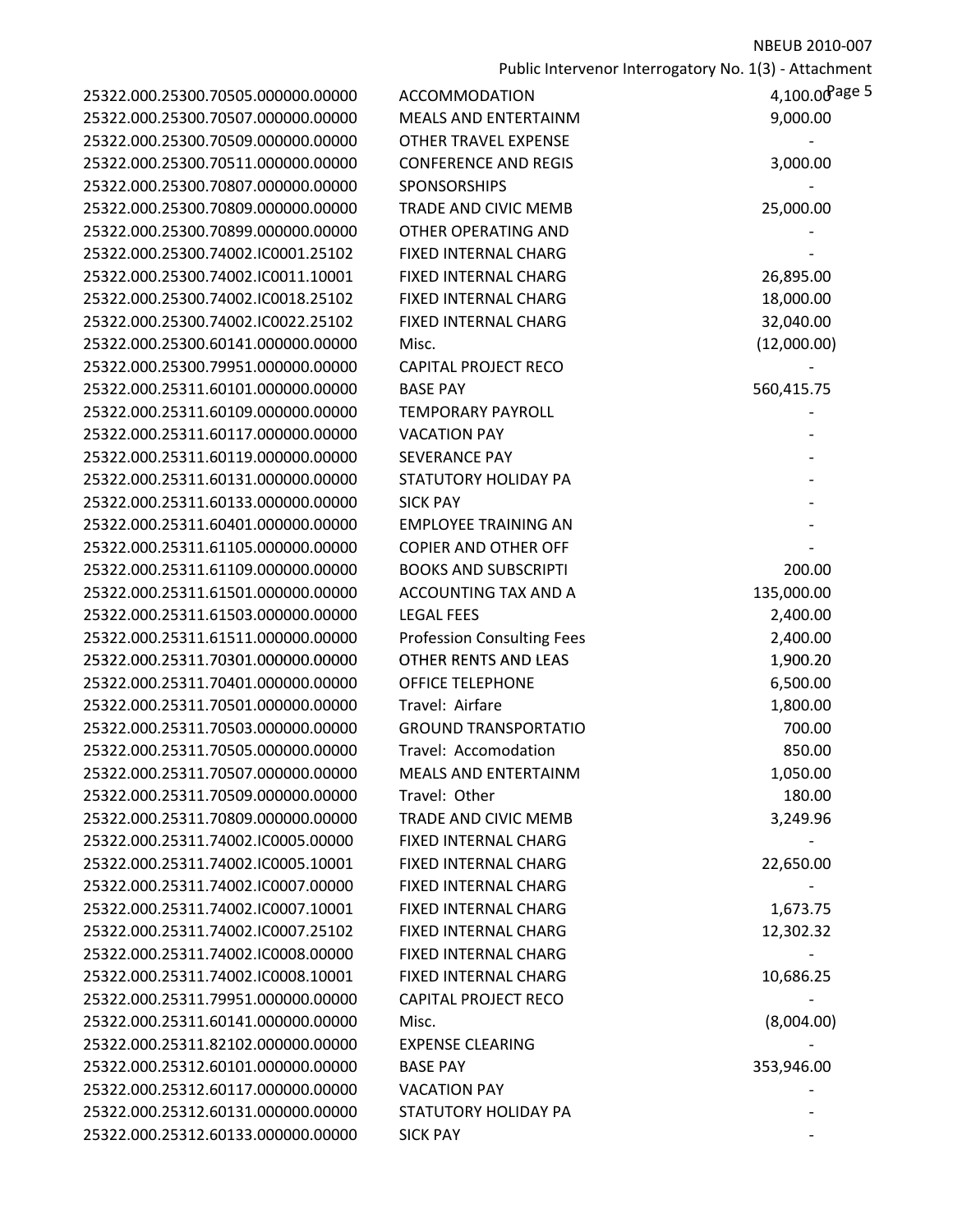| 25322.000.25300.70505.000000.00000 |  |
|------------------------------------|--|
| 25322.000.25300.70507.000000.00000 |  |
| 25322.000.25300.70509.000000.00000 |  |
| 25322.000.25300.70511.000000.00000 |  |
| 25322.000.25300.70807.000000.00000 |  |
| 25322.000.25300.70809.000000.00000 |  |
| 25322.000.25300.70899.000000.00000 |  |
| 25322.000.25300.74002.IC0001.25102 |  |
| 25322.000.25300.74002.IC0011.10001 |  |
| 25322.000.25300.74002.IC0018.25102 |  |
| 25322.000.25300.74002.IC0022.25102 |  |
| 25322.000.25300.60141.000000.00000 |  |
| 25322.000.25300.79951.000000.00000 |  |
| 25322.000.25311.60101.000000.00000 |  |
| 25322.000.25311.60109.000000.00000 |  |
| 25322.000.25311.60117.000000.00000 |  |
| 25322.000.25311.60119.000000.00000 |  |
| 25322.000.25311.60131.000000.00000 |  |
|                                    |  |
| 25322.000.25311.60133.000000.00000 |  |
| 25322.000.25311.60401.000000.00000 |  |
| 25322.000.25311.61105.000000.00000 |  |
| 25322.000.25311.61109.000000.00000 |  |
| 25322.000.25311.61501.000000.00000 |  |
| 25322.000.25311.61503.000000.00000 |  |
| 25322.000.25311.61511.000000.00000 |  |
| 25322.000.25311.70301.000000.00000 |  |
| 25322.000.25311.70401.000000.00000 |  |
| 25322.000.25311.70501.000000.00000 |  |
| 25322.000.25311.70503.000000.00000 |  |
| 25322.000.25311.70505.000000.00000 |  |
| 25322.000.25311.70507.000000.00000 |  |
| 25322.000.25311.70509.000000.00000 |  |
| 25322.000.25311.70809.000000.00000 |  |
| 25322.000.25311.74002.IC0005.00000 |  |
| 25322.000.25311.74002.IC0005.10001 |  |
| 25322.000.25311.74002.IC0007.00000 |  |
| 25322.000.25311.74002.IC0007.10001 |  |
| 25322.000.25311.74002.IC0007.25102 |  |
| 25322.000.25311.74002.IC0008.00000 |  |
| 25322.000.25311.74002.IC0008.10001 |  |
| 25322.000.25311.79951.000000.00000 |  |
| 25322.000.25311.60141.000000.00000 |  |
| 25322.000.25311.82102.000000.00000 |  |
| 25322.000.25312.60101.000000.00000 |  |
| 25322.000.25312.60117.000000.00000 |  |
| 25322.000.25312.60131.000000.00000 |  |
| 25322.000.25312.60133.000000.00000 |  |
|                                    |  |

| 25322.000.25300.70505.000000.00000                                       | <b>ACCOMMODATION</b>              | $4,100.00$ Page 5 |
|--------------------------------------------------------------------------|-----------------------------------|-------------------|
| 25322.000.25300.70507.000000.00000                                       | <b>MEALS AND ENTERTAINM</b>       | 9,000.00          |
| 25322.000.25300.70509.000000.00000                                       | <b>OTHER TRAVEL EXPENSE</b>       |                   |
| 25322.000.25300.70511.000000.00000                                       | <b>CONFERENCE AND REGIS</b>       | 3,000.00          |
| 25322.000.25300.70807.000000.00000                                       | SPONSORSHIPS                      |                   |
| 25322.000.25300.70809.000000.00000                                       | <b>TRADE AND CIVIC MEMB</b>       | 25,000.00         |
| 25322.000.25300.70899.000000.00000                                       | <b>OTHER OPERATING AND</b>        |                   |
| 25322.000.25300.74002.IC0001.25102                                       | FIXED INTERNAL CHARG              |                   |
| 25322.000.25300.74002.IC0011.10001                                       | FIXED INTERNAL CHARG              | 26,895.00         |
| 25322.000.25300.74002.IC0018.25102                                       | FIXED INTERNAL CHARG              | 18,000.00         |
| 25322.000.25300.74002.IC0022.25102                                       | FIXED INTERNAL CHARG              | 32,040.00         |
| 25322.000.25300.60141.000000.00000                                       | Misc.                             | (12,000.00)       |
| 25322.000.25300.79951.000000.00000                                       | <b>CAPITAL PROJECT RECO</b>       |                   |
| 25322.000.25311.60101.000000.00000                                       | <b>BASE PAY</b>                   | 560,415.75        |
| 25322.000.25311.60109.000000.00000                                       | <b>TEMPORARY PAYROLL</b>          |                   |
| 25322.000.25311.60117.000000.00000                                       | <b>VACATION PAY</b>               |                   |
| 25322.000.25311.60119.000000.00000                                       | <b>SEVERANCE PAY</b>              |                   |
| 25322.000.25311.60131.000000.00000                                       | <b>STATUTORY HOLIDAY PA</b>       |                   |
| 25322.000.25311.60133.000000.00000                                       | <b>SICK PAY</b>                   |                   |
| 25322.000.25311.60401.000000.00000                                       | <b>EMPLOYEE TRAINING AN</b>       |                   |
| 25322.000.25311.61105.000000.00000                                       | <b>COPIER AND OTHER OFF</b>       |                   |
| 25322.000.25311.61109.000000.00000                                       | <b>BOOKS AND SUBSCRIPTI</b>       | 200.00            |
| 25322.000.25311.61501.000000.00000                                       | ACCOUNTING TAX AND A              | 135,000.00        |
| 25322.000.25311.61503.000000.00000                                       | <b>LEGAL FEES</b>                 | 2,400.00          |
| 25322.000.25311.61511.000000.00000                                       | <b>Profession Consulting Fees</b> | 2,400.00          |
| 25322.000.25311.70301.000000.00000                                       | OTHER RENTS AND LEAS              | 1,900.20          |
| 25322.000.25311.70401.000000.00000                                       | <b>OFFICE TELEPHONE</b>           | 6,500.00          |
| 25322.000.25311.70501.000000.00000                                       | Travel: Airfare                   | 1,800.00          |
| 25322.000.25311.70503.000000.00000                                       | <b>GROUND TRANSPORTATIO</b>       | 700.00            |
| 25322.000.25311.70505.000000.00000                                       | Travel: Accomodation              | 850.00            |
| 25322.000.25311.70507.000000.00000                                       | MEALS AND ENTERTAINM              | 1,050.00          |
| 25322.000.25311.70509.000000.00000                                       | Travel: Other                     | 180.00            |
| 25322.000.25311.70809.000000.00000                                       | <b>TRADE AND CIVIC MEMB</b>       | 3,249.96          |
| 25322.000.25311.74002.IC0005.00000                                       | FIXED INTERNAL CHARG              |                   |
| 25322.000.25311.74002.IC0005.10001                                       | <b>FIXED INTERNAL CHARG</b>       | 22,650.00         |
| 25322.000.25311.74002.IC0007.00000                                       | <b>FIXED INTERNAL CHARG</b>       |                   |
| 25322.000.25311.74002.IC0007.10001                                       | <b>FIXED INTERNAL CHARG</b>       | 1,673.75          |
| 25322.000.25311.74002.IC0007.25102                                       | FIXED INTERNAL CHARG              | 12,302.32         |
| 25322.000.25311.74002.IC0008.00000                                       | <b>FIXED INTERNAL CHARG</b>       |                   |
| 25322.000.25311.74002.IC0008.10001                                       | FIXED INTERNAL CHARG              | 10,686.25         |
| 25322.000.25311.79951.000000.00000                                       | <b>CAPITAL PROJECT RECO</b>       |                   |
| 25322.000.25311.60141.000000.00000                                       | Misc.                             | (8,004.00)        |
| 25322.000.25311.82102.000000.00000                                       | <b>EXPENSE CLEARING</b>           |                   |
| 25322.000.25312.60101.000000.00000<br>25322.000.25312.60117.000000.00000 | <b>BASE PAY</b>                   | 353,946.00        |
| 25322.000.25312.60131.000000.00000                                       | <b>VACATION PAY</b>               |                   |
|                                                                          | STATUTORY HOLIDAY PA              |                   |
| 25322.000.25312.60133.000000.00000                                       | <b>SICK PAY</b>                   |                   |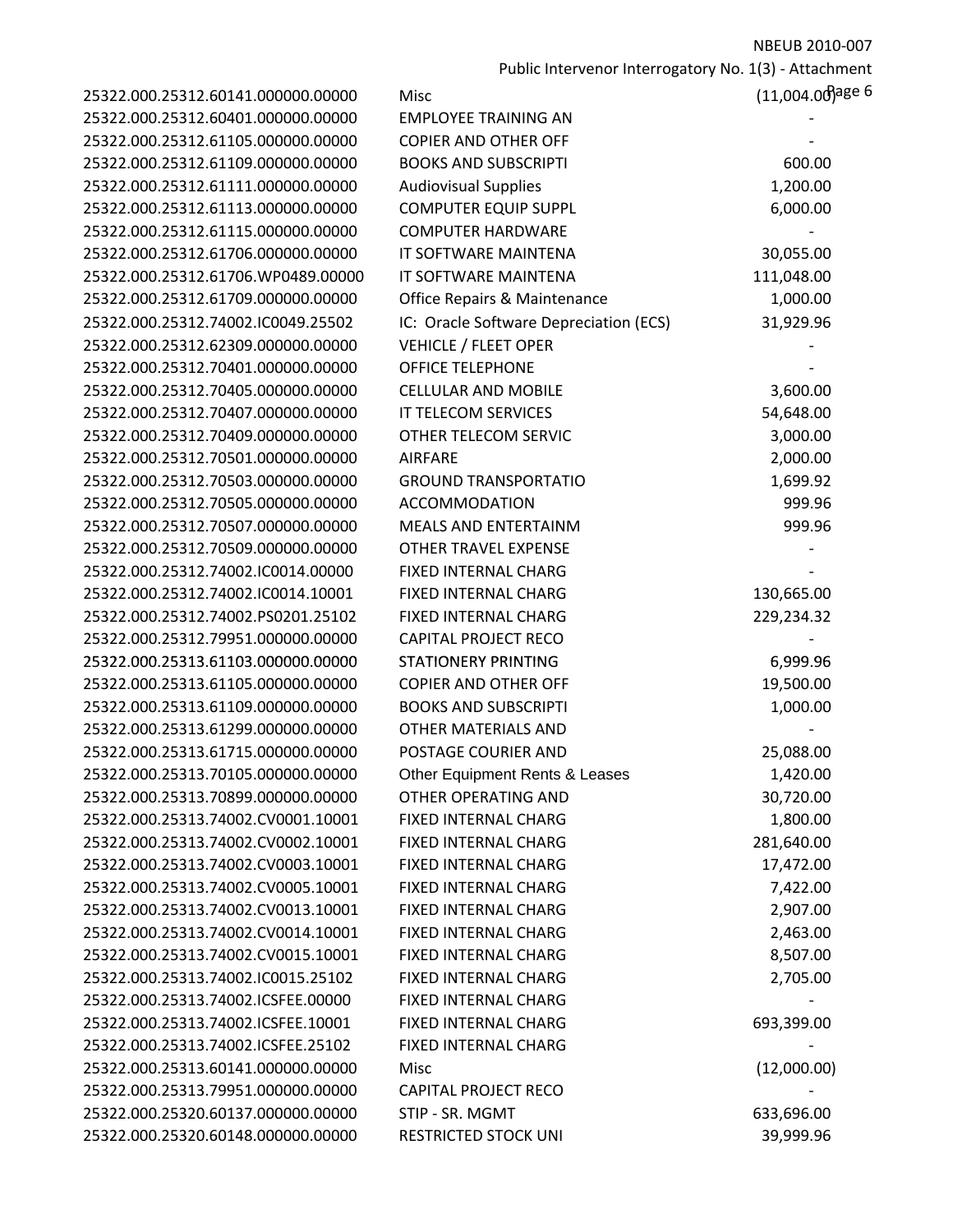Public Intervenor Interrogatory No. 1(3) ‐ Attachment

| 25322.000.25312.60141.000000.00000 | Misc                                   | (11,004.00)age 6 |
|------------------------------------|----------------------------------------|------------------|
| 25322.000.25312.60401.000000.00000 | <b>EMPLOYEE TRAINING AN</b>            |                  |
| 25322.000.25312.61105.000000.00000 | <b>COPIER AND OTHER OFF</b>            |                  |
| 25322.000.25312.61109.000000.00000 | <b>BOOKS AND SUBSCRIPTI</b>            | 600.00           |
| 25322.000.25312.61111.000000.00000 | <b>Audiovisual Supplies</b>            | 1,200.00         |
| 25322.000.25312.61113.000000.00000 | <b>COMPUTER EQUIP SUPPL</b>            | 6,000.00         |
| 25322.000.25312.61115.000000.00000 | <b>COMPUTER HARDWARE</b>               |                  |
| 25322.000.25312.61706.000000.00000 | IT SOFTWARE MAINTENA                   | 30,055.00        |
| 25322.000.25312.61706.WP0489.00000 | IT SOFTWARE MAINTENA                   | 111,048.00       |
| 25322.000.25312.61709.000000.00000 | Office Repairs & Maintenance           | 1,000.00         |
| 25322.000.25312.74002.IC0049.25502 | IC: Oracle Software Depreciation (ECS) | 31,929.96        |
| 25322.000.25312.62309.000000.00000 | <b>VEHICLE / FLEET OPER</b>            |                  |
| 25322.000.25312.70401.000000.00000 | <b>OFFICE TELEPHONE</b>                |                  |
| 25322.000.25312.70405.000000.00000 | <b>CELLULAR AND MOBILE</b>             | 3,600.00         |
| 25322.000.25312.70407.000000.00000 | IT TELECOM SERVICES                    | 54,648.00        |
| 25322.000.25312.70409.000000.00000 | OTHER TELECOM SERVIC                   | 3,000.00         |
| 25322.000.25312.70501.000000.00000 | <b>AIRFARE</b>                         | 2,000.00         |
| 25322.000.25312.70503.000000.00000 | <b>GROUND TRANSPORTATIO</b>            | 1,699.92         |
| 25322.000.25312.70505.000000.00000 | <b>ACCOMMODATION</b>                   | 999.96           |
| 25322.000.25312.70507.000000.00000 | <b>MEALS AND ENTERTAINM</b>            | 999.96           |
| 25322.000.25312.70509.000000.00000 | OTHER TRAVEL EXPENSE                   |                  |
| 25322.000.25312.74002.IC0014.00000 | FIXED INTERNAL CHARG                   |                  |
| 25322.000.25312.74002.IC0014.10001 | FIXED INTERNAL CHARG                   | 130,665.00       |
| 25322.000.25312.74002.PS0201.25102 | FIXED INTERNAL CHARG                   | 229,234.32       |
| 25322.000.25312.79951.000000.00000 | <b>CAPITAL PROJECT RECO</b>            |                  |
| 25322.000.25313.61103.000000.00000 | <b>STATIONERY PRINTING</b>             | 6,999.96         |
| 25322.000.25313.61105.000000.00000 | <b>COPIER AND OTHER OFF</b>            | 19,500.00        |
| 25322.000.25313.61109.000000.00000 | <b>BOOKS AND SUBSCRIPTI</b>            | 1,000.00         |
| 25322.000.25313.61299.000000.00000 | OTHER MATERIALS AND                    |                  |
| 25322.000.25313.61715.000000.00000 | POSTAGE COURIER AND                    | 25,088.00        |
| 25322.000.25313.70105.000000.00000 | Other Equipment Rents & Leases         | 1,420.00         |
| 25322.000.25313.70899.000000.00000 | <b>OTHER OPERATING AND</b>             | 30,720.00        |
| 25322.000.25313.74002.CV0001.10001 | FIXED INTERNAL CHARG                   | 1,800.00         |
| 25322.000.25313.74002.CV0002.10001 | <b>FIXED INTERNAL CHARG</b>            | 281,640.00       |
| 25322.000.25313.74002.CV0003.10001 | <b>FIXED INTERNAL CHARG</b>            | 17,472.00        |
| 25322.000.25313.74002.CV0005.10001 | <b>FIXED INTERNAL CHARG</b>            | 7,422.00         |
| 25322.000.25313.74002.CV0013.10001 | <b>FIXED INTERNAL CHARG</b>            | 2,907.00         |
| 25322.000.25313.74002.CV0014.10001 | <b>FIXED INTERNAL CHARG</b>            | 2,463.00         |
| 25322.000.25313.74002.CV0015.10001 | FIXED INTERNAL CHARG                   | 8,507.00         |
| 25322.000.25313.74002.IC0015.25102 | <b>FIXED INTERNAL CHARG</b>            | 2,705.00         |
| 25322.000.25313.74002.ICSFEE.00000 | FIXED INTERNAL CHARG                   |                  |
| 25322.000.25313.74002.ICSFEE.10001 | FIXED INTERNAL CHARG                   | 693,399.00       |
| 25322.000.25313.74002.ICSFEE.25102 | FIXED INTERNAL CHARG                   |                  |
| 25322.000.25313.60141.000000.00000 | Misc                                   | (12,000.00)      |
| 25322.000.25313.79951.000000.00000 | <b>CAPITAL PROJECT RECO</b>            |                  |
| 25322.000.25320.60137.000000.00000 | STIP - SR. MGMT                        | 633,696.00       |
| 25322.000.25320.60148.000000.00000 | <b>RESTRICTED STOCK UNI</b>            | 39,999.96        |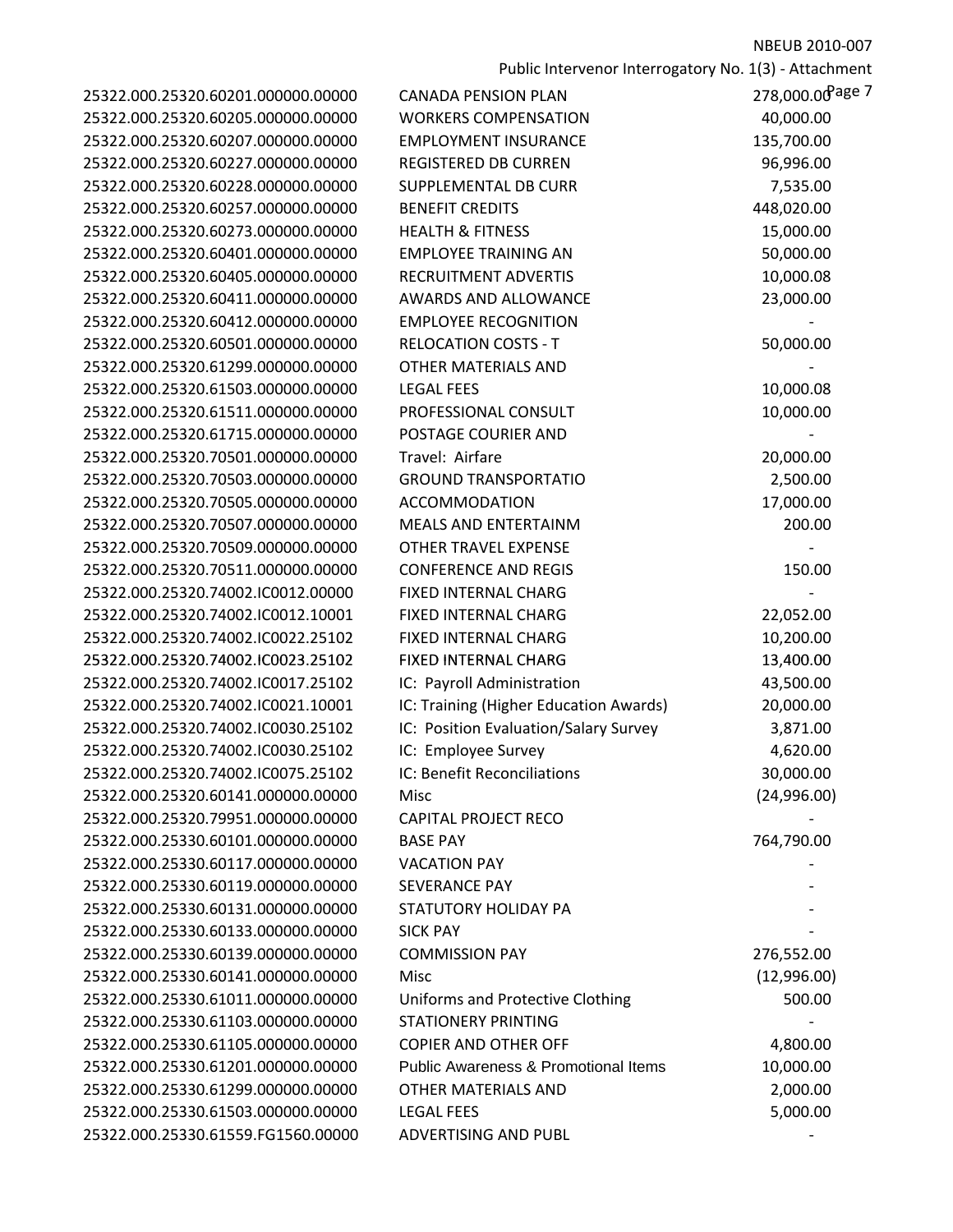Public Intervenor Interrogatory No. 1(3) - Attachment<br>278.000.00 age 7

| 25322.000.25320.60201.000000.00000<br>25322.000.25320.60205.000000.00000<br>25322.000.25320.60207.000000.00000<br>25322.000.25320.60227.000000.00000<br>25322.000.25320.60228.000000.00000<br>25322.000.25320.60257.000000.00000<br>25322.000.25320.60273.000000.00000<br>25322.000.25320.60401.000000.00000<br>25322.000.25320.60405.000000.00000<br>25322.000.25320.60411.000000.00000<br>25322.000.25320.60412.000000.00000<br>25322.000.25320.60501.000000.00000<br>25322.000.25320.61299.000000.00000<br>25322.000.25320.61503.000000.00000<br>25322.000.25320.61511.000000.00000<br>25322.000.25320.61715.000000.00000<br>25322.000.25320.70501.000000.00000<br>25322.000.25320.70503.000000.00000<br>25322.000.25320.70505.000000.00000<br>25322.000.25320.70507.000000.00000<br>25322.000.25320.70509.000000.00000<br>25322.000.25320.70511.000000.00000<br>25322.000.25320.74002.IC0012.00000<br>25322.000.25320.74002.IC0012.10001<br>25322.000.25320.74002.IC0022.25102<br>25322.000.25320.74002.IC0023.25102<br>25322.000.25320.74002.IC0017.25102<br>25322.000.25320.74002.IC0021.10001<br>25322.000.25320.74002.IC0030.25102<br>25322.000.25320.74002.IC0030.25102<br>25322.000.25320.74002.IC0075.25102<br>25322.000.25320.60141.000000.00000<br>25322.000.25320.79951.000000.00000<br>25322.000.25330.60101.000000.00000<br>25322.000.25330.60117.000000.00000<br>25322.000.25330.60119.000000.00000<br>25322.000.25330.60131.000000.00000 |
|------------------------------------------------------------------------------------------------------------------------------------------------------------------------------------------------------------------------------------------------------------------------------------------------------------------------------------------------------------------------------------------------------------------------------------------------------------------------------------------------------------------------------------------------------------------------------------------------------------------------------------------------------------------------------------------------------------------------------------------------------------------------------------------------------------------------------------------------------------------------------------------------------------------------------------------------------------------------------------------------------------------------------------------------------------------------------------------------------------------------------------------------------------------------------------------------------------------------------------------------------------------------------------------------------------------------------------------------------------------------------------------------------------------------------------------------------------|
|                                                                                                                                                                                                                                                                                                                                                                                                                                                                                                                                                                                                                                                                                                                                                                                                                                                                                                                                                                                                                                                                                                                                                                                                                                                                                                                                                                                                                                                            |
|                                                                                                                                                                                                                                                                                                                                                                                                                                                                                                                                                                                                                                                                                                                                                                                                                                                                                                                                                                                                                                                                                                                                                                                                                                                                                                                                                                                                                                                            |
|                                                                                                                                                                                                                                                                                                                                                                                                                                                                                                                                                                                                                                                                                                                                                                                                                                                                                                                                                                                                                                                                                                                                                                                                                                                                                                                                                                                                                                                            |
|                                                                                                                                                                                                                                                                                                                                                                                                                                                                                                                                                                                                                                                                                                                                                                                                                                                                                                                                                                                                                                                                                                                                                                                                                                                                                                                                                                                                                                                            |
|                                                                                                                                                                                                                                                                                                                                                                                                                                                                                                                                                                                                                                                                                                                                                                                                                                                                                                                                                                                                                                                                                                                                                                                                                                                                                                                                                                                                                                                            |
|                                                                                                                                                                                                                                                                                                                                                                                                                                                                                                                                                                                                                                                                                                                                                                                                                                                                                                                                                                                                                                                                                                                                                                                                                                                                                                                                                                                                                                                            |
|                                                                                                                                                                                                                                                                                                                                                                                                                                                                                                                                                                                                                                                                                                                                                                                                                                                                                                                                                                                                                                                                                                                                                                                                                                                                                                                                                                                                                                                            |
|                                                                                                                                                                                                                                                                                                                                                                                                                                                                                                                                                                                                                                                                                                                                                                                                                                                                                                                                                                                                                                                                                                                                                                                                                                                                                                                                                                                                                                                            |
|                                                                                                                                                                                                                                                                                                                                                                                                                                                                                                                                                                                                                                                                                                                                                                                                                                                                                                                                                                                                                                                                                                                                                                                                                                                                                                                                                                                                                                                            |
|                                                                                                                                                                                                                                                                                                                                                                                                                                                                                                                                                                                                                                                                                                                                                                                                                                                                                                                                                                                                                                                                                                                                                                                                                                                                                                                                                                                                                                                            |
|                                                                                                                                                                                                                                                                                                                                                                                                                                                                                                                                                                                                                                                                                                                                                                                                                                                                                                                                                                                                                                                                                                                                                                                                                                                                                                                                                                                                                                                            |
|                                                                                                                                                                                                                                                                                                                                                                                                                                                                                                                                                                                                                                                                                                                                                                                                                                                                                                                                                                                                                                                                                                                                                                                                                                                                                                                                                                                                                                                            |
|                                                                                                                                                                                                                                                                                                                                                                                                                                                                                                                                                                                                                                                                                                                                                                                                                                                                                                                                                                                                                                                                                                                                                                                                                                                                                                                                                                                                                                                            |
|                                                                                                                                                                                                                                                                                                                                                                                                                                                                                                                                                                                                                                                                                                                                                                                                                                                                                                                                                                                                                                                                                                                                                                                                                                                                                                                                                                                                                                                            |
|                                                                                                                                                                                                                                                                                                                                                                                                                                                                                                                                                                                                                                                                                                                                                                                                                                                                                                                                                                                                                                                                                                                                                                                                                                                                                                                                                                                                                                                            |
|                                                                                                                                                                                                                                                                                                                                                                                                                                                                                                                                                                                                                                                                                                                                                                                                                                                                                                                                                                                                                                                                                                                                                                                                                                                                                                                                                                                                                                                            |
|                                                                                                                                                                                                                                                                                                                                                                                                                                                                                                                                                                                                                                                                                                                                                                                                                                                                                                                                                                                                                                                                                                                                                                                                                                                                                                                                                                                                                                                            |
|                                                                                                                                                                                                                                                                                                                                                                                                                                                                                                                                                                                                                                                                                                                                                                                                                                                                                                                                                                                                                                                                                                                                                                                                                                                                                                                                                                                                                                                            |
|                                                                                                                                                                                                                                                                                                                                                                                                                                                                                                                                                                                                                                                                                                                                                                                                                                                                                                                                                                                                                                                                                                                                                                                                                                                                                                                                                                                                                                                            |
|                                                                                                                                                                                                                                                                                                                                                                                                                                                                                                                                                                                                                                                                                                                                                                                                                                                                                                                                                                                                                                                                                                                                                                                                                                                                                                                                                                                                                                                            |
|                                                                                                                                                                                                                                                                                                                                                                                                                                                                                                                                                                                                                                                                                                                                                                                                                                                                                                                                                                                                                                                                                                                                                                                                                                                                                                                                                                                                                                                            |
|                                                                                                                                                                                                                                                                                                                                                                                                                                                                                                                                                                                                                                                                                                                                                                                                                                                                                                                                                                                                                                                                                                                                                                                                                                                                                                                                                                                                                                                            |
|                                                                                                                                                                                                                                                                                                                                                                                                                                                                                                                                                                                                                                                                                                                                                                                                                                                                                                                                                                                                                                                                                                                                                                                                                                                                                                                                                                                                                                                            |
|                                                                                                                                                                                                                                                                                                                                                                                                                                                                                                                                                                                                                                                                                                                                                                                                                                                                                                                                                                                                                                                                                                                                                                                                                                                                                                                                                                                                                                                            |
|                                                                                                                                                                                                                                                                                                                                                                                                                                                                                                                                                                                                                                                                                                                                                                                                                                                                                                                                                                                                                                                                                                                                                                                                                                                                                                                                                                                                                                                            |
|                                                                                                                                                                                                                                                                                                                                                                                                                                                                                                                                                                                                                                                                                                                                                                                                                                                                                                                                                                                                                                                                                                                                                                                                                                                                                                                                                                                                                                                            |
|                                                                                                                                                                                                                                                                                                                                                                                                                                                                                                                                                                                                                                                                                                                                                                                                                                                                                                                                                                                                                                                                                                                                                                                                                                                                                                                                                                                                                                                            |
|                                                                                                                                                                                                                                                                                                                                                                                                                                                                                                                                                                                                                                                                                                                                                                                                                                                                                                                                                                                                                                                                                                                                                                                                                                                                                                                                                                                                                                                            |
|                                                                                                                                                                                                                                                                                                                                                                                                                                                                                                                                                                                                                                                                                                                                                                                                                                                                                                                                                                                                                                                                                                                                                                                                                                                                                                                                                                                                                                                            |
|                                                                                                                                                                                                                                                                                                                                                                                                                                                                                                                                                                                                                                                                                                                                                                                                                                                                                                                                                                                                                                                                                                                                                                                                                                                                                                                                                                                                                                                            |
|                                                                                                                                                                                                                                                                                                                                                                                                                                                                                                                                                                                                                                                                                                                                                                                                                                                                                                                                                                                                                                                                                                                                                                                                                                                                                                                                                                                                                                                            |
|                                                                                                                                                                                                                                                                                                                                                                                                                                                                                                                                                                                                                                                                                                                                                                                                                                                                                                                                                                                                                                                                                                                                                                                                                                                                                                                                                                                                                                                            |
|                                                                                                                                                                                                                                                                                                                                                                                                                                                                                                                                                                                                                                                                                                                                                                                                                                                                                                                                                                                                                                                                                                                                                                                                                                                                                                                                                                                                                                                            |
|                                                                                                                                                                                                                                                                                                                                                                                                                                                                                                                                                                                                                                                                                                                                                                                                                                                                                                                                                                                                                                                                                                                                                                                                                                                                                                                                                                                                                                                            |
|                                                                                                                                                                                                                                                                                                                                                                                                                                                                                                                                                                                                                                                                                                                                                                                                                                                                                                                                                                                                                                                                                                                                                                                                                                                                                                                                                                                                                                                            |
|                                                                                                                                                                                                                                                                                                                                                                                                                                                                                                                                                                                                                                                                                                                                                                                                                                                                                                                                                                                                                                                                                                                                                                                                                                                                                                                                                                                                                                                            |
|                                                                                                                                                                                                                                                                                                                                                                                                                                                                                                                                                                                                                                                                                                                                                                                                                                                                                                                                                                                                                                                                                                                                                                                                                                                                                                                                                                                                                                                            |
|                                                                                                                                                                                                                                                                                                                                                                                                                                                                                                                                                                                                                                                                                                                                                                                                                                                                                                                                                                                                                                                                                                                                                                                                                                                                                                                                                                                                                                                            |
| 25322.000.25330.60133.000000.00000                                                                                                                                                                                                                                                                                                                                                                                                                                                                                                                                                                                                                                                                                                                                                                                                                                                                                                                                                                                                                                                                                                                                                                                                                                                                                                                                                                                                                         |
| 25322.000.25330.60139.000000.00000                                                                                                                                                                                                                                                                                                                                                                                                                                                                                                                                                                                                                                                                                                                                                                                                                                                                                                                                                                                                                                                                                                                                                                                                                                                                                                                                                                                                                         |
| 25322.000.25330.60141.000000.00000                                                                                                                                                                                                                                                                                                                                                                                                                                                                                                                                                                                                                                                                                                                                                                                                                                                                                                                                                                                                                                                                                                                                                                                                                                                                                                                                                                                                                         |
| 25322.000.25330.61011.000000.00000                                                                                                                                                                                                                                                                                                                                                                                                                                                                                                                                                                                                                                                                                                                                                                                                                                                                                                                                                                                                                                                                                                                                                                                                                                                                                                                                                                                                                         |
| 25322.000.25330.61103.000000.00000                                                                                                                                                                                                                                                                                                                                                                                                                                                                                                                                                                                                                                                                                                                                                                                                                                                                                                                                                                                                                                                                                                                                                                                                                                                                                                                                                                                                                         |
| 25322.000.25330.61105.000000.00000                                                                                                                                                                                                                                                                                                                                                                                                                                                                                                                                                                                                                                                                                                                                                                                                                                                                                                                                                                                                                                                                                                                                                                                                                                                                                                                                                                                                                         |
| 25322.000.25330.61201.000000.00000                                                                                                                                                                                                                                                                                                                                                                                                                                                                                                                                                                                                                                                                                                                                                                                                                                                                                                                                                                                                                                                                                                                                                                                                                                                                                                                                                                                                                         |
|                                                                                                                                                                                                                                                                                                                                                                                                                                                                                                                                                                                                                                                                                                                                                                                                                                                                                                                                                                                                                                                                                                                                                                                                                                                                                                                                                                                                                                                            |
| 25322.000.25330.61299.000000.00000                                                                                                                                                                                                                                                                                                                                                                                                                                                                                                                                                                                                                                                                                                                                                                                                                                                                                                                                                                                                                                                                                                                                                                                                                                                                                                                                                                                                                         |
| 25322.000.25330.61503.000000.00000                                                                                                                                                                                                                                                                                                                                                                                                                                                                                                                                                                                                                                                                                                                                                                                                                                                                                                                                                                                                                                                                                                                                                                                                                                                                                                                                                                                                                         |

| 25322.000.25320.60201.000000.00000 | <b>CANADA PENSION PLAN</b>                      | 278,000.00 age 7 |
|------------------------------------|-------------------------------------------------|------------------|
| 25322.000.25320.60205.000000.00000 | <b>WORKERS COMPENSATION</b>                     | 40,000.00        |
| 25322.000.25320.60207.000000.00000 | <b>EMPLOYMENT INSURANCE</b>                     | 135,700.00       |
| 25322.000.25320.60227.000000.00000 | <b>REGISTERED DB CURREN</b>                     | 96,996.00        |
| 25322.000.25320.60228.000000.00000 | SUPPLEMENTAL DB CURR                            | 7,535.00         |
| 25322.000.25320.60257.000000.00000 | <b>BENEFIT CREDITS</b>                          | 448,020.00       |
| 25322.000.25320.60273.000000.00000 | <b>HEALTH &amp; FITNESS</b>                     | 15,000.00        |
| 25322.000.25320.60401.000000.00000 | <b>EMPLOYEE TRAINING AN</b>                     | 50,000.00        |
| 25322.000.25320.60405.000000.00000 | <b>RECRUITMENT ADVERTIS</b>                     | 10,000.08        |
| 25322.000.25320.60411.000000.00000 | <b>AWARDS AND ALLOWANCE</b>                     | 23,000.00        |
| 25322.000.25320.60412.000000.00000 | <b>EMPLOYEE RECOGNITION</b>                     |                  |
| 25322.000.25320.60501.000000.00000 | <b>RELOCATION COSTS - T</b>                     | 50,000.00        |
| 25322.000.25320.61299.000000.00000 | OTHER MATERIALS AND                             |                  |
| 25322.000.25320.61503.000000.00000 | <b>LEGAL FEES</b>                               | 10,000.08        |
| 25322.000.25320.61511.000000.00000 | PROFESSIONAL CONSULT                            | 10,000.00        |
| 25322.000.25320.61715.000000.00000 | POSTAGE COURIER AND                             |                  |
| 25322.000.25320.70501.000000.00000 | Travel: Airfare                                 | 20,000.00        |
| 25322.000.25320.70503.000000.00000 | <b>GROUND TRANSPORTATIO</b>                     | 2,500.00         |
| 25322.000.25320.70505.000000.00000 | <b>ACCOMMODATION</b>                            | 17,000.00        |
| 25322.000.25320.70507.000000.00000 | MEALS AND ENTERTAINM                            | 200.00           |
| 25322.000.25320.70509.000000.00000 | <b>OTHER TRAVEL EXPENSE</b>                     |                  |
| 25322.000.25320.70511.000000.00000 | <b>CONFERENCE AND REGIS</b>                     | 150.00           |
| 25322.000.25320.74002.IC0012.00000 | FIXED INTERNAL CHARG                            |                  |
| 25322.000.25320.74002.IC0012.10001 | FIXED INTERNAL CHARG                            | 22,052.00        |
| 25322.000.25320.74002.IC0022.25102 | FIXED INTERNAL CHARG                            | 10,200.00        |
| 25322.000.25320.74002.IC0023.25102 | <b>FIXED INTERNAL CHARG</b>                     | 13,400.00        |
| 25322.000.25320.74002.IC0017.25102 | IC: Payroll Administration                      | 43,500.00        |
| 25322.000.25320.74002.IC0021.10001 | IC: Training (Higher Education Awards)          | 20,000.00        |
| 25322.000.25320.74002.IC0030.25102 | IC: Position Evaluation/Salary Survey           | 3,871.00         |
| 25322.000.25320.74002.IC0030.25102 | IC: Employee Survey                             | 4,620.00         |
| 25322.000.25320.74002.IC0075.25102 | IC: Benefit Reconciliations                     | 30,000.00        |
| 25322.000.25320.60141.000000.00000 | Misc                                            | (24,996.00)      |
| 25322.000.25320.79951.000000.00000 | <b>CAPITAL PROJECT RECO</b>                     |                  |
| 25322.000.25330.60101.000000.00000 | <b>BASE PAY</b>                                 | 764,790.00       |
| 25322.000.25330.60117.000000.00000 | <b>VACATION PAY</b>                             |                  |
| 25322.000.25330.60119.000000.00000 | <b>SEVERANCE PAY</b>                            |                  |
| 25322.000.25330.60131.000000.00000 | STATUTORY HOLIDAY PA                            |                  |
| 25322.000.25330.60133.000000.00000 | <b>SICK PAY</b>                                 |                  |
| 25322.000.25330.60139.000000.00000 | <b>COMMISSION PAY</b>                           | 276,552.00       |
| 25322.000.25330.60141.000000.00000 | Misc                                            | (12,996.00)      |
| 25322.000.25330.61011.000000.00000 | Uniforms and Protective Clothing                | 500.00           |
| 25322.000.25330.61103.000000.00000 | <b>STATIONERY PRINTING</b>                      |                  |
| 25322.000.25330.61105.000000.00000 | <b>COPIER AND OTHER OFF</b>                     | 4,800.00         |
| 25322.000.25330.61201.000000.00000 | <b>Public Awareness &amp; Promotional Items</b> | 10,000.00        |
| 25322.000.25330.61299.000000.00000 | OTHER MATERIALS AND                             | 2,000.00         |
| 25322.000.25330.61503.000000.00000 | <b>LEGAL FEES</b>                               | 5,000.00         |
| 25322.000.25330.61559.FG1560.00000 | ADVERTISING AND PUBL                            |                  |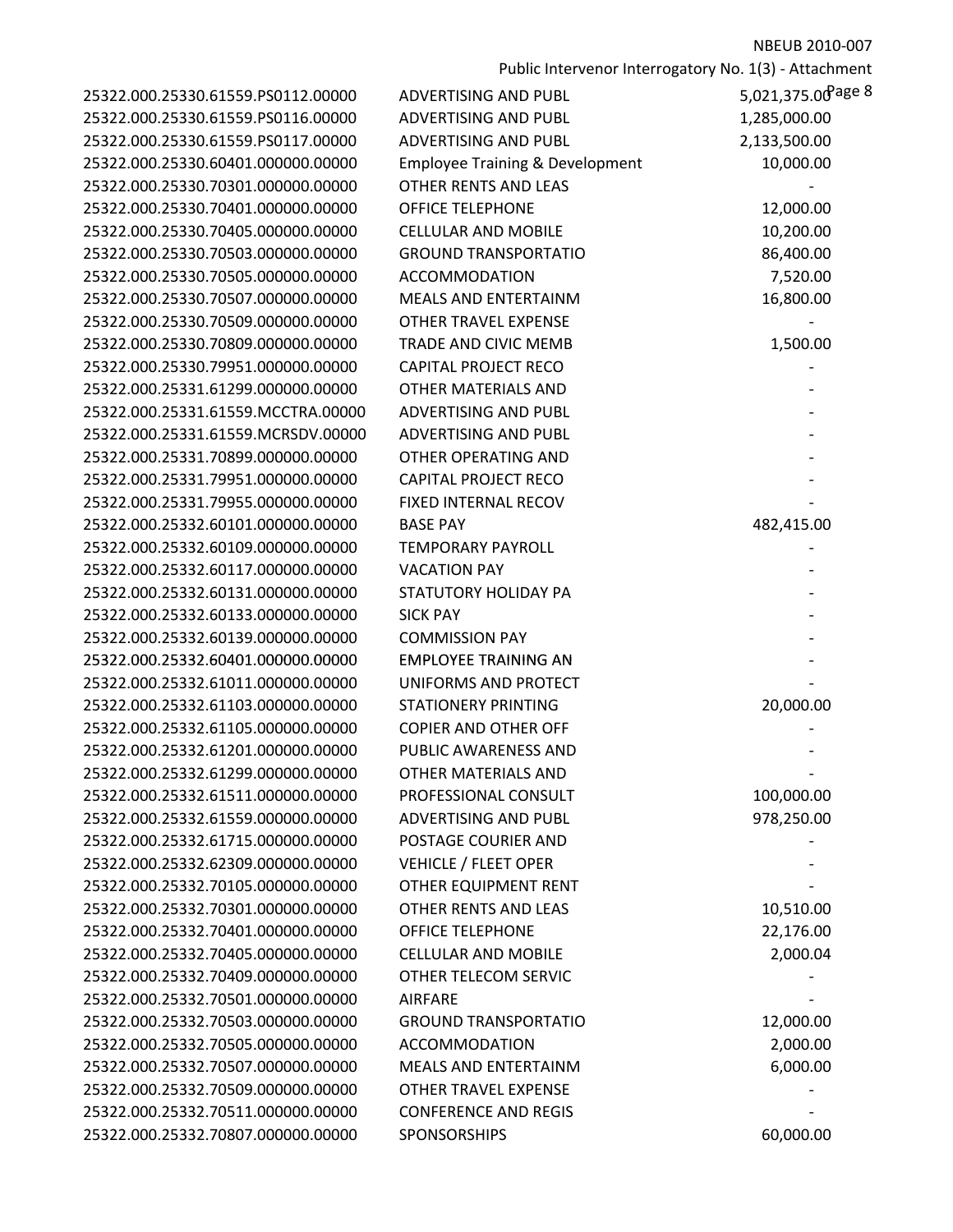| 25322.000.25330.61559.PS0112.00000 | <b>ADVERTISING AND PUBL</b>        |
|------------------------------------|------------------------------------|
| 25322.000.25330.61559.PS0116.00000 | <b>ADVERTISING AND PUBL</b>        |
| 25322.000.25330.61559.PS0117.00000 | <b>ADVERTISING AND PUBL</b>        |
| 25322.000.25330.60401.000000.00000 | <b>Employee Training &amp; Dev</b> |
| 25322.000.25330.70301.000000.00000 | OTHER RENTS AND LEAS               |
| 25322.000.25330.70401.000000.00000 | <b>OFFICE TELEPHONE</b>            |
| 25322.000.25330.70405.000000.00000 | <b>CELLULAR AND MOBILE</b>         |
| 25322.000.25330.70503.000000.00000 | <b>GROUND TRANSPORTATI</b>         |
| 25322.000.25330.70505.000000.00000 | <b>ACCOMMODATION</b>               |
| 25322.000.25330.70507.000000.00000 | <b>MEALS AND ENTERTAINN</b>        |
| 25322.000.25330.70509.000000.00000 | <b>OTHER TRAVEL EXPENSE</b>        |
| 25322.000.25330.70809.000000.00000 | <b>TRADE AND CIVIC MEMB</b>        |
| 25322.000.25330.79951.000000.00000 | <b>CAPITAL PROJECT RECO</b>        |
| 25322.000.25331.61299.000000.00000 | <b>OTHER MATERIALS AND</b>         |
| 25322.000.25331.61559.MCCTRA.00000 | <b>ADVERTISING AND PUBL</b>        |
| 25322.000.25331.61559.MCRSDV.00000 | <b>ADVERTISING AND PUBL</b>        |
| 25322.000.25331.70899.000000.00000 | OTHER OPERATING AND                |
| 25322.000.25331.79951.000000.00000 | <b>CAPITAL PROJECT RECO</b>        |
| 25322.000.25331.79955.000000.00000 | <b>FIXED INTERNAL RECOV</b>        |
| 25322.000.25332.60101.000000.00000 | <b>BASE PAY</b>                    |
| 25322.000.25332.60109.000000.00000 | <b>TEMPORARY PAYROLL</b>           |
| 25322.000.25332.60117.000000.00000 | <b>VACATION PAY</b>                |
| 25322.000.25332.60131.000000.00000 | STATUTORY HOLIDAY PA               |
| 25322.000.25332.60133.000000.00000 | <b>SICK PAY</b>                    |
| 25322.000.25332.60139.000000.00000 | <b>COMMISSION PAY</b>              |
| 25322.000.25332.60401.000000.00000 | <b>EMPLOYEE TRAINING AN</b>        |
| 25322.000.25332.61011.000000.00000 | UNIFORMS AND PROTECT               |
| 25322.000.25332.61103.000000.00000 | <b>STATIONERY PRINTING</b>         |
| 25322.000.25332.61105.000000.00000 | <b>COPIER AND OTHER OFF</b>        |
| 25322.000.25332.61201.000000.00000 | PUBLIC AWARENESS AND               |
| 25322.000.25332.61299.000000.00000 | OTHER MATERIALS AND                |
| 25322.000.25332.61511.000000.00000 | PROFESSIONAL CONSULT               |
| 25322.000.25332.61559.000000.00000 | <b>ADVERTISING AND PUBL</b>        |
| 25322.000.25332.61715.000000.00000 | POSTAGE COURIER AND                |
| 25322.000.25332.62309.000000.00000 | <b>VEHICLE / FLEET OPER</b>        |
| 25322.000.25332.70105.000000.00000 | <b>OTHER EQUIPMENT RENT</b>        |
| 25322.000.25332.70301.000000.00000 | OTHER RENTS AND LEAS               |
| 25322.000.25332.70401.000000.00000 | <b>OFFICE TELEPHONE</b>            |
| 25322.000.25332.70405.000000.00000 | <b>CELLULAR AND MOBILE</b>         |
| 25322.000.25332.70409.000000.00000 | <b>OTHER TELECOM SERVIC</b>        |
| 25322.000.25332.70501.000000.00000 | <b>AIRFARE</b>                     |
| 25322.000.25332.70503.000000.00000 | <b>GROUND TRANSPORTATI</b>         |
| 25322.000.25332.70505.000000.00000 | <b>ACCOMMODATION</b>               |
| 25322.000.25332.70507.000000.00000 | <b>MEALS AND ENTERTAINN</b>        |
| 25322.000.25332.70509.000000.00000 | <b>OTHER TRAVEL EXPENSE</b>        |
| 25322.000.25332.70511.000000.00000 | <b>CONFERENCE AND REGIS</b>        |
| 25322.000.25332.70807.000000.00000 | <b>SPONSORSHIPS</b>                |
|                                    |                                    |

| 25322.000.25330.61559.PS0112.00000 | <b>ADVERTISING AND PUBL</b>                | 5,021,375.00 age 8 |
|------------------------------------|--------------------------------------------|--------------------|
| 25322.000.25330.61559.PS0116.00000 | <b>ADVERTISING AND PUBL</b>                | 1,285,000.00       |
| 25322.000.25330.61559.PS0117.00000 | <b>ADVERTISING AND PUBL</b>                | 2,133,500.00       |
| 25322.000.25330.60401.000000.00000 | <b>Employee Training &amp; Development</b> | 10,000.00          |
| 25322.000.25330.70301.000000.00000 | OTHER RENTS AND LEAS                       |                    |
| 25322.000.25330.70401.000000.00000 | <b>OFFICE TELEPHONE</b>                    | 12,000.00          |
| 25322.000.25330.70405.000000.00000 | <b>CELLULAR AND MOBILE</b>                 | 10,200.00          |
| 25322.000.25330.70503.000000.00000 | <b>GROUND TRANSPORTATIO</b>                | 86,400.00          |
| 25322.000.25330.70505.000000.00000 | <b>ACCOMMODATION</b>                       | 7,520.00           |
| 25322.000.25330.70507.000000.00000 | <b>MEALS AND ENTERTAINM</b>                | 16,800.00          |
| 25322.000.25330.70509.000000.00000 | <b>OTHER TRAVEL EXPENSE</b>                |                    |
| 25322.000.25330.70809.000000.00000 | TRADE AND CIVIC MEMB                       | 1,500.00           |
| 25322.000.25330.79951.000000.00000 | <b>CAPITAL PROJECT RECO</b>                |                    |
| 25322.000.25331.61299.000000.00000 | <b>OTHER MATERIALS AND</b>                 |                    |
| 25322.000.25331.61559.MCCTRA.00000 | <b>ADVERTISING AND PUBL</b>                |                    |
| 25322.000.25331.61559.MCRSDV.00000 | ADVERTISING AND PUBL                       |                    |
| 25322.000.25331.70899.000000.00000 | <b>OTHER OPERATING AND</b>                 |                    |
| 25322.000.25331.79951.000000.00000 | <b>CAPITAL PROJECT RECO</b>                |                    |
| 25322.000.25331.79955.000000.00000 | FIXED INTERNAL RECOV                       |                    |
| 25322.000.25332.60101.000000.00000 | <b>BASE PAY</b>                            | 482,415.00         |
| 25322.000.25332.60109.000000.00000 | <b>TEMPORARY PAYROLL</b>                   |                    |
| 25322.000.25332.60117.000000.00000 | <b>VACATION PAY</b>                        |                    |
| 25322.000.25332.60131.000000.00000 | STATUTORY HOLIDAY PA                       |                    |
| 25322.000.25332.60133.000000.00000 | <b>SICK PAY</b>                            |                    |
| 25322.000.25332.60139.000000.00000 | <b>COMMISSION PAY</b>                      |                    |
| 25322.000.25332.60401.000000.00000 | <b>EMPLOYEE TRAINING AN</b>                |                    |
| 25322.000.25332.61011.000000.00000 | UNIFORMS AND PROTECT                       |                    |
| 25322.000.25332.61103.000000.00000 | <b>STATIONERY PRINTING</b>                 | 20,000.00          |
| 25322.000.25332.61105.000000.00000 | <b>COPIER AND OTHER OFF</b>                |                    |
| 25322.000.25332.61201.000000.00000 | PUBLIC AWARENESS AND                       |                    |
| 25322.000.25332.61299.000000.00000 | OTHER MATERIALS AND                        |                    |
| 25322.000.25332.61511.000000.00000 | PROFESSIONAL CONSULT                       | 100,000.00         |
| 25322.000.25332.61559.000000.00000 | ADVERTISING AND PUBL                       | 978,250.00         |
| 25322.000.25332.61715.000000.00000 | POSTAGE COURIER AND                        |                    |
| 25322.000.25332.62309.000000.00000 | <b>VEHICLE / FLEET OPER</b>                |                    |
| 25322.000.25332.70105.000000.00000 | OTHER EQUIPMENT RENT                       |                    |
| 25322.000.25332.70301.000000.00000 | <b>OTHER RENTS AND LEAS</b>                | 10,510.00          |
| 25322.000.25332.70401.000000.00000 | <b>OFFICE TELEPHONE</b>                    | 22,176.00          |
| 25322.000.25332.70405.000000.00000 | <b>CELLULAR AND MOBILE</b>                 | 2,000.04           |
| 25322.000.25332.70409.000000.00000 | OTHER TELECOM SERVIC                       |                    |
| 25322.000.25332.70501.000000.00000 | <b>AIRFARE</b>                             |                    |
| 25322.000.25332.70503.000000.00000 | <b>GROUND TRANSPORTATIO</b>                | 12,000.00          |
| 25322.000.25332.70505.000000.00000 | <b>ACCOMMODATION</b>                       | 2,000.00           |
| 25322.000.25332.70507.000000.00000 | <b>MEALS AND ENTERTAINM</b>                | 6,000.00           |
| 25322.000.25332.70509.000000.00000 | <b>OTHER TRAVEL EXPENSE</b>                |                    |
| 25322.000.25332.70511.000000.00000 | <b>CONFERENCE AND REGIS</b>                |                    |
| 25322.000.25332.70807.000000.00000 | SPONSORSHIPS                               | 60,000.00          |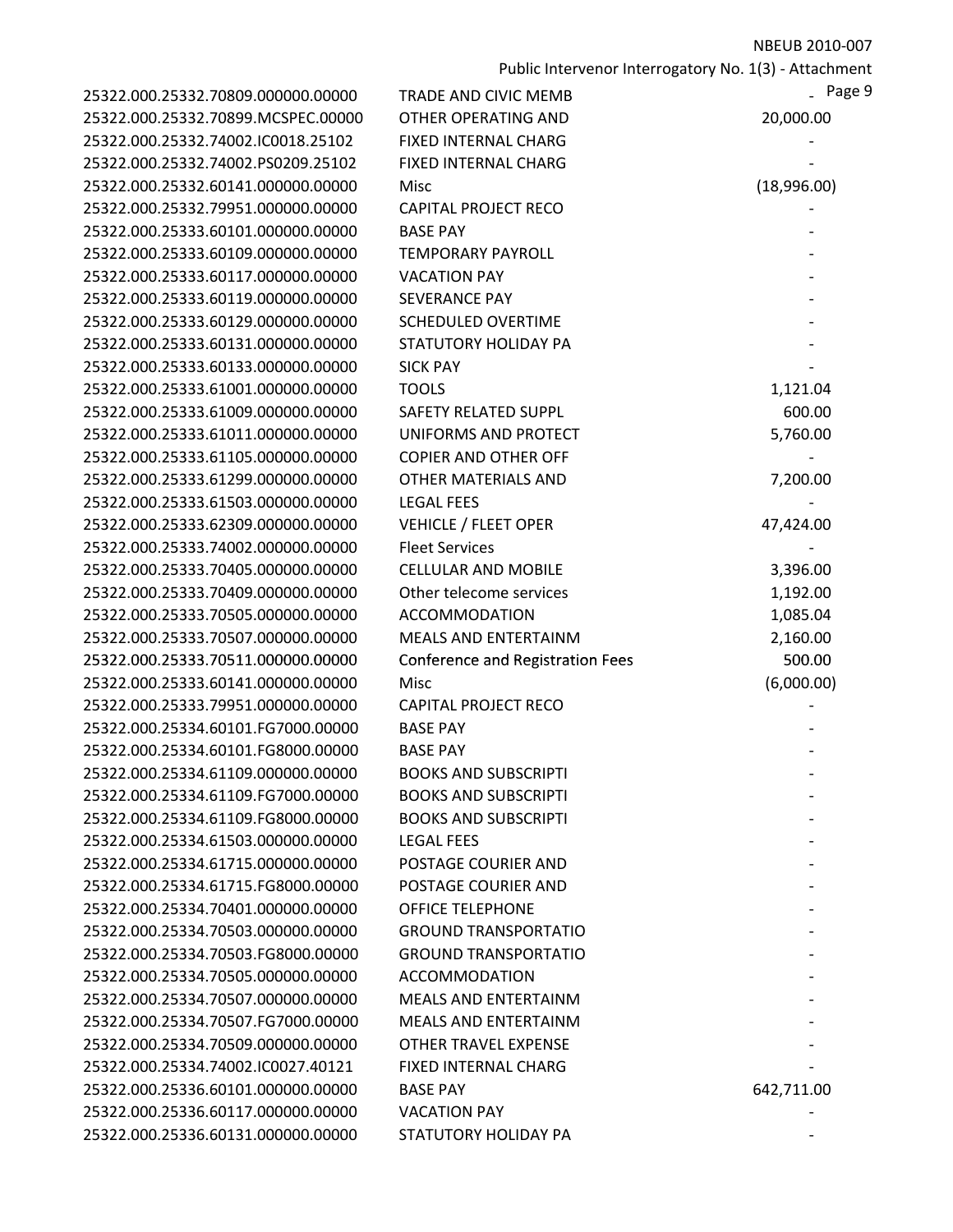| 25322.000.25332.70809.000000.00000 | TRADE AND CIVIC MEMB                    | $-$ Page 9  |
|------------------------------------|-----------------------------------------|-------------|
| 25322.000.25332.70899.MCSPEC.00000 | <b>OTHER OPERATING AND</b>              | 20,000.00   |
| 25322.000.25332.74002.IC0018.25102 | <b>FIXED INTERNAL CHARG</b>             |             |
| 25322.000.25332.74002.PS0209.25102 | <b>FIXED INTERNAL CHARG</b>             |             |
| 25322.000.25332.60141.000000.00000 | Misc                                    | (18,996.00) |
| 25322.000.25332.79951.000000.00000 | <b>CAPITAL PROJECT RECO</b>             |             |
| 25322.000.25333.60101.000000.00000 | <b>BASE PAY</b>                         |             |
| 25322.000.25333.60109.000000.00000 | <b>TEMPORARY PAYROLL</b>                |             |
| 25322.000.25333.60117.000000.00000 | <b>VACATION PAY</b>                     |             |
| 25322.000.25333.60119.000000.00000 | <b>SEVERANCE PAY</b>                    |             |
| 25322.000.25333.60129.000000.00000 | <b>SCHEDULED OVERTIME</b>               |             |
| 25322.000.25333.60131.000000.00000 | <b>STATUTORY HOLIDAY PA</b>             |             |
| 25322.000.25333.60133.000000.00000 | <b>SICK PAY</b>                         |             |
| 25322.000.25333.61001.000000.00000 | <b>TOOLS</b>                            | 1,121.04    |
| 25322.000.25333.61009.000000.00000 | <b>SAFETY RELATED SUPPL</b>             | 600.00      |
| 25322.000.25333.61011.000000.00000 | UNIFORMS AND PROTECT                    | 5,760.00    |
| 25322.000.25333.61105.000000.00000 | <b>COPIER AND OTHER OFF</b>             |             |
| 25322.000.25333.61299.000000.00000 | <b>OTHER MATERIALS AND</b>              | 7,200.00    |
| 25322.000.25333.61503.000000.00000 | <b>LEGAL FEES</b>                       |             |
| 25322.000.25333.62309.000000.00000 | <b>VEHICLE / FLEET OPER</b>             | 47,424.00   |
| 25322.000.25333.74002.000000.00000 | <b>Fleet Services</b>                   |             |
| 25322.000.25333.70405.000000.00000 | <b>CELLULAR AND MOBILE</b>              | 3,396.00    |
| 25322.000.25333.70409.000000.00000 | Other telecome services                 | 1,192.00    |
| 25322.000.25333.70505.000000.00000 | <b>ACCOMMODATION</b>                    | 1,085.04    |
| 25322.000.25333.70507.000000.00000 | <b>MEALS AND ENTERTAINM</b>             | 2,160.00    |
| 25322.000.25333.70511.000000.00000 | <b>Conference and Registration Fees</b> | 500.00      |
| 25322.000.25333.60141.000000.00000 | Misc                                    | (6,000.00)  |
| 25322.000.25333.79951.000000.00000 | <b>CAPITAL PROJECT RECO</b>             |             |
| 25322.000.25334.60101.FG7000.00000 | <b>BASE PAY</b>                         |             |
| 25322.000.25334.60101.FG8000.00000 | <b>BASE PAY</b>                         |             |
| 25322.000.25334.61109.000000.00000 | <b>BOOKS AND SUBSCRIPTI</b>             |             |
| 25322.000.25334.61109.FG7000.00000 | <b>BOOKS AND SUBSCRIPTI</b>             |             |
| 25322.000.25334.61109.FG8000.00000 | <b>BOOKS AND SUBSCRIPTI</b>             |             |
| 25322.000.25334.61503.000000.00000 | <b>LEGAL FEES</b>                       |             |
| 25322.000.25334.61715.000000.00000 | POSTAGE COURIER AND                     |             |
| 25322.000.25334.61715.FG8000.00000 | POSTAGE COURIER AND                     |             |
| 25322.000.25334.70401.000000.00000 | <b>OFFICE TELEPHONE</b>                 |             |
| 25322.000.25334.70503.000000.00000 | <b>GROUND TRANSPORTATIO</b>             |             |
| 25322.000.25334.70503.FG8000.00000 | <b>GROUND TRANSPORTATIO</b>             |             |
| 25322.000.25334.70505.000000.00000 | <b>ACCOMMODATION</b>                    |             |
| 25322.000.25334.70507.000000.00000 | MEALS AND ENTERTAINM                    |             |
| 25322.000.25334.70507.FG7000.00000 | <b>MEALS AND ENTERTAINM</b>             |             |
| 25322.000.25334.70509.000000.00000 | <b>OTHER TRAVEL EXPENSE</b>             |             |
| 25322.000.25334.74002.IC0027.40121 | <b>FIXED INTERNAL CHARG</b>             |             |
| 25322.000.25336.60101.000000.00000 | <b>BASE PAY</b>                         | 642,711.00  |
| 25322.000.25336.60117.000000.00000 | <b>VACATION PAY</b>                     |             |
| 25322.000.25336.60131.000000.00000 | STATUTORY HOLIDAY PA                    |             |

| 2,711.00 |
|----------|
|          |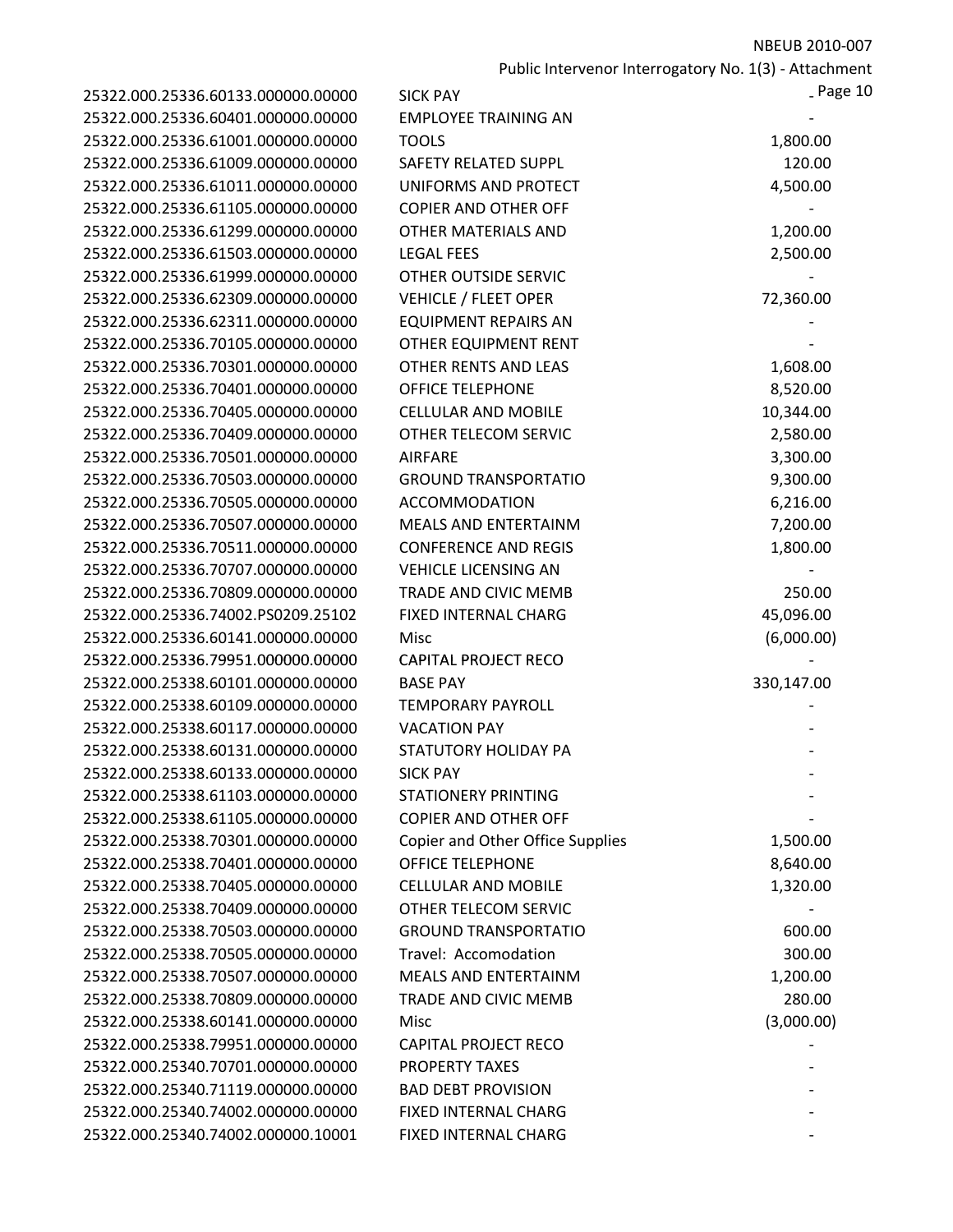Public Intervenor Interrogatory No. 1(3) ‐ Attachment

| 25322.000.25336.60133.000000.00000 | <b>SICK PAY</b>                         | $2$ Page 10 |
|------------------------------------|-----------------------------------------|-------------|
| 25322.000.25336.60401.000000.00000 | <b>EMPLOYEE TRAINING AN</b>             |             |
| 25322.000.25336.61001.000000.00000 | <b>TOOLS</b>                            | 1,800.00    |
| 25322.000.25336.61009.000000.00000 | <b>SAFETY RELATED SUPPL</b>             | 120.00      |
| 25322.000.25336.61011.000000.00000 | UNIFORMS AND PROTECT                    | 4,500.00    |
| 25322.000.25336.61105.000000.00000 | <b>COPIER AND OTHER OFF</b>             |             |
| 25322.000.25336.61299.000000.00000 | OTHER MATERIALS AND                     | 1,200.00    |
| 25322.000.25336.61503.000000.00000 | <b>LEGAL FEES</b>                       | 2,500.00    |
| 25322.000.25336.61999.000000.00000 | OTHER OUTSIDE SERVIC                    |             |
| 25322.000.25336.62309.000000.00000 | <b>VEHICLE / FLEET OPER</b>             | 72,360.00   |
| 25322.000.25336.62311.000000.00000 | <b>EQUIPMENT REPAIRS AN</b>             |             |
| 25322.000.25336.70105.000000.00000 | OTHER EQUIPMENT RENT                    |             |
| 25322.000.25336.70301.000000.00000 | OTHER RENTS AND LEAS                    | 1,608.00    |
| 25322.000.25336.70401.000000.00000 | <b>OFFICE TELEPHONE</b>                 | 8,520.00    |
| 25322.000.25336.70405.000000.00000 | <b>CELLULAR AND MOBILE</b>              | 10,344.00   |
| 25322.000.25336.70409.000000.00000 | OTHER TELECOM SERVIC                    | 2,580.00    |
| 25322.000.25336.70501.000000.00000 | <b>AIRFARE</b>                          | 3,300.00    |
| 25322.000.25336.70503.000000.00000 | <b>GROUND TRANSPORTATIO</b>             | 9,300.00    |
| 25322.000.25336.70505.000000.00000 | <b>ACCOMMODATION</b>                    | 6,216.00    |
| 25322.000.25336.70507.000000.00000 | <b>MEALS AND ENTERTAINM</b>             | 7,200.00    |
| 25322.000.25336.70511.000000.00000 | <b>CONFERENCE AND REGIS</b>             | 1,800.00    |
| 25322.000.25336.70707.000000.00000 | <b>VEHICLE LICENSING AN</b>             |             |
| 25322.000.25336.70809.000000.00000 | TRADE AND CIVIC MEMB                    | 250.00      |
| 25322.000.25336.74002.PS0209.25102 | <b>FIXED INTERNAL CHARG</b>             | 45,096.00   |
| 25322.000.25336.60141.000000.00000 | Misc                                    | (6,000.00)  |
| 25322.000.25336.79951.000000.00000 | <b>CAPITAL PROJECT RECO</b>             |             |
| 25322.000.25338.60101.000000.00000 | <b>BASE PAY</b>                         | 330,147.00  |
| 25322.000.25338.60109.000000.00000 | <b>TEMPORARY PAYROLL</b>                |             |
| 25322.000.25338.60117.000000.00000 | <b>VACATION PAY</b>                     |             |
| 25322.000.25338.60131.000000.00000 | STATUTORY HOLIDAY PA                    |             |
| 25322.000.25338.60133.000000.00000 | <b>SICK PAY</b>                         |             |
| 25322.000.25338.61103.000000.00000 | <b>STATIONERY PRINTING</b>              |             |
| 25322.000.25338.61105.000000.00000 | <b>COPIER AND OTHER OFF</b>             |             |
| 25322.000.25338.70301.000000.00000 | <b>Copier and Other Office Supplies</b> | 1,500.00    |
| 25322.000.25338.70401.000000.00000 | <b>OFFICE TELEPHONE</b>                 | 8,640.00    |
| 25322.000.25338.70405.000000.00000 | <b>CELLULAR AND MOBILE</b>              | 1,320.00    |
| 25322.000.25338.70409.000000.00000 | OTHER TELECOM SERVIC                    |             |
| 25322.000.25338.70503.000000.00000 | <b>GROUND TRANSPORTATIO</b>             | 600.00      |
| 25322.000.25338.70505.000000.00000 | Travel: Accomodation                    | 300.00      |
| 25322.000.25338.70507.000000.00000 | <b>MEALS AND ENTERTAINM</b>             | 1,200.00    |
| 25322.000.25338.70809.000000.00000 | TRADE AND CIVIC MEMB                    | 280.00      |
| 25322.000.25338.60141.000000.00000 | Misc                                    | (3,000.00)  |
| 25322.000.25338.79951.000000.00000 | <b>CAPITAL PROJECT RECO</b>             |             |
| 25322.000.25340.70701.000000.00000 | <b>PROPERTY TAXES</b>                   |             |
| 25322.000.25340.71119.000000.00000 | <b>BAD DEBT PROVISION</b>               |             |
| 25322.000.25340.74002.000000.00000 | <b>FIXED INTERNAL CHARG</b>             |             |
| 25322.000.25340.74002.000000.10001 | FIXED INTERNAL CHARG                    |             |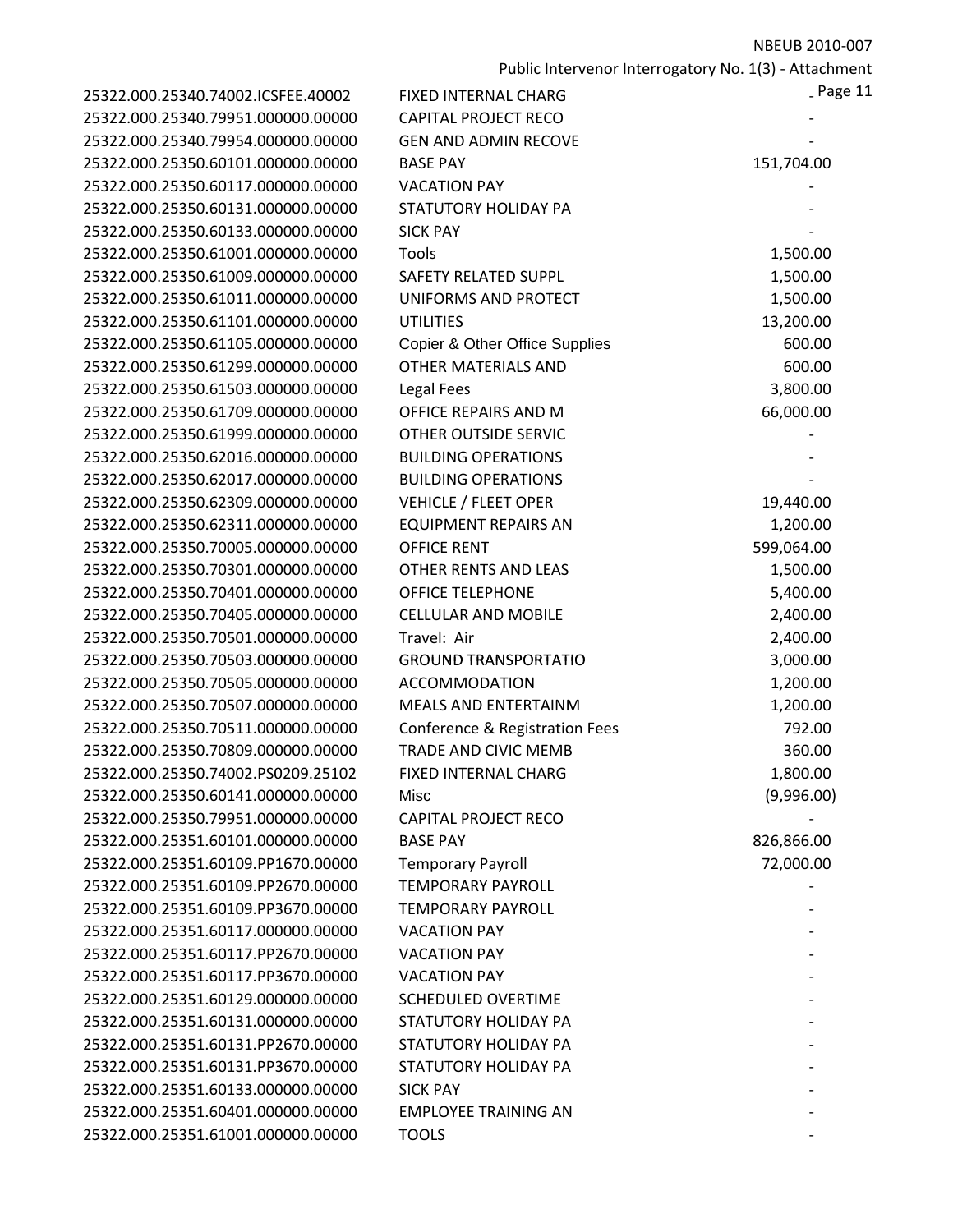| 25322.000.25340.74002.ICSFEE.40002 |  |
|------------------------------------|--|
| 25322.000.25340.79951.000000.00000 |  |
| 25322.000.25340.79954.000000.00000 |  |
| 25322.000.25350.60101.000000.00000 |  |
| 25322.000.25350.60117.000000.00000 |  |
| 25322.000.25350.60131.000000.00000 |  |
| 25322.000.25350.60133.000000.00000 |  |
| 25322.000.25350.61001.000000.00000 |  |
| 25322.000.25350.61009.000000.00000 |  |
| 25322.000.25350.61011.000000.00000 |  |
| 25322.000.25350.61101.000000.00000 |  |
| 25322.000.25350.61105.000000.00000 |  |
| 25322.000.25350.61299.000000.00000 |  |
| 25322.000.25350.61503.000000.00000 |  |
| 25322.000.25350.61709.000000.00000 |  |
| 25322.000.25350.61999.000000.00000 |  |
| 25322.000.25350.62016.000000.00000 |  |
| 25322.000.25350.62017.000000.00000 |  |
| 25322.000.25350.62309.000000.00000 |  |
| 25322.000.25350.62311.000000.00000 |  |
| 25322.000.25350.70005.000000.00000 |  |
| 25322.000.25350.70301.000000.00000 |  |
| 25322.000.25350.70401.000000.00000 |  |
| 25322.000.25350.70405.000000.00000 |  |
| 25322.000.25350.70501.000000.00000 |  |
| 25322.000.25350.70503.000000.00000 |  |
| 25322.000.25350.70505.000000.00000 |  |
| 25322.000.25350.70507.000000.00000 |  |
| 25322.000.25350.70511.000000.00000 |  |
| 25322.000.25350.70809.000000.00000 |  |
| 25322.000.25350.74002.PS0209.25102 |  |
| 25322.000.25350.60141.000000.00000 |  |
| 25322.000.25350.79951.000000.00000 |  |
| 25322.000.25351.60101.000000.00000 |  |
| 25322.000.25351.60109.PP1670.00000 |  |
| 25322.000.25351.60109.PP2670.00000 |  |
| 25322.000.25351.60109.PP3670.00000 |  |
| 25322.000.25351.60117.000000.00000 |  |
| 25322.000.25351.60117.PP2670.00000 |  |
| 25322.000.25351.60117.PP3670.00000 |  |
| 25322.000.25351.60129.000000.00000 |  |
| 25322.000.25351.60131.000000.00000 |  |
| 25322.000.25351.60131.PP2670.00000 |  |
| 25322.000.25351.60131.PP3670.00000 |  |
| 25322.000.25351.60133.000000.00000 |  |
| 25322.000.25351.60401.000000.00000 |  |
| 25322.000.25351.61001.000000.00000 |  |
|                                    |  |

| 25322.000.25340.74002.ICSFEE.40002 | <b>FIXED INTERNAL CHARG</b>    | _Page 11   |
|------------------------------------|--------------------------------|------------|
| 25322.000.25340.79951.000000.00000 | <b>CAPITAL PROJECT RECO</b>    |            |
| 25322.000.25340.79954.000000.00000 | <b>GEN AND ADMIN RECOVE</b>    |            |
| 25322.000.25350.60101.000000.00000 | <b>BASE PAY</b>                | 151,704.00 |
| 25322.000.25350.60117.000000.00000 | <b>VACATION PAY</b>            |            |
| 25322.000.25350.60131.000000.00000 | STATUTORY HOLIDAY PA           |            |
| 25322.000.25350.60133.000000.00000 | <b>SICK PAY</b>                |            |
| 25322.000.25350.61001.000000.00000 | Tools                          | 1,500.00   |
| 25322.000.25350.61009.000000.00000 | <b>SAFETY RELATED SUPPL</b>    | 1,500.00   |
| 25322.000.25350.61011.000000.00000 | UNIFORMS AND PROTECT           | 1,500.00   |
| 25322.000.25350.61101.000000.00000 | <b>UTILITIES</b>               | 13,200.00  |
| 25322.000.25350.61105.000000.00000 | Copier & Other Office Supplies | 600.00     |
| 25322.000.25350.61299.000000.00000 | OTHER MATERIALS AND            | 600.00     |
| 25322.000.25350.61503.000000.00000 | Legal Fees                     | 3,800.00   |
| 25322.000.25350.61709.000000.00000 | OFFICE REPAIRS AND M           | 66,000.00  |
| 25322.000.25350.61999.000000.00000 | OTHER OUTSIDE SERVIC           |            |
| 25322.000.25350.62016.000000.00000 | <b>BUILDING OPERATIONS</b>     |            |
| 25322.000.25350.62017.000000.00000 | <b>BUILDING OPERATIONS</b>     |            |
| 25322.000.25350.62309.000000.00000 | <b>VEHICLE / FLEET OPER</b>    | 19,440.00  |
| 25322.000.25350.62311.000000.00000 | <b>EQUIPMENT REPAIRS AN</b>    | 1,200.00   |
| 25322.000.25350.70005.000000.00000 | <b>OFFICE RENT</b>             | 599,064.00 |
| 25322.000.25350.70301.000000.00000 | OTHER RENTS AND LEAS           | 1,500.00   |
| 25322.000.25350.70401.000000.00000 | <b>OFFICE TELEPHONE</b>        | 5,400.00   |
| 25322.000.25350.70405.000000.00000 | <b>CELLULAR AND MOBILE</b>     | 2,400.00   |
| 25322.000.25350.70501.000000.00000 | Travel: Air                    | 2,400.00   |
| 25322.000.25350.70503.000000.00000 | <b>GROUND TRANSPORTATIO</b>    | 3,000.00   |
| 25322.000.25350.70505.000000.00000 | <b>ACCOMMODATION</b>           | 1,200.00   |
| 25322.000.25350.70507.000000.00000 | <b>MEALS AND ENTERTAINM</b>    | 1,200.00   |
| 25322.000.25350.70511.000000.00000 | Conference & Registration Fees | 792.00     |
| 25322.000.25350.70809.000000.00000 | <b>TRADE AND CIVIC MEMB</b>    | 360.00     |
| 25322.000.25350.74002.PS0209.25102 | FIXED INTERNAL CHARG           | 1,800.00   |
| 25322.000.25350.60141.000000.00000 | Misc                           | (9,996.00) |
| 25322.000.25350.79951.000000.00000 | <b>CAPITAL PROJECT RECO</b>    |            |
| 25322.000.25351.60101.000000.00000 | <b>BASE PAY</b>                | 826,866.00 |
| 25322.000.25351.60109.PP1670.00000 | <b>Temporary Payroll</b>       | 72,000.00  |
| 25322.000.25351.60109.PP2670.00000 | <b>TEMPORARY PAYROLL</b>       |            |
| 25322.000.25351.60109.PP3670.00000 | <b>TEMPORARY PAYROLL</b>       |            |
| 25322.000.25351.60117.000000.00000 | <b>VACATION PAY</b>            |            |
| 25322.000.25351.60117.PP2670.00000 | <b>VACATION PAY</b>            |            |
| 25322.000.25351.60117.PP3670.00000 | <b>VACATION PAY</b>            |            |
| 25322.000.25351.60129.000000.00000 | <b>SCHEDULED OVERTIME</b>      |            |
| 25322.000.25351.60131.000000.00000 | STATUTORY HOLIDAY PA           |            |
| 25322.000.25351.60131.PP2670.00000 | STATUTORY HOLIDAY PA           |            |
| 25322.000.25351.60131.PP3670.00000 | <b>STATUTORY HOLIDAY PA</b>    |            |
| 25322.000.25351.60133.000000.00000 | <b>SICK PAY</b>                |            |
| 25322.000.25351.60401.000000.00000 | <b>EMPLOYEE TRAINING AN</b>    |            |
| 25322.000.25351.61001.000000.00000 | <b>TOOLS</b>                   |            |
|                                    |                                |            |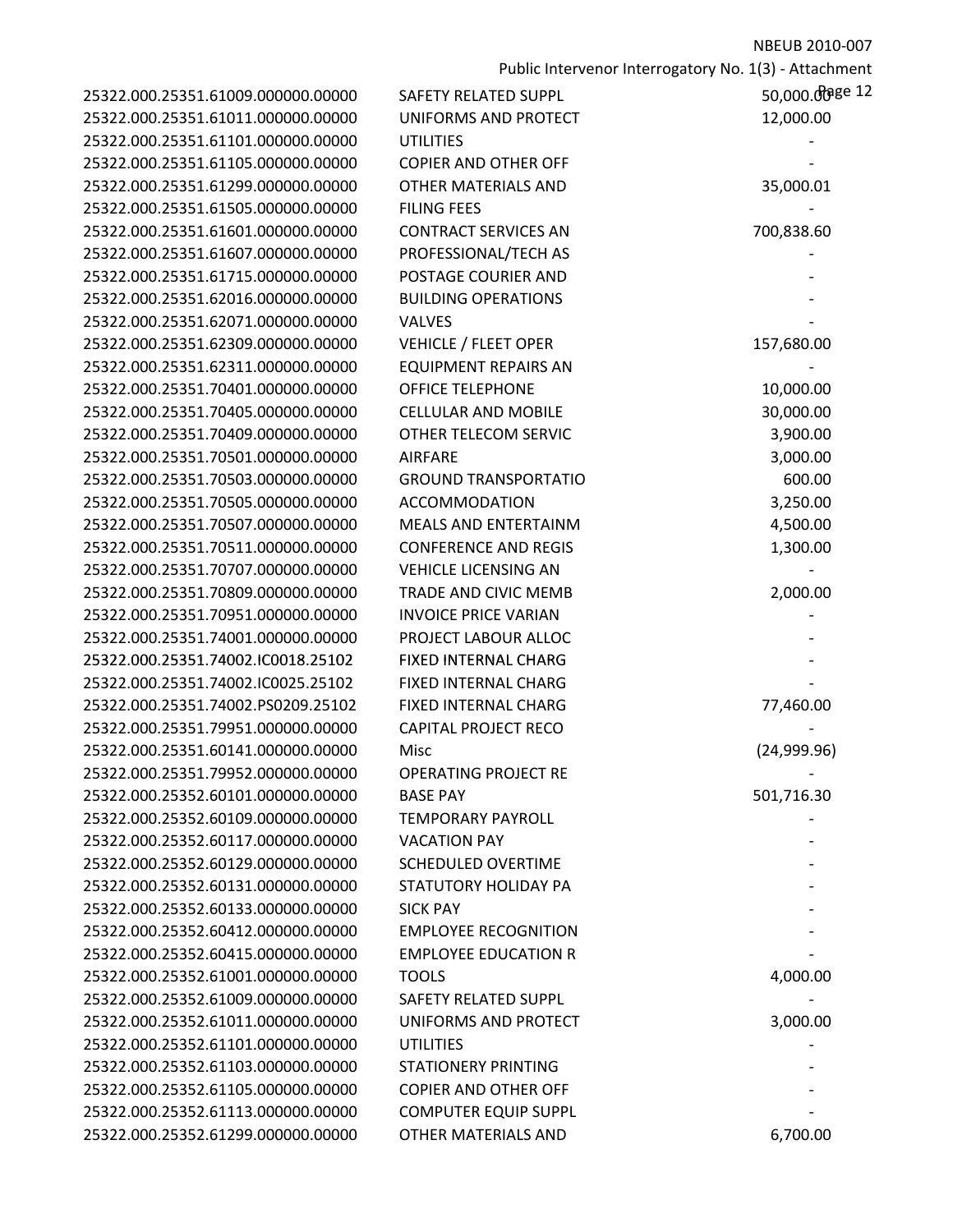|                                    |                             | Public Intervenor Interrogatory No. 1(3) - Attachment |
|------------------------------------|-----------------------------|-------------------------------------------------------|
| 25322.000.25351.61009.000000.00000 | <b>SAFETY RELATED SUPPL</b> | 50,000.00ge 12                                        |
| 25322.000.25351.61011.000000.00000 | UNIFORMS AND PROTECT        | 12,000.00                                             |
| 25322.000.25351.61101.000000.00000 | <b>UTILITIES</b>            |                                                       |
| 25322.000.25351.61105.000000.00000 | <b>COPIER AND OTHER OFF</b> |                                                       |
| 25322.000.25351.61299.000000.00000 | OTHER MATERIALS AND         | 35,000.01                                             |
| 25322.000.25351.61505.000000.00000 | <b>FILING FEES</b>          |                                                       |
| 25322.000.25351.61601.000000.00000 | <b>CONTRACT SERVICES AN</b> | 700,838.60                                            |
| 25322.000.25351.61607.000000.00000 | PROFESSIONAL/TECH AS        |                                                       |
| 25322.000.25351.61715.000000.00000 | POSTAGE COURIER AND         |                                                       |
|                                    | <b>BUILDING OPERATIONS</b>  |                                                       |
| 25322.000.25351.62016.000000.00000 |                             |                                                       |
| 25322.000.25351.62071.000000.00000 | VALVES                      |                                                       |
| 25322.000.25351.62309.000000.00000 | <b>VEHICLE / FLEET OPER</b> | 157,680.00                                            |
| 25322.000.25351.62311.000000.00000 | <b>EQUIPMENT REPAIRS AN</b> |                                                       |
| 25322.000.25351.70401.000000.00000 | <b>OFFICE TELEPHONE</b>     | 10,000.00                                             |
| 25322.000.25351.70405.000000.00000 | <b>CELLULAR AND MOBILE</b>  | 30,000.00                                             |
| 25322.000.25351.70409.000000.00000 | OTHER TELECOM SERVIC        | 3,900.00                                              |
| 25322.000.25351.70501.000000.00000 | <b>AIRFARE</b>              | 3,000.00                                              |
| 25322.000.25351.70503.000000.00000 | <b>GROUND TRANSPORTATIO</b> | 600.00                                                |
| 25322.000.25351.70505.000000.00000 | <b>ACCOMMODATION</b>        | 3,250.00                                              |
| 25322.000.25351.70507.000000.00000 | <b>MEALS AND ENTERTAINM</b> | 4,500.00                                              |
| 25322.000.25351.70511.000000.00000 | <b>CONFERENCE AND REGIS</b> | 1,300.00                                              |
| 25322.000.25351.70707.000000.00000 | <b>VEHICLE LICENSING AN</b> |                                                       |
| 25322.000.25351.70809.000000.00000 | TRADE AND CIVIC MEMB        | 2,000.00                                              |
| 25322.000.25351.70951.000000.00000 | <b>INVOICE PRICE VARIAN</b> |                                                       |
| 25322.000.25351.74001.000000.00000 | PROJECT LABOUR ALLOC        |                                                       |
| 25322.000.25351.74002.IC0018.25102 | FIXED INTERNAL CHARG        |                                                       |
| 25322.000.25351.74002.IC0025.25102 | FIXED INTERNAL CHARG        |                                                       |
| 25322.000.25351.74002.PS0209.25102 | FIXED INTERNAL CHARG        | 77,460.00                                             |
| 25322.000.25351.79951.000000.00000 | <b>CAPITAL PROJECT RECO</b> |                                                       |
| 25322.000.25351.60141.000000.00000 | Misc                        | (24,999.96)                                           |
| 25322.000.25351.79952.000000.00000 | <b>OPERATING PROJECT RE</b> |                                                       |
| 25322.000.25352.60101.000000.00000 | <b>BASE PAY</b>             | 501,716.30                                            |
| 25322.000.25352.60109.000000.00000 | <b>TEMPORARY PAYROLL</b>    |                                                       |
| 25322.000.25352.60117.000000.00000 | <b>VACATION PAY</b>         |                                                       |
| 25322.000.25352.60129.000000.00000 | <b>SCHEDULED OVERTIME</b>   |                                                       |
| 25322.000.25352.60131.000000.00000 | STATUTORY HOLIDAY PA        |                                                       |
| 25322.000.25352.60133.000000.00000 | <b>SICK PAY</b>             |                                                       |
| 25322.000.25352.60412.000000.00000 | <b>EMPLOYEE RECOGNITION</b> |                                                       |
| 25322.000.25352.60415.000000.00000 | <b>EMPLOYEE EDUCATION R</b> |                                                       |
| 25322.000.25352.61001.000000.00000 | <b>TOOLS</b>                | 4,000.00                                              |
| 25322.000.25352.61009.000000.00000 | SAFETY RELATED SUPPL        |                                                       |
|                                    |                             |                                                       |
| 25322.000.25352.61011.000000.00000 | UNIFORMS AND PROTECT        | 3,000.00                                              |
| 25322.000.25352.61101.000000.00000 | <b>UTILITIES</b>            |                                                       |
| 25322.000.25352.61103.000000.00000 | <b>STATIONERY PRINTING</b>  |                                                       |
| 25322.000.25352.61105.000000.00000 | <b>COPIER AND OTHER OFF</b> |                                                       |
| 25322.000.25352.61113.000000.00000 | <b>COMPUTER EQUIP SUPPL</b> |                                                       |
| 25322.000.25352.61299.000000.00000 | OTHER MATERIALS AND         | 6,700.00                                              |

#### NBEUB 2010‐007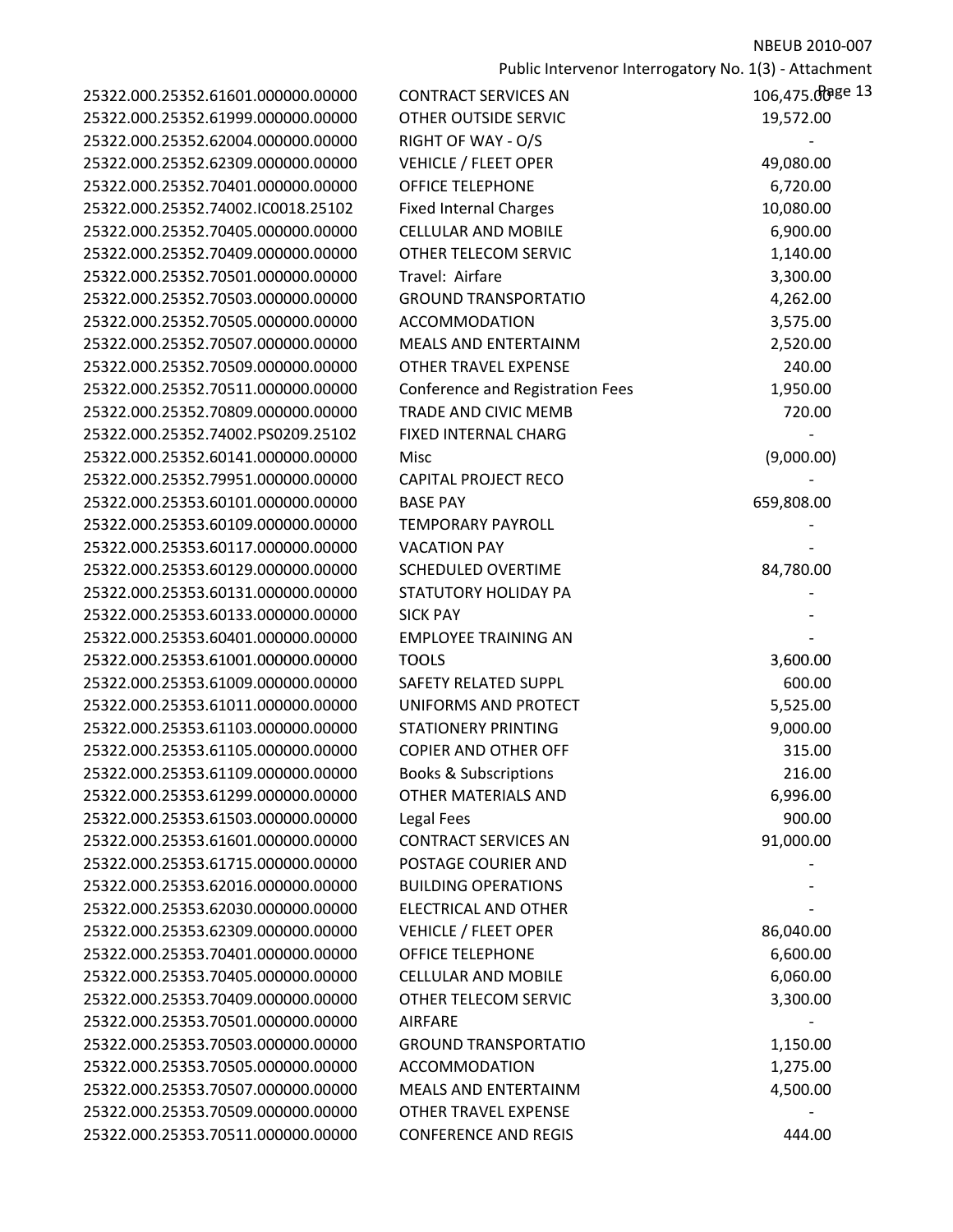| 25322.000.25352.61601.000000.00000 | <b>CONTRACT SERVICES AN</b>      | 106,475.008e 13 |
|------------------------------------|----------------------------------|-----------------|
| 25322.000.25352.61999.000000.00000 | OTHER OUTSIDE SERVIC             | 19,572.00       |
| 25322.000.25352.62004.000000.00000 | RIGHT OF WAY - O/S               |                 |
| 25322.000.25352.62309.000000.00000 | <b>VEHICLE / FLEET OPER</b>      | 49,080.00       |
| 25322.000.25352.70401.000000.00000 | <b>OFFICE TELEPHONE</b>          | 6,720.00        |
| 25322.000.25352.74002.IC0018.25102 | <b>Fixed Internal Charges</b>    | 10,080.00       |
| 25322.000.25352.70405.000000.00000 | <b>CELLULAR AND MOBILE</b>       | 6,900.00        |
| 25322.000.25352.70409.000000.00000 | OTHER TELECOM SERVIC             | 1,140.00        |
| 25322.000.25352.70501.000000.00000 | Travel: Airfare                  | 3,300.00        |
| 25322.000.25352.70503.000000.00000 | <b>GROUND TRANSPORTATIO</b>      | 4,262.00        |
| 25322.000.25352.70505.000000.00000 | <b>ACCOMMODATION</b>             | 3,575.00        |
| 25322.000.25352.70507.000000.00000 | MEALS AND ENTERTAINM             | 2,520.00        |
| 25322.000.25352.70509.000000.00000 | <b>OTHER TRAVEL EXPENSE</b>      | 240.00          |
| 25322.000.25352.70511.000000.00000 | Conference and Registration Fees | 1,950.00        |
| 25322.000.25352.70809.000000.00000 | <b>TRADE AND CIVIC MEMB</b>      | 720.00          |
| 25322.000.25352.74002.PS0209.25102 | FIXED INTERNAL CHARG             |                 |
| 25322.000.25352.60141.000000.00000 | Misc                             | (9,000.00)      |
| 25322.000.25352.79951.000000.00000 | <b>CAPITAL PROJECT RECO</b>      |                 |
| 25322.000.25353.60101.000000.00000 | <b>BASE PAY</b>                  | 659,808.00      |
| 25322.000.25353.60109.000000.00000 | <b>TEMPORARY PAYROLL</b>         |                 |
| 25322.000.25353.60117.000000.00000 | <b>VACATION PAY</b>              |                 |
| 25322.000.25353.60129.000000.00000 | <b>SCHEDULED OVERTIME</b>        | 84,780.00       |
| 25322.000.25353.60131.000000.00000 | STATUTORY HOLIDAY PA             |                 |
| 25322.000.25353.60133.000000.00000 | <b>SICK PAY</b>                  |                 |
| 25322.000.25353.60401.000000.00000 | <b>EMPLOYEE TRAINING AN</b>      |                 |
| 25322.000.25353.61001.000000.00000 | <b>TOOLS</b>                     | 3,600.00        |
| 25322.000.25353.61009.000000.00000 | <b>SAFETY RELATED SUPPL</b>      | 600.00          |
| 25322.000.25353.61011.000000.00000 | UNIFORMS AND PROTECT             | 5,525.00        |
| 25322.000.25353.61103.000000.00000 | <b>STATIONERY PRINTING</b>       | 9,000.00        |
| 25322.000.25353.61105.000000.00000 | <b>COPIER AND OTHER OFF</b>      | 315.00          |
| 25322.000.25353.61109.000000.00000 | <b>Books &amp; Subscriptions</b> | 216.00          |
| 25322.000.25353.61299.000000.00000 | OTHER MATERIALS AND              | 6,996.00        |
| 25322.000.25353.61503.000000.00000 | Legal Fees                       | 900.00          |
| 25322.000.25353.61601.000000.00000 | <b>CONTRACT SERVICES AN</b>      | 91,000.00       |
| 25322.000.25353.61715.000000.00000 | POSTAGE COURIER AND              |                 |
| 25322.000.25353.62016.000000.00000 | <b>BUILDING OPERATIONS</b>       |                 |
| 25322.000.25353.62030.000000.00000 | <b>ELECTRICAL AND OTHER</b>      |                 |
| 25322.000.25353.62309.000000.00000 | <b>VEHICLE / FLEET OPER</b>      | 86,040.00       |
| 25322.000.25353.70401.000000.00000 | <b>OFFICE TELEPHONE</b>          | 6,600.00        |
| 25322.000.25353.70405.000000.00000 | <b>CELLULAR AND MOBILE</b>       | 6,060.00        |
| 25322.000.25353.70409.000000.00000 | OTHER TELECOM SERVIC             | 3,300.00        |
| 25322.000.25353.70501.000000.00000 | <b>AIRFARE</b>                   |                 |
| 25322.000.25353.70503.000000.00000 | <b>GROUND TRANSPORTATIO</b>      | 1,150.00        |
| 25322.000.25353.70505.000000.00000 | <b>ACCOMMODATION</b>             | 1,275.00        |
| 25322.000.25353.70507.000000.00000 | <b>MEALS AND ENTERTAINM</b>      | 4,500.00        |
| 25322.000.25353.70509.000000.00000 | <b>OTHER TRAVEL EXPENSE</b>      |                 |
| 25322.000.25353.70511.000000.00000 | <b>CONFERENCE AND REGIS</b>      | 444.00          |

| 25322.000.25352.61999.000000.00000 | OTHER OUTSIDE SERVIC             | 19,572.00  |
|------------------------------------|----------------------------------|------------|
| 25322.000.25352.62004.000000.00000 | RIGHT OF WAY - O/S               |            |
| 25322.000.25352.62309.000000.00000 | <b>VEHICLE / FLEET OPER</b>      | 49,080.00  |
| 25322.000.25352.70401.000000.00000 | <b>OFFICE TELEPHONE</b>          | 6,720.00   |
| 25322.000.25352.74002.IC0018.25102 | <b>Fixed Internal Charges</b>    | 10,080.00  |
| 25322.000.25352.70405.000000.00000 | <b>CELLULAR AND MOBILE</b>       | 6,900.00   |
| 25322.000.25352.70409.000000.00000 | OTHER TELECOM SERVIC             | 1,140.00   |
| 25322.000.25352.70501.000000.00000 | Travel: Airfare                  | 3,300.00   |
| 25322.000.25352.70503.000000.00000 | <b>GROUND TRANSPORTATIO</b>      | 4,262.00   |
| 25322.000.25352.70505.000000.00000 | <b>ACCOMMODATION</b>             | 3,575.00   |
| 25322.000.25352.70507.000000.00000 | <b>MEALS AND ENTERTAINM</b>      | 2,520.00   |
| 25322.000.25352.70509.000000.00000 | <b>OTHER TRAVEL EXPENSE</b>      | 240.00     |
| 25322.000.25352.70511.000000.00000 | Conference and Registration Fees | 1,950.00   |
| 25322.000.25352.70809.000000.00000 | TRADE AND CIVIC MEMB             | 720.00     |
| 25322.000.25352.74002.PS0209.25102 | FIXED INTERNAL CHARG             |            |
| 25322.000.25352.60141.000000.00000 | Misc                             | (9,000.00) |
| 25322.000.25352.79951.000000.00000 | <b>CAPITAL PROJECT RECO</b>      |            |
| 25322.000.25353.60101.000000.00000 | <b>BASE PAY</b>                  | 659,808.00 |
| 25322.000.25353.60109.000000.00000 | <b>TEMPORARY PAYROLL</b>         |            |
| 25322.000.25353.60117.000000.00000 | <b>VACATION PAY</b>              |            |
| 25322.000.25353.60129.000000.00000 | <b>SCHEDULED OVERTIME</b>        | 84,780.00  |
| 25322.000.25353.60131.000000.00000 | STATUTORY HOLIDAY PA             |            |
| 25322.000.25353.60133.000000.00000 | <b>SICK PAY</b>                  |            |
| 25322.000.25353.60401.000000.00000 | <b>EMPLOYEE TRAINING AN</b>      |            |
| 25322.000.25353.61001.000000.00000 | <b>TOOLS</b>                     | 3,600.00   |
| 25322.000.25353.61009.000000.00000 | <b>SAFETY RELATED SUPPL</b>      | 600.00     |
| 25322.000.25353.61011.000000.00000 | UNIFORMS AND PROTECT             | 5,525.00   |
| 25322.000.25353.61103.000000.00000 | <b>STATIONERY PRINTING</b>       | 9,000.00   |
| 25322.000.25353.61105.000000.00000 | <b>COPIER AND OTHER OFF</b>      | 315.00     |
| 25322.000.25353.61109.000000.00000 | <b>Books &amp; Subscriptions</b> | 216.00     |
| 25322.000.25353.61299.000000.00000 | OTHER MATERIALS AND              | 6,996.00   |
| 25322.000.25353.61503.000000.00000 | Legal Fees                       | 900.00     |
| 25322.000.25353.61601.000000.00000 | <b>CONTRACT SERVICES AN</b>      | 91,000.00  |
| 25322.000.25353.61715.000000.00000 | POSTAGE COURIER AND              |            |
| 25322.000.25353.62016.000000.00000 | <b>BUILDING OPERATIONS</b>       |            |
| 25322.000.25353.62030.000000.00000 | <b>ELECTRICAL AND OTHER</b>      |            |
| 25322.000.25353.62309.000000.00000 | <b>VEHICLE / FLEET OPER</b>      | 86,040.00  |
| 25322.000.25353.70401.000000.00000 | <b>OFFICE TELEPHONE</b>          | 6,600.00   |
| 25322.000.25353.70405.000000.00000 | <b>CELLULAR AND MOBILE</b>       | 6,060.00   |
| 25322.000.25353.70409.000000.00000 | OTHER TELECOM SERVIC             | 3,300.00   |
| 25322.000.25353.70501.000000.00000 | <b>AIRFARE</b>                   |            |
| 25322.000.25353.70503.000000.00000 | <b>GROUND TRANSPORTATIO</b>      | 1,150.00   |
| 25322.000.25353.70505.000000.00000 | <b>ACCOMMODATION</b>             | 1,275.00   |
| 25322.000.25353.70507.000000.00000 | MEALS AND ENTERTAINM             | 4,500.00   |
| 25322.000.25353.70509.000000.00000 | <b>OTHER TRAVEL EXPENSE</b>      |            |
| 25322.000.25353.70511.000000.00000 | <b>CONFERENCE AND REGIS</b>      | 444.00     |
|                                    |                                  |            |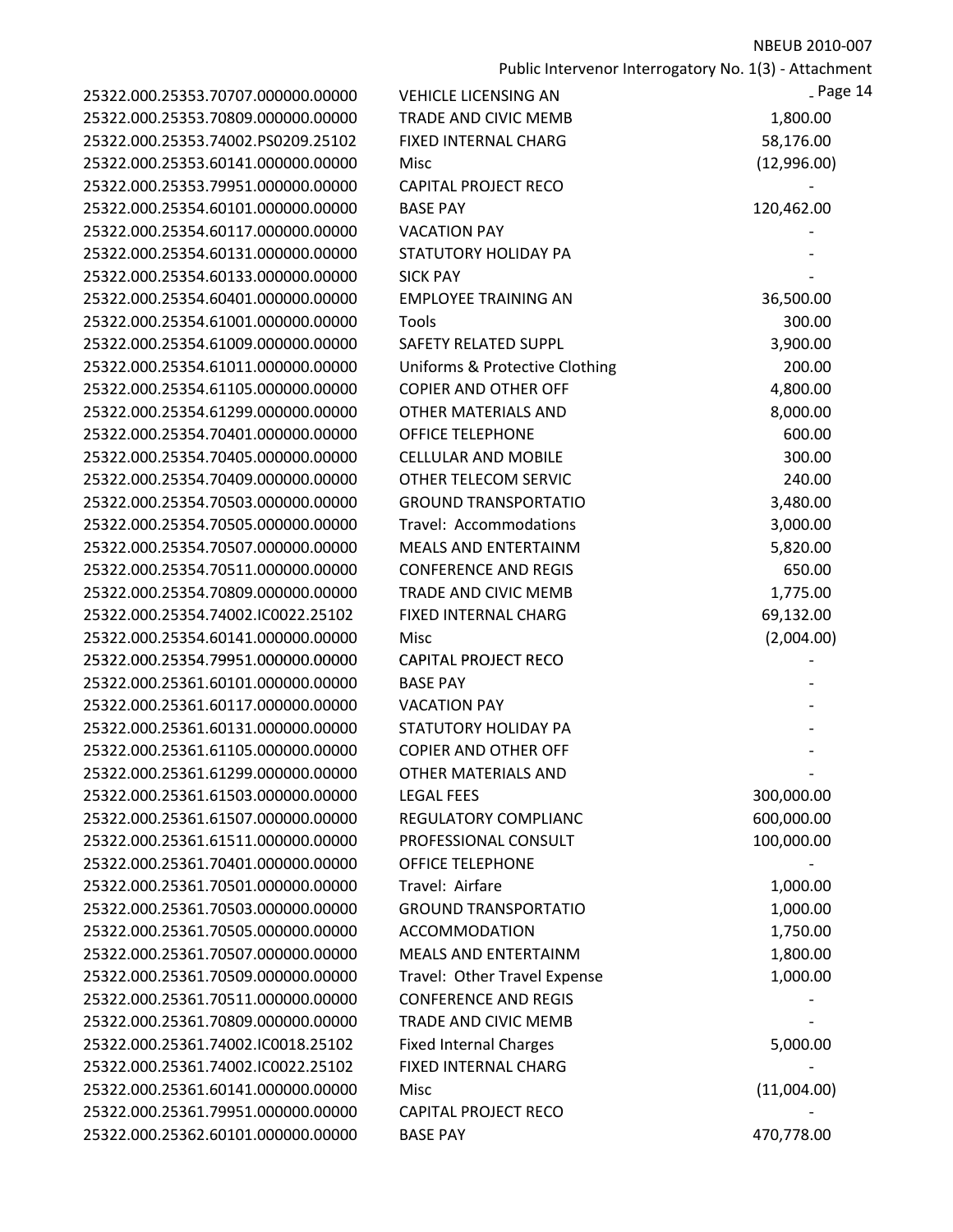|                                    |                                | Public Intervenor Interrogatory No. 1(3) - Attachment |
|------------------------------------|--------------------------------|-------------------------------------------------------|
| 25322.000.25353.70707.000000.00000 | <b>VEHICLE LICENSING AN</b>    | - Page 14                                             |
| 25322.000.25353.70809.000000.00000 | TRADE AND CIVIC MEMB           | 1,800.00                                              |
| 25322.000.25353.74002.PS0209.25102 | FIXED INTERNAL CHARG           | 58,176.00                                             |
| 25322.000.25353.60141.000000.00000 | Misc                           | (12,996.00)                                           |
| 25322.000.25353.79951.000000.00000 | <b>CAPITAL PROJECT RECO</b>    |                                                       |
| 25322.000.25354.60101.000000.00000 | <b>BASE PAY</b>                | 120,462.00                                            |
| 25322.000.25354.60117.000000.00000 | <b>VACATION PAY</b>            |                                                       |
| 25322.000.25354.60131.000000.00000 | STATUTORY HOLIDAY PA           |                                                       |
| 25322.000.25354.60133.000000.00000 | <b>SICK PAY</b>                |                                                       |
| 25322.000.25354.60401.000000.00000 | <b>EMPLOYEE TRAINING AN</b>    | 36,500.00                                             |
| 25322.000.25354.61001.000000.00000 | Tools                          | 300.00                                                |
| 25322.000.25354.61009.000000.00000 | SAFETY RELATED SUPPL           | 3,900.00                                              |
| 25322.000.25354.61011.000000.00000 | Uniforms & Protective Clothing | 200.00                                                |
| 25322.000.25354.61105.000000.00000 | <b>COPIER AND OTHER OFF</b>    | 4,800.00                                              |
| 25322.000.25354.61299.000000.00000 | <b>OTHER MATERIALS AND</b>     | 8,000.00                                              |
| 25322.000.25354.70401.000000.00000 | <b>OFFICE TELEPHONE</b>        | 600.00                                                |
| 25322.000.25354.70405.000000.00000 | <b>CELLULAR AND MOBILE</b>     | 300.00                                                |
| 25322.000.25354.70409.000000.00000 | OTHER TELECOM SERVIC           | 240.00                                                |
| 25322.000.25354.70503.000000.00000 | <b>GROUND TRANSPORTATIO</b>    | 3,480.00                                              |
| 25322.000.25354.70505.000000.00000 | Travel: Accommodations         | 3,000.00                                              |
| 25322.000.25354.70507.000000.00000 | <b>MEALS AND ENTERTAINM</b>    | 5,820.00                                              |
| 25322.000.25354.70511.000000.00000 | <b>CONFERENCE AND REGIS</b>    | 650.00                                                |
| 25322.000.25354.70809.000000.00000 | TRADE AND CIVIC MEMB           | 1,775.00                                              |
| 25322.000.25354.74002.IC0022.25102 | FIXED INTERNAL CHARG           | 69,132.00                                             |
| 25322.000.25354.60141.000000.00000 | Misc                           | (2,004.00)                                            |
| 25322.000.25354.79951.000000.00000 | <b>CAPITAL PROJECT RECO</b>    |                                                       |
| 25322.000.25361.60101.000000.00000 | <b>BASE PAY</b>                |                                                       |
| 25322.000.25361.60117.000000.00000 | <b>VACATION PAY</b>            |                                                       |
| 25322.000.25361.60131.000000.00000 | STATUTORY HOLIDAY PA           |                                                       |
| 25322.000.25361.61105.000000.00000 | <b>COPIER AND OTHER OFF</b>    |                                                       |
| 25322.000.25361.61299.000000.00000 | OTHER MATERIALS AND            |                                                       |
| 25322.000.25361.61503.000000.00000 | <b>LEGAL FEES</b>              | 300,000.00                                            |
| 25322.000.25361.61507.000000.00000 | REGULATORY COMPLIANC           | 600,000.00                                            |
| 25322.000.25361.61511.000000.00000 | PROFESSIONAL CONSULT           | 100,000.00                                            |
| 25322.000.25361.70401.000000.00000 | <b>OFFICE TELEPHONE</b>        |                                                       |
| 25322.000.25361.70501.000000.00000 | Travel: Airfare                | 1,000.00                                              |
| 25322.000.25361.70503.000000.00000 | <b>GROUND TRANSPORTATIO</b>    | 1,000.00                                              |
| 25322.000.25361.70505.000000.00000 | <b>ACCOMMODATION</b>           | 1,750.00                                              |
| 25322.000.25361.70507.000000.00000 | <b>MEALS AND ENTERTAINM</b>    | 1,800.00                                              |
| 25322.000.25361.70509.000000.00000 | Travel: Other Travel Expense   | 1,000.00                                              |
| 25322.000.25361.70511.000000.00000 | <b>CONFERENCE AND REGIS</b>    |                                                       |
| 25322.000.25361.70809.000000.00000 | TRADE AND CIVIC MEMB           |                                                       |
| 25322.000.25361.74002.IC0018.25102 | <b>Fixed Internal Charges</b>  | 5,000.00                                              |
| 25322.000.25361.74002.IC0022.25102 | FIXED INTERNAL CHARG           |                                                       |
| 25322.000.25361.60141.000000.00000 | Misc                           | (11,004.00)                                           |
| 25322.000.25361.79951.000000.00000 | <b>CAPITAL PROJECT RECO</b>    |                                                       |
| 25322.000.25362.60101.000000.00000 | <b>BASE PAY</b>                | 470,778.00                                            |
|                                    |                                |                                                       |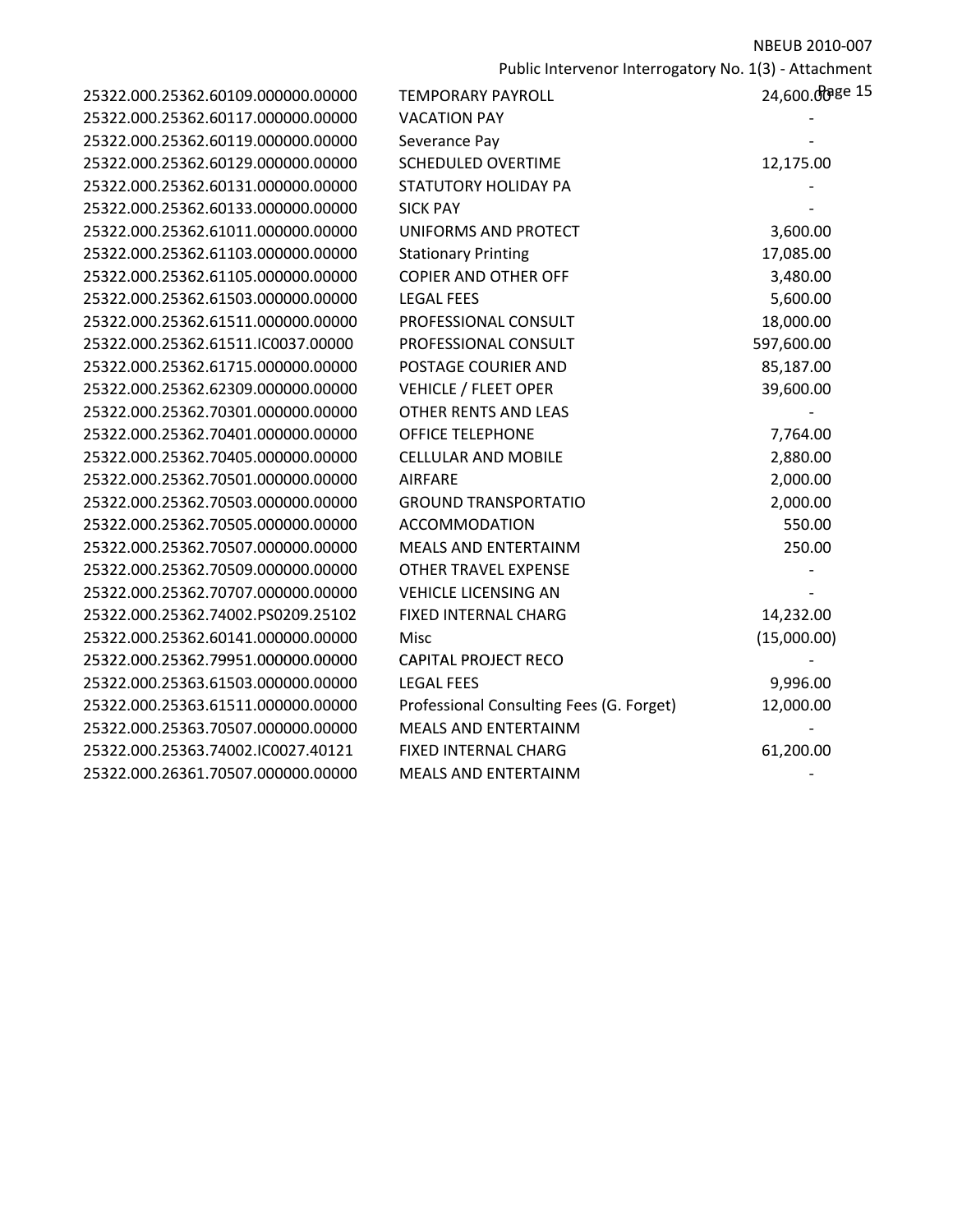| 25322.000.25362.60109.000000.00000 | <b>TEMPORARY PAYROLL</b>                 | 24,600.  |
|------------------------------------|------------------------------------------|----------|
| 25322.000.25362.60117.000000.00000 | <b>VACATION PAY</b>                      |          |
| 25322.000.25362.60119.000000.00000 | Severance Pay                            |          |
| 25322.000.25362.60129.000000.00000 | <b>SCHEDULED OVERTIME</b>                | 12,175.  |
| 25322.000.25362.60131.000000.00000 | <b>STATUTORY HOLIDAY PA</b>              |          |
| 25322.000.25362.60133.000000.00000 | <b>SICK PAY</b>                          |          |
| 25322.000.25362.61011.000000.00000 | UNIFORMS AND PROTECT                     | 3,600.   |
| 25322.000.25362.61103.000000.00000 | <b>Stationary Printing</b>               | 17,085.  |
| 25322.000.25362.61105.000000.00000 | <b>COPIER AND OTHER OFF</b>              | 3,480.   |
| 25322.000.25362.61503.000000.00000 | <b>LEGAL FEES</b>                        | 5,600.   |
| 25322.000.25362.61511.000000.00000 | PROFESSIONAL CONSULT                     | 18,000.  |
| 25322.000.25362.61511.IC0037.00000 | PROFESSIONAL CONSULT                     | 597,600. |
| 25322.000.25362.61715.000000.00000 | POSTAGE COURIER AND                      | 85,187.  |
| 25322.000.25362.62309.000000.00000 | <b>VEHICLE / FLEET OPER</b>              | 39,600.  |
| 25322.000.25362.70301.000000.00000 | <b>OTHER RENTS AND LEAS</b>              |          |
| 25322.000.25362.70401.000000.00000 | <b>OFFICE TELEPHONE</b>                  | 7,764.   |
| 25322.000.25362.70405.000000.00000 | <b>CELLULAR AND MOBILE</b>               | 2,880.   |
| 25322.000.25362.70501.000000.00000 | <b>AIRFARE</b>                           | 2,000.   |
| 25322.000.25362.70503.000000.00000 | <b>GROUND TRANSPORTATIO</b>              | 2,000.   |
| 25322.000.25362.70505.000000.00000 | ACCOMMODATION                            | 550.     |
| 25322.000.25362.70507.000000.00000 | <b>MEALS AND ENTERTAINM</b>              | 250.     |
| 25322.000.25362.70509.000000.00000 | <b>OTHER TRAVEL EXPENSE</b>              |          |
| 25322.000.25362.70707.000000.00000 | <b>VEHICLE LICENSING AN</b>              |          |
| 25322.000.25362.74002.PS0209.25102 | FIXED INTERNAL CHARG                     | 14,232.  |
| 25322.000.25362.60141.000000.00000 | Misc                                     | (15,000. |
| 25322.000.25362.79951.000000.00000 | <b>CAPITAL PROJECT RECO</b>              |          |
| 25322.000.25363.61503.000000.00000 | <b>LEGAL FEES</b>                        | 9,996.   |
| 25322.000.25363.61511.000000.00000 | Professional Consulting Fees (G. Forget) | 12,000.  |
| 25322.000.25363.70507.000000.00000 | <b>MEALS AND ENTERTAINM</b>              |          |
| 25322.000.25363.74002.IC0027.40121 | <b>FIXED INTERNAL CHARG</b>              | 61,200.  |
| 25322.000.26361.70507.000000.00000 | MEALS AND ENTERTAINM                     |          |
|                                    |                                          |          |

| 25322.000.25362.60109.000000.00000 | <b>TEMPORARY PAYROLL</b>                 | 24,600.00 gee 15 |
|------------------------------------|------------------------------------------|------------------|
| 25322.000.25362.60117.000000.00000 | <b>VACATION PAY</b>                      |                  |
| 25322.000.25362.60119.000000.00000 | Severance Pay                            |                  |
| 25322.000.25362.60129.000000.00000 | <b>SCHEDULED OVERTIME</b>                | 12,175.00        |
| 25322.000.25362.60131.000000.00000 | STATUTORY HOLIDAY PA                     |                  |
| 25322.000.25362.60133.000000.00000 | <b>SICK PAY</b>                          |                  |
| 25322.000.25362.61011.000000.00000 | UNIFORMS AND PROTECT                     | 3,600.00         |
| 25322.000.25362.61103.000000.00000 | <b>Stationary Printing</b>               | 17,085.00        |
| 25322.000.25362.61105.000000.00000 | <b>COPIER AND OTHER OFF</b>              | 3,480.00         |
| 25322.000.25362.61503.000000.00000 | <b>LEGAL FEES</b>                        | 5,600.00         |
| 25322.000.25362.61511.000000.00000 | PROFESSIONAL CONSULT                     | 18,000.00        |
| 25322.000.25362.61511.IC0037.00000 | PROFESSIONAL CONSULT                     | 597,600.00       |
| 25322.000.25362.61715.000000.00000 | POSTAGE COURIER AND                      | 85,187.00        |
| 25322.000.25362.62309.000000.00000 | <b>VEHICLE / FLEET OPER</b>              | 39,600.00        |
| 25322.000.25362.70301.000000.00000 | <b>OTHER RENTS AND LEAS</b>              |                  |
| 25322.000.25362.70401.000000.00000 | <b>OFFICE TELEPHONE</b>                  | 7,764.00         |
| 25322.000.25362.70405.000000.00000 | <b>CELLULAR AND MOBILE</b>               | 2,880.00         |
| 25322.000.25362.70501.000000.00000 | <b>AIRFARE</b>                           | 2,000.00         |
| 25322.000.25362.70503.000000.00000 | <b>GROUND TRANSPORTATIO</b>              | 2,000.00         |
| 25322.000.25362.70505.000000.00000 | <b>ACCOMMODATION</b>                     | 550.00           |
| 25322.000.25362.70507.000000.00000 | <b>MEALS AND ENTERTAINM</b>              | 250.00           |
| 25322.000.25362.70509.000000.00000 | <b>OTHER TRAVEL EXPENSE</b>              |                  |
| 25322.000.25362.70707.000000.00000 | <b>VEHICLE LICENSING AN</b>              |                  |
| 25322.000.25362.74002.PS0209.25102 | FIXED INTERNAL CHARG                     | 14,232.00        |
| 25322.000.25362.60141.000000.00000 | <b>Misc</b>                              | (15,000.00)      |
| 25322.000.25362.79951.000000.00000 | <b>CAPITAL PROJECT RECO</b>              |                  |
| 25322.000.25363.61503.000000.00000 | <b>LEGAL FEES</b>                        | 9,996.00         |
| 25322.000.25363.61511.000000.00000 | Professional Consulting Fees (G. Forget) | 12,000.00        |
| 25322.000.25363.70507.000000.00000 | MEALS AND ENTERTAINM                     |                  |
| 25322.000.25363.74002.IC0027.40121 | <b>FIXED INTERNAL CHARG</b>              | 61,200.00        |
| 35333.000.36364.70507.000000.00000 | NACALC ANID CNITCDTAININA                |                  |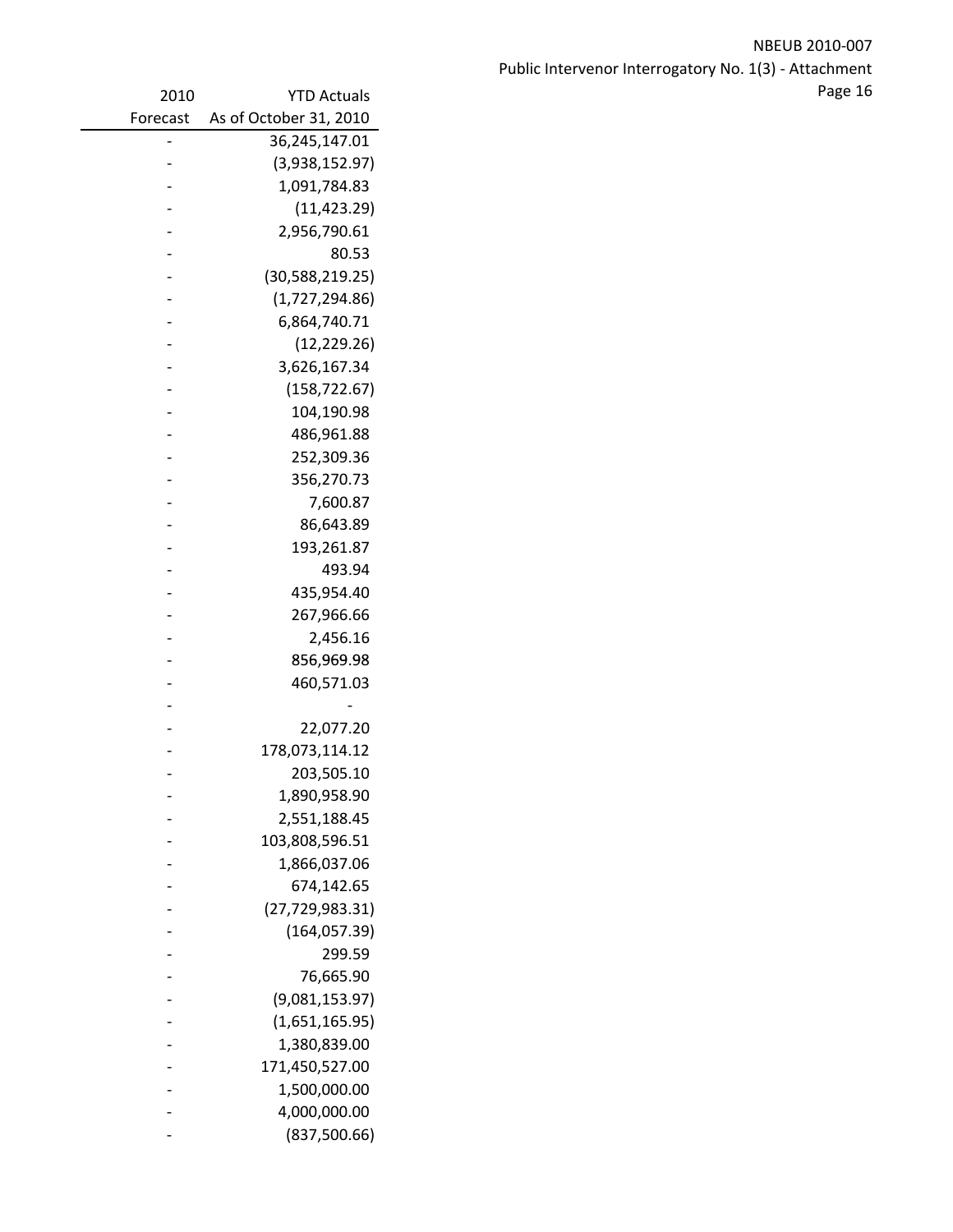NBEUB 2010‐007 Public Intervenor Interrogatory No. 1(3) ‐ Attachment 2010 Page 16 YTD Actuals

| 2010     | <b>YTD Actuals</b>     |
|----------|------------------------|
| Forecast | As of October 31, 2010 |
|          | 36,245,147.01          |
|          | (3,938,152.97)         |
|          | 1,091,784.83           |
|          | (11, 423.29)           |
|          | 2,956,790.61           |
|          | 80.53                  |
|          | (30, 588, 219.25)      |
|          | (1,727,294.86)         |
|          | 6,864,740.71           |
|          | (12, 229.26)           |
|          | 3,626,167.34           |
|          | (158, 722.67)          |
|          | 104,190.98             |
|          | 486,961.88             |
|          | 252,309.36             |
|          | 356,270.73             |
|          | 7,600.87               |
|          | 86,643.89              |
|          | 193,261.87             |
|          | 493.94                 |
|          | 435,954.40             |
|          | 267,966.66             |
|          | 2,456.16               |
|          | 856,969.98             |
|          | 460,571.03             |
|          |                        |
|          | 22,077.20              |
|          | 178,073,114.12         |
|          | 203,505.10             |
|          | 1,890,958.90           |
|          | 2,551,188.45           |
|          | 103,808,596.51         |
|          | 1,866,037.06           |
|          | 674,142.65             |
|          | (27, 729, 983.31)      |
|          | (164, 057.39)          |
|          | 299.59                 |
|          | 76,665.90              |
|          | (9,081,153.97)         |
|          | (1,651,165.95)         |
|          | 1,380,839.00           |
|          | 171,450,527.00         |
|          | 1,500,000.00           |
|          | 4,000,000.00           |
|          | (837,500.66)           |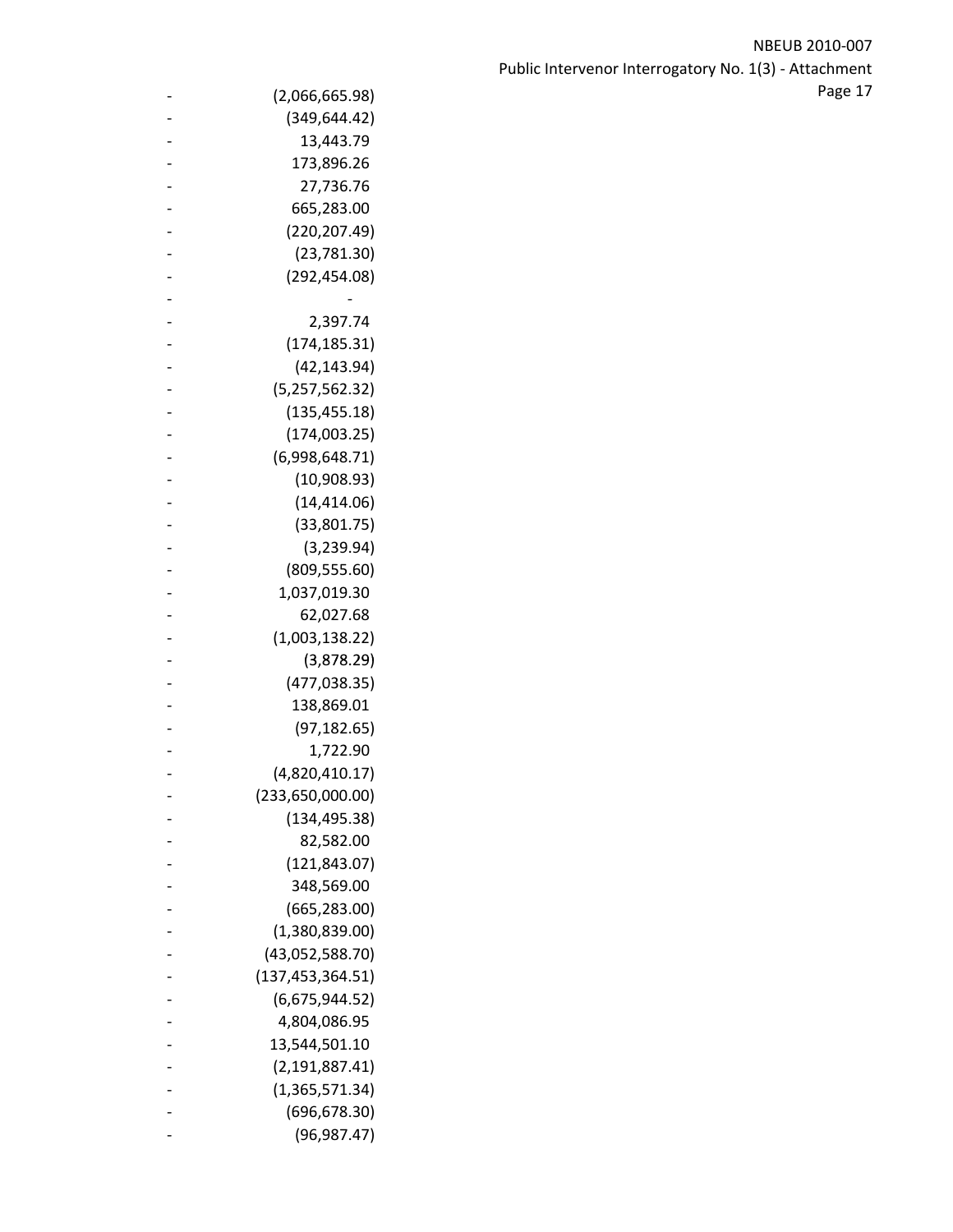| $\qquad \qquad -$ | (2,066,665.98)             | Page 17 |  |
|-------------------|----------------------------|---------|--|
|                   | (349, 644.42)              |         |  |
|                   | 13,443.79                  |         |  |
|                   | 173,896.26                 |         |  |
|                   | 27,736.76                  |         |  |
|                   | 665,283.00                 |         |  |
|                   | (220, 207.49)              |         |  |
|                   | (23,781.30)                |         |  |
|                   | (292, 454.08)              |         |  |
|                   |                            |         |  |
|                   | 2,397.74                   |         |  |
|                   | (174, 185.31)              |         |  |
|                   | (42, 143.94)               |         |  |
|                   | (5,257,562.32)             |         |  |
|                   | (135, 455.18)              |         |  |
|                   | (174,003.25)               |         |  |
|                   | (6,998,648.71)             |         |  |
|                   | (10,908.93)                |         |  |
|                   | (14, 414.06)               |         |  |
|                   | (33,801.75)                |         |  |
|                   | (3, 239.94)                |         |  |
|                   | (809, 555.60)              |         |  |
|                   | 1,037,019.30               |         |  |
|                   | 62,027.68                  |         |  |
|                   | (1,003,138.22)             |         |  |
|                   | (3,878.29)                 |         |  |
|                   | (477, 038.35)              |         |  |
|                   | 138,869.01                 |         |  |
|                   | (97, 182.65)               |         |  |
|                   | 1,722.90                   |         |  |
|                   | (4,820,410.17)             |         |  |
|                   | (233,650,000.00)           |         |  |
|                   | (134, 495.38)              |         |  |
|                   | 82,582.00<br>(121, 843.07) |         |  |
|                   | 348,569.00                 |         |  |
|                   | (665, 283.00)              |         |  |
|                   | (1,380,839.00)             |         |  |
|                   | (43,052,588.70)            |         |  |
|                   | (137, 453, 364.51)         |         |  |
|                   | (6,675,944.52)             |         |  |
|                   | 4,804,086.95               |         |  |
|                   | 13,544,501.10              |         |  |
|                   | (2, 191, 887.41)           |         |  |
|                   | (1,365,571.34)             |         |  |
|                   | (696, 678.30)              |         |  |
|                   | (96, 987.47)               |         |  |
|                   |                            |         |  |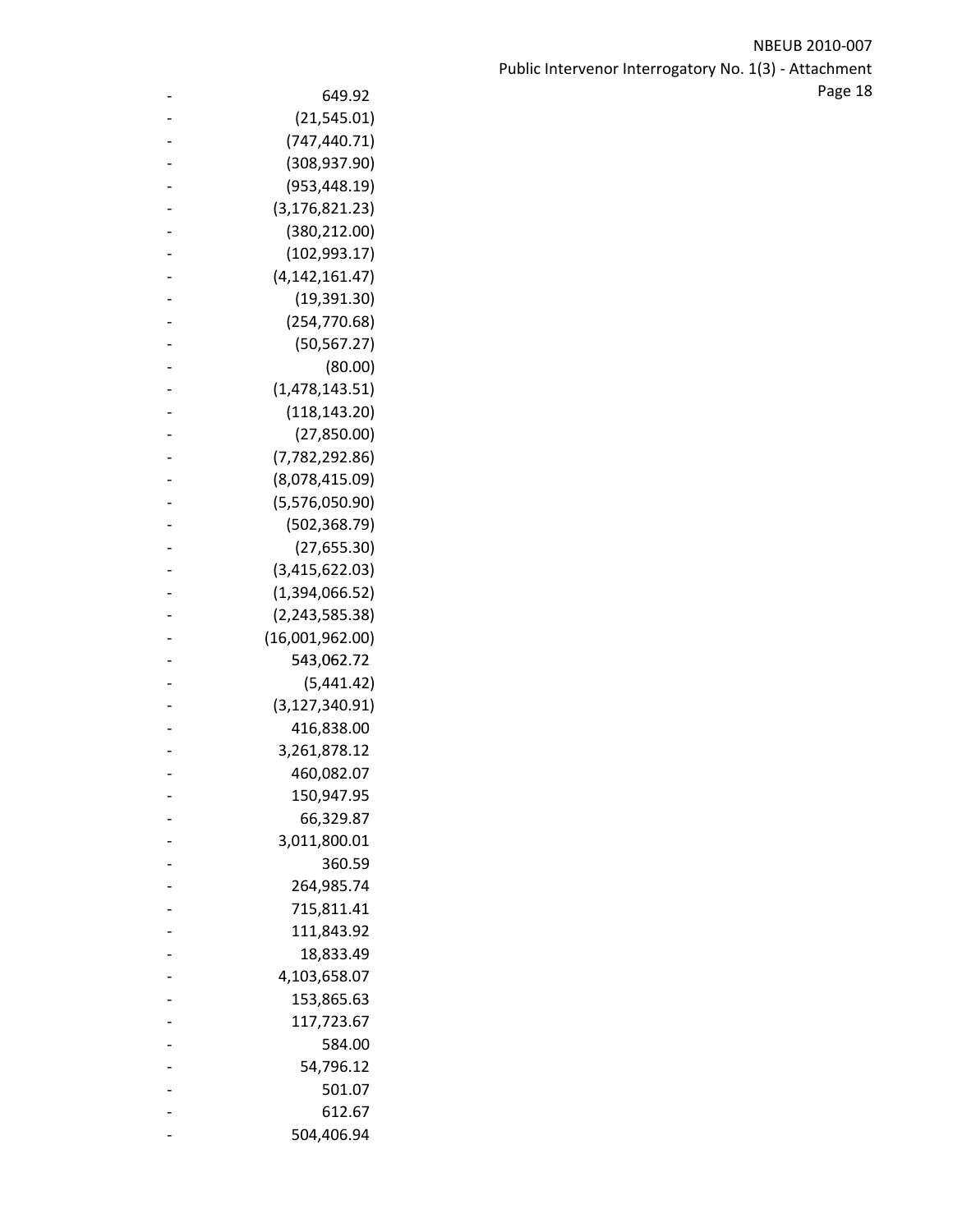NBEUB 2010‐007 Public Intervenor Interrogatory No. 1(3) ‐ Attachment  $\sim$  649.92 **and 18**  $\sim$  649.92

| 649.92                         |
|--------------------------------|
| (21, 545.01)                   |
| (747, 440.71)                  |
| (308, 937.90)                  |
| (953, 448.19)                  |
| (3, 176, 821.23)               |
| (380, 212.00)                  |
| (102, 993.17)                  |
| (4, 142, 161.47)               |
| (19, 391.30)                   |
| (254, 770.68)                  |
| (50, 567.27)                   |
| (80.00)                        |
| (1,478,143.51)                 |
| (118, 143.20)                  |
| (27, 850.00)                   |
| (7, 782, 292.86)               |
| (8,078,415.09)                 |
| (5,576,050.90)                 |
| (502, 368.79)                  |
| (27, 655.30)                   |
| (3,415,622.03)                 |
| (1,394,066.52)                 |
| (2, 243, 585.38)               |
| (16,001,962.00)                |
| 543,062.72                     |
| (5,441.42)                     |
| (3, 127, 340.91)<br>416,838.00 |
| 3,261,878.12                   |
| 460,082.07                     |
| 150,947.95                     |
| 66,329.87                      |
| 3,011,800.01                   |
| 360.59                         |
| 264,985.74                     |
| 715,811.41                     |
| 111,843.92                     |
| 18,833.49                      |
| 4,103,658.07                   |
| 153,865.63                     |
| 117,723.67                     |
| 584.00                         |
| 54,796.12                      |
| 501.07                         |
| 612.67                         |
| 504,406.94                     |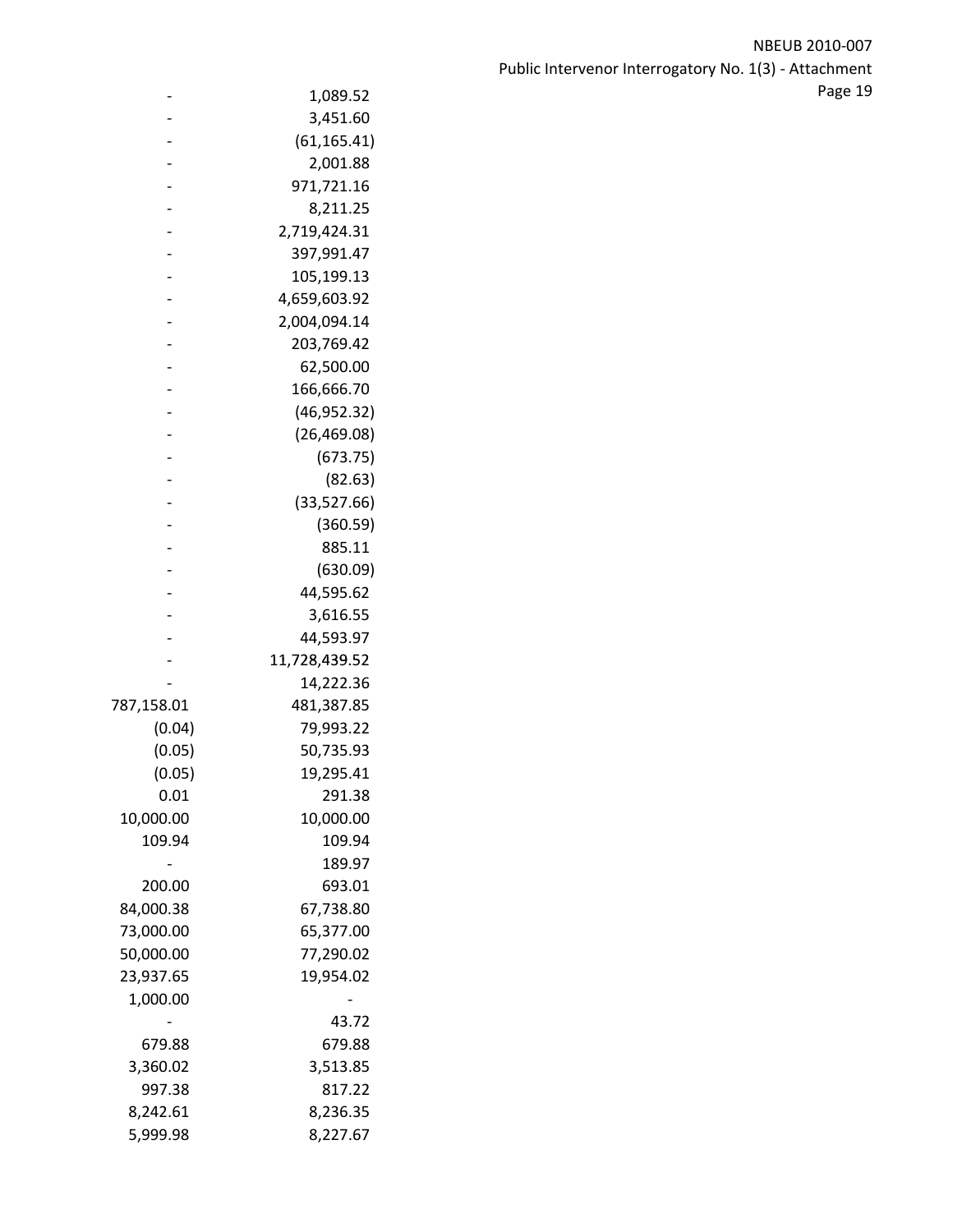NBEUB 2010‐007 Public Intervenor Interrogatory No. 1(3) ‐ Attachment e 1,089.52 and 1,089.52 and 1,089.52 and 1,089.52 and 1,089.52 and 1,089.52 and 1,089.52 and 1,089.52 and 1,089.52 and 1,089.52 and 1,089.52 and 1,089.52 and 1,089.52 and 1,089.52 and 1,089.52 and 1,089.52 and 1,089.52 and

|            | 1,089.52      |
|------------|---------------|
|            | 3,451.60      |
|            | (61, 165.41)  |
|            | 2,001.88      |
|            | 971,721.16    |
|            | 8,211.25      |
|            | 2,719,424.31  |
|            | 397,991.47    |
|            | 105,199.13    |
|            | 4,659,603.92  |
|            | 2,004,094.14  |
|            | 203,769.42    |
|            | 62,500.00     |
|            | 166,666.70    |
|            | (46, 952.32)  |
|            | (26, 469.08)  |
|            | (673.75)      |
|            | (82.63)       |
|            | (33, 527.66)  |
|            | (360.59)      |
|            | 885.11        |
|            | (630.09)      |
|            | 44,595.62     |
|            | 3,616.55      |
|            | 44,593.97     |
|            | 11,728,439.52 |
|            | 14,222.36     |
| 787,158.01 | 481,387.85    |
| (0.04)     | 79,993.22     |
| (0.05)     | 50,735.93     |
| (0.05)     | 19,295.41     |
| 0.01       | 291.38        |
| 10,000.00  | 10,000.00     |
| 109.94     | 109.94        |
|            | 189.97        |
| 200.00     | 693.01        |
| 84,000.38  | 67,738.80     |
| 73,000.00  | 65,377.00     |
| 50,000.00  | 77,290.02     |
| 23,937.65  | 19,954.02     |
| 1,000.00   |               |
|            | 43.72         |
| 679.88     | 679.88        |
| 3,360.02   | 3,513.85      |
| 997.38     | 817.22        |
| 8,242.61   | 8,236.35      |
| 5,999.98   | 8,227.67      |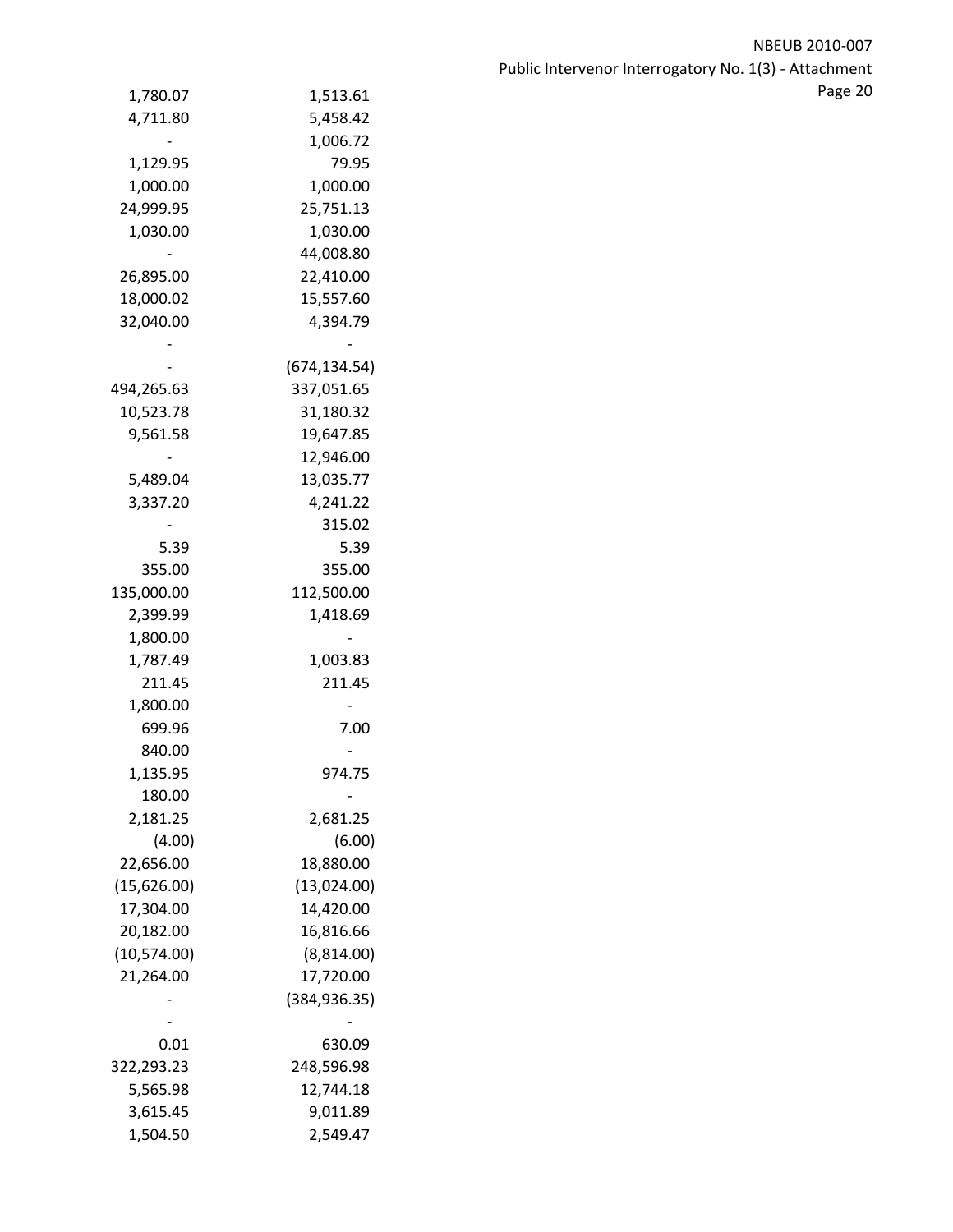| 1,780.07    | 1,513.61      |  |
|-------------|---------------|--|
| 4,711.80    | 5,458.42      |  |
|             | 1,006.72      |  |
| 1,129.95    | 79.95         |  |
| 1,000.00    | 1,000.00      |  |
| 24,999.95   | 25,751.13     |  |
| 1,030.00    | 1,030.00      |  |
|             | 44,008.80     |  |
| 26,895.00   | 22,410.00     |  |
| 18,000.02   | 15,557.60     |  |
| 32,040.00   | 4,394.79      |  |
|             |               |  |
|             | (674, 134.54) |  |
| 494,265.63  | 337,051.65    |  |
| 10,523.78   | 31,180.32     |  |
| 9,561.58    | 19,647.85     |  |
|             | 12,946.00     |  |
| 5,489.04    | 13,035.77     |  |
| 3,337.20    | 4,241.22      |  |
|             | 315.02        |  |
| 5.39        | 5.39          |  |
| 355.00      | 355.00        |  |
| 135,000.00  | 112,500.00    |  |
| 2,399.99    | 1,418.69      |  |
| 1,800.00    |               |  |
| 1,787.49    | 1,003.83      |  |
| 211.45      | 211.45        |  |
| 1,800.00    |               |  |
| 699.96      | 7.00          |  |
| 840.00      |               |  |
| 1,135.95    | 974.75        |  |
| 180.00      |               |  |
| 2,181.25    | 2,681.25      |  |
| (4.00)      | (6.00)        |  |
| 22,656.00   | 18,880.00     |  |
| (15,626.00) | (13,024.00)   |  |
| 17,304.00   | 14,420.00     |  |
| 20,182.00   | 16,816.66     |  |
| (10,574.00) | (8,814.00)    |  |
| 21,264.00   | 17,720.00     |  |
|             | (384, 936.35) |  |
|             |               |  |
| 0.01        | 630.09        |  |
| 322,293.23  | 248,596.98    |  |
| 5,565.98    | 12,744.18     |  |
| 3,615.45    | 9,011.89      |  |
| 1,504.50    | 2,549.47      |  |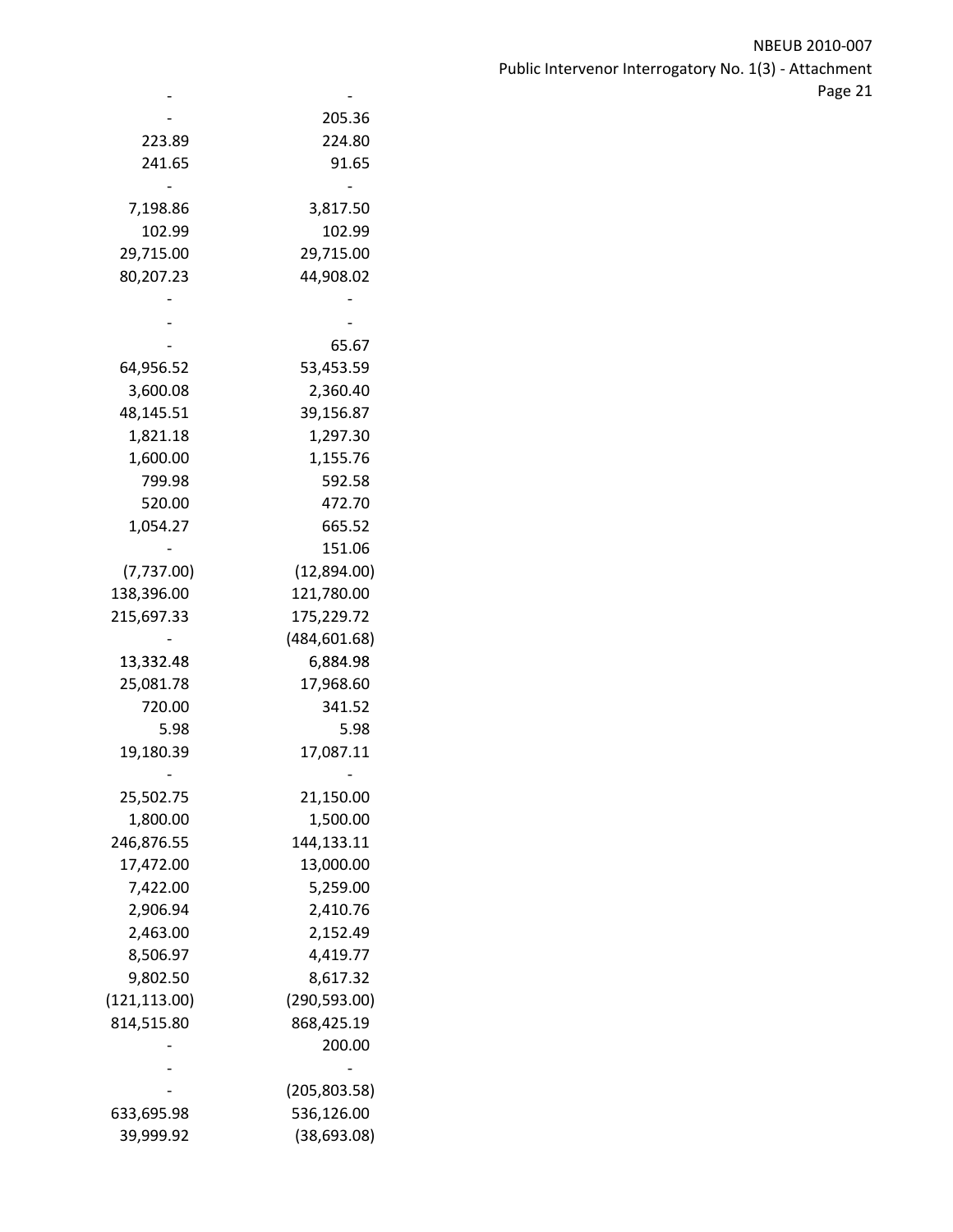|               | 205.36        |
|---------------|---------------|
| 223.89        | 224.80        |
| 241.65        | 91.65         |
|               |               |
| 7,198.86      | 3,817.50      |
| 102.99        | 102.99        |
| 29,715.00     | 29,715.00     |
| 80,207.23     | 44,908.02     |
|               |               |
|               |               |
|               | 65.67         |
| 64,956.52     | 53,453.59     |
| 3,600.08      | 2,360.40      |
| 48,145.51     | 39,156.87     |
| 1,821.18      | 1,297.30      |
| 1,600.00      | 1,155.76      |
| 799.98        | 592.58        |
| 520.00        | 472.70        |
| 1,054.27      | 665.52        |
|               | 151.06        |
|               |               |
| (7, 737.00)   | (12,894.00)   |
| 138,396.00    | 121,780.00    |
| 215,697.33    | 175,229.72    |
|               | (484, 601.68) |
| 13,332.48     | 6,884.98      |
| 25,081.78     | 17,968.60     |
| 720.00        | 341.52        |
| 5.98          | 5.98          |
| 19,180.39     | 17,087.11     |
|               |               |
| 25,502.75     | 21,150.00     |
| 1,800.00      | 1,500.00      |
| 246,876.55    | 144,133.11    |
| 17,472.00     | 13,000.00     |
| 7,422.00      | 5,259.00      |
| 2,906.94      | 2,410.76      |
| 2,463.00      | 2,152.49      |
| 8,506.97      | 4,419.77      |
| 9,802.50      | 8,617.32      |
| (121, 113.00) | (290, 593.00) |
| 814,515.80    | 868,425.19    |
|               | 200.00        |
|               |               |
|               | (205, 803.58) |
|               | 536,126.00    |
| 633,695.98    |               |
| 39,999.92     | (38, 693.08)  |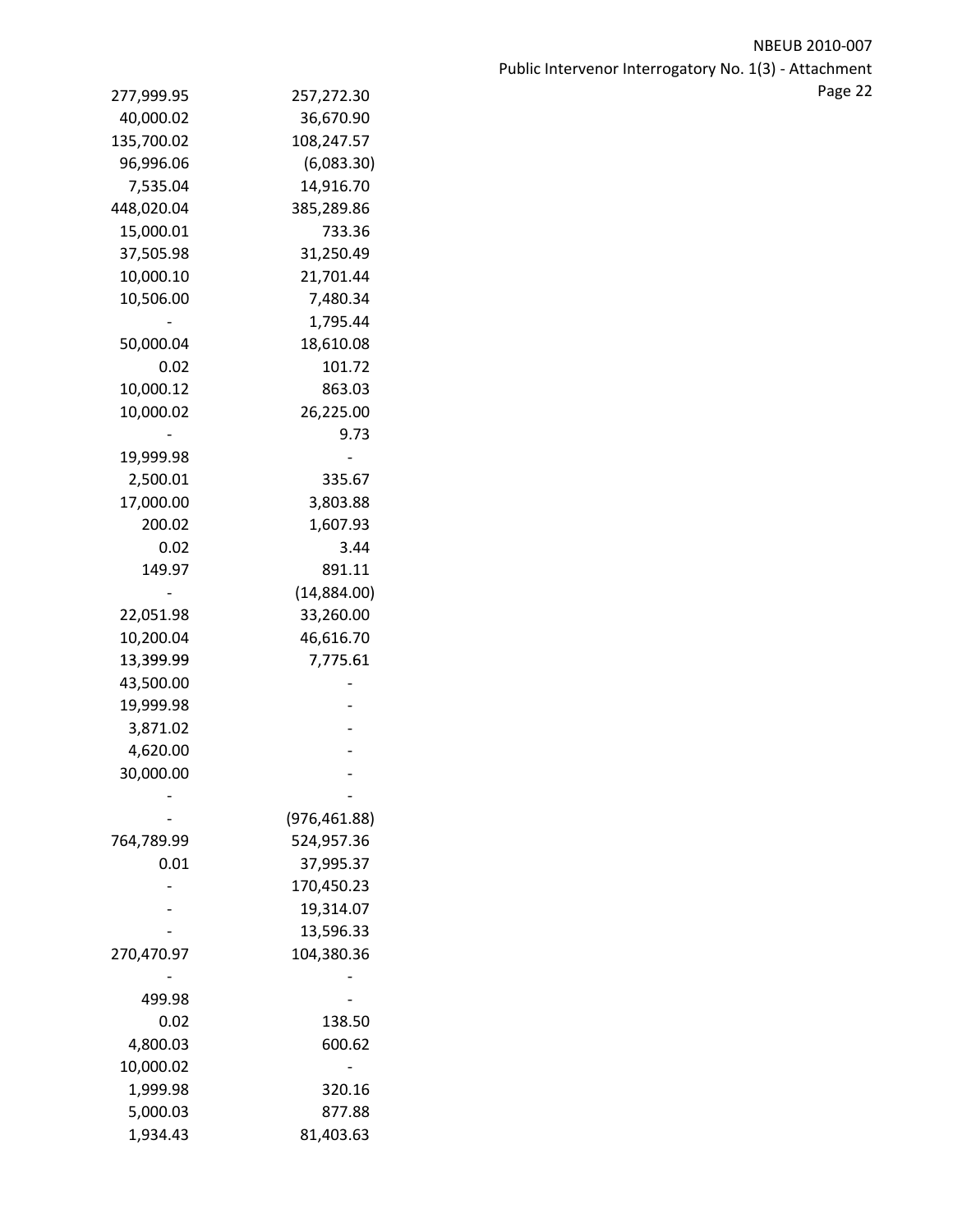| 277,999.95 | 257,272.30    |  |
|------------|---------------|--|
| 40,000.02  | 36,670.90     |  |
| 135,700.02 | 108,247.57    |  |
| 96,996.06  | (6,083.30)    |  |
| 7,535.04   | 14,916.70     |  |
| 448,020.04 | 385,289.86    |  |
| 15,000.01  | 733.36        |  |
| 37,505.98  | 31,250.49     |  |
| 10,000.10  | 21,701.44     |  |
| 10,506.00  | 7,480.34      |  |
|            | 1,795.44      |  |
| 50,000.04  | 18,610.08     |  |
| 0.02       | 101.72        |  |
| 10,000.12  | 863.03        |  |
| 10,000.02  | 26,225.00     |  |
|            | 9.73          |  |
| 19,999.98  |               |  |
| 2,500.01   | 335.67        |  |
| 17,000.00  | 3,803.88      |  |
| 200.02     | 1,607.93      |  |
| 0.02       | 3.44          |  |
| 149.97     | 891.11        |  |
|            | (14,884.00)   |  |
| 22,051.98  | 33,260.00     |  |
| 10,200.04  | 46,616.70     |  |
| 13,399.99  | 7,775.61      |  |
| 43,500.00  |               |  |
| 19,999.98  |               |  |
| 3,871.02   |               |  |
| 4,620.00   |               |  |
| 30,000.00  |               |  |
|            |               |  |
|            | (976, 461.88) |  |
| 764,789.99 | 524,957.36    |  |
| 0.01       | 37,995.37     |  |
|            | 170,450.23    |  |
|            | 19,314.07     |  |
|            | 13,596.33     |  |
| 270,470.97 | 104,380.36    |  |
|            |               |  |
| 499.98     |               |  |
| 0.02       | 138.50        |  |
| 4,800.03   | 600.62        |  |
| 10,000.02  |               |  |
| 1,999.98   | 320.16        |  |
| 5,000.03   | 877.88        |  |
| 1,934.43   | 81,403.63     |  |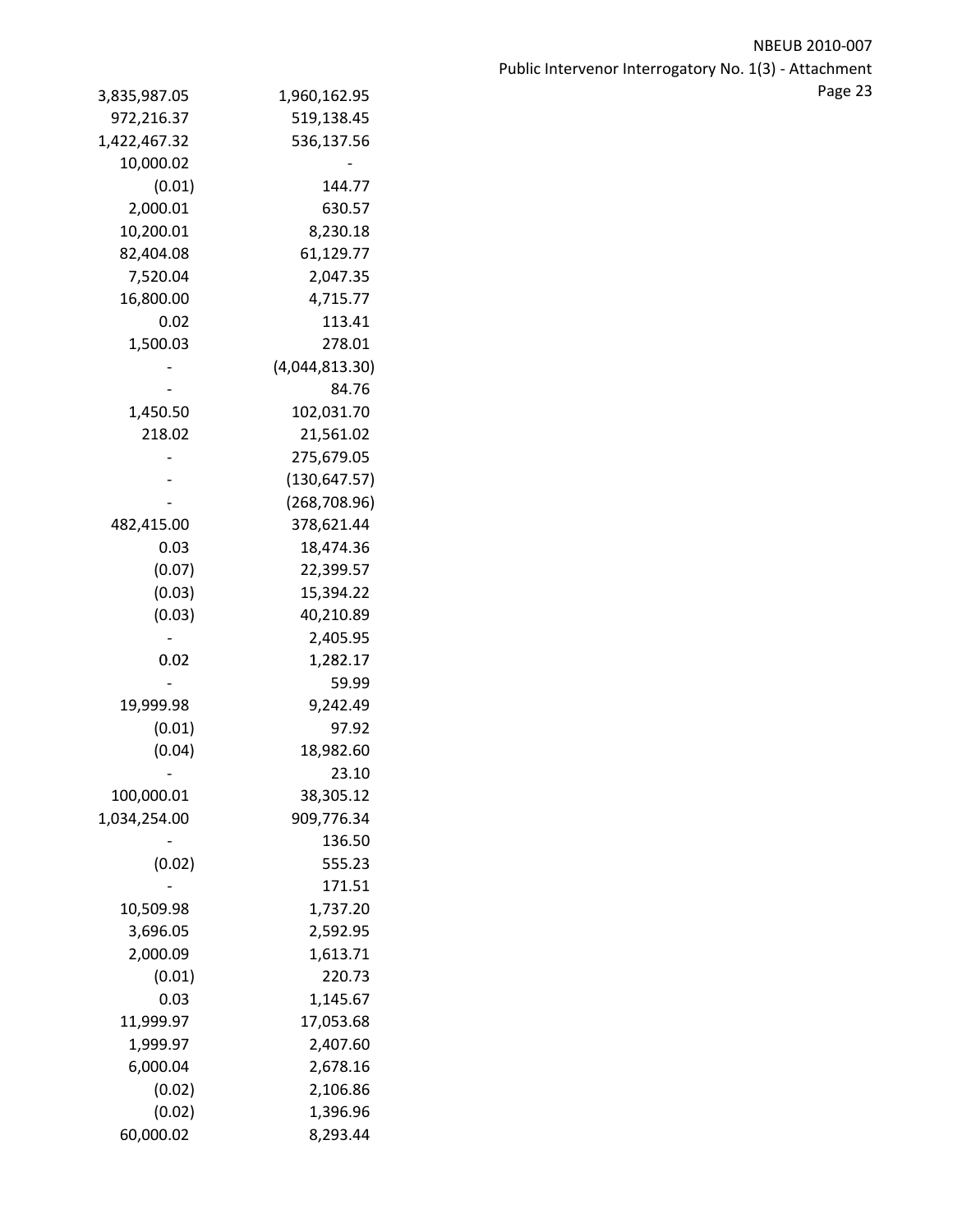| 3,835,987.05    | 1,960,162.95   |
|-----------------|----------------|
| 972,216.37      | 519,138.45     |
| 1,422,467.32    | 536,137.56     |
| 10,000.02       |                |
| (0.01)          | 144.77         |
| 2,000.01        | 630.57         |
| 10,200.01       | 8,230.18       |
| 82,404.08       | 61,129.77      |
| 7,520.04        | 2,047.35       |
| 16,800.00       | 4,715.77       |
| 0.02            | 113.41         |
| 1,500.03        | 278.01         |
|                 | (4,044,813.30) |
|                 | 84.76          |
| 1,450.50        | 102,031.70     |
| 218.02          | 21,561.02      |
|                 | 275,679.05     |
|                 | (130, 647.57)  |
|                 | (268, 708.96)  |
| 482,415.00      | 378,621.44     |
| 0.03            | 18,474.36      |
| (0.07)          | 22,399.57      |
| (0.03)          | 15,394.22      |
| (0.03)          | 40,210.89      |
|                 | 2,405.95       |
| 0.02            | 1,282.17       |
|                 | 59.99          |
| 19,999.98       | 9,242.49       |
| (0.01)          | 97.92          |
| (0.04)          | 18,982.60      |
| $\qquad \qquad$ | 23.10          |
| 100,000.01      | 38,305.12      |
| 1,034,254.00    | 909,776.34     |
|                 | 136.50         |
| (0.02)          | 555.23         |
|                 | 171.51         |
| 10,509.98       | 1,737.20       |
| 3,696.05        | 2,592.95       |
| 2,000.09        | 1,613.71       |
| (0.01)          | 220.73         |
| 0.03            | 1,145.67       |
|                 | 17,053.68      |
| 11,999.97       |                |
| 1,999.97        | 2,407.60       |
| 6,000.04        | 2,678.16       |
| (0.02)          | 2,106.86       |
| (0.02)          | 1,396.96       |
| 60,000.02       | 8,293.44       |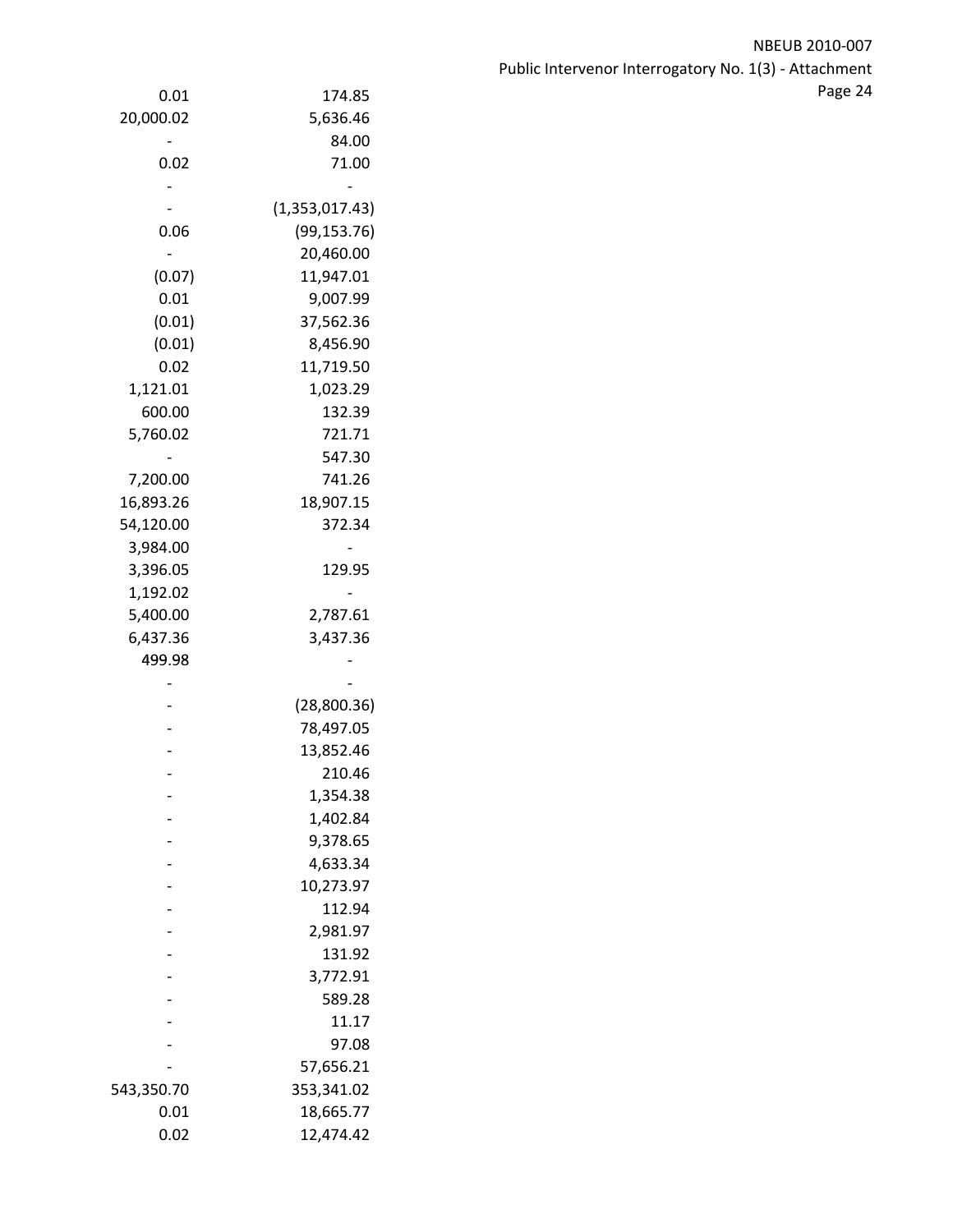| $0.01\,$           | 174.85         | Page 24 |
|--------------------|----------------|---------|
| 20,000.02          | 5,636.46       |         |
|                    | 84.00          |         |
| 0.02               | 71.00          |         |
|                    |                |         |
|                    | (1,353,017.43) |         |
| 0.06               | (99, 153.76)   |         |
|                    | 20,460.00      |         |
| (0.07)             | 11,947.01      |         |
| $0.01\,$           | 9,007.99       |         |
| (0.01)             | 37,562.36      |         |
| (0.01)             | 8,456.90       |         |
| 0.02               | 11,719.50      |         |
| 1,121.01           | 1,023.29       |         |
| 600.00             | 132.39         |         |
| 5,760.02           | 721.71         |         |
|                    | 547.30         |         |
| 7,200.00           | 741.26         |         |
| 16,893.26          | 18,907.15      |         |
| 54,120.00          | 372.34         |         |
| 3,984.00           |                |         |
| 3,396.05           | 129.95         |         |
| 1,192.02           |                |         |
| 5,400.00           | 2,787.61       |         |
| 6,437.36           | 3,437.36       |         |
| 499.98             |                |         |
|                    |                |         |
|                    | (28,800.36)    |         |
|                    | 78,497.05      |         |
|                    | 13,852.46      |         |
|                    | 210.46         |         |
| $\overline{a}$     | 1,354.38       |         |
|                    | 1,402.84       |         |
|                    | 9,378.65       |         |
|                    | 4,633.34       |         |
|                    | 10,273.97      |         |
|                    | 112.94         |         |
|                    | 2,981.97       |         |
|                    | 131.92         |         |
|                    | 3,772.91       |         |
|                    | 589.28         |         |
|                    | 11.17          |         |
|                    | 97.08          |         |
|                    | 57,656.21      |         |
| 543,350.70<br>0.01 | 353,341.02     |         |
|                    | 18,665.77      |         |
| $0.02\,$           | 12,474.42      |         |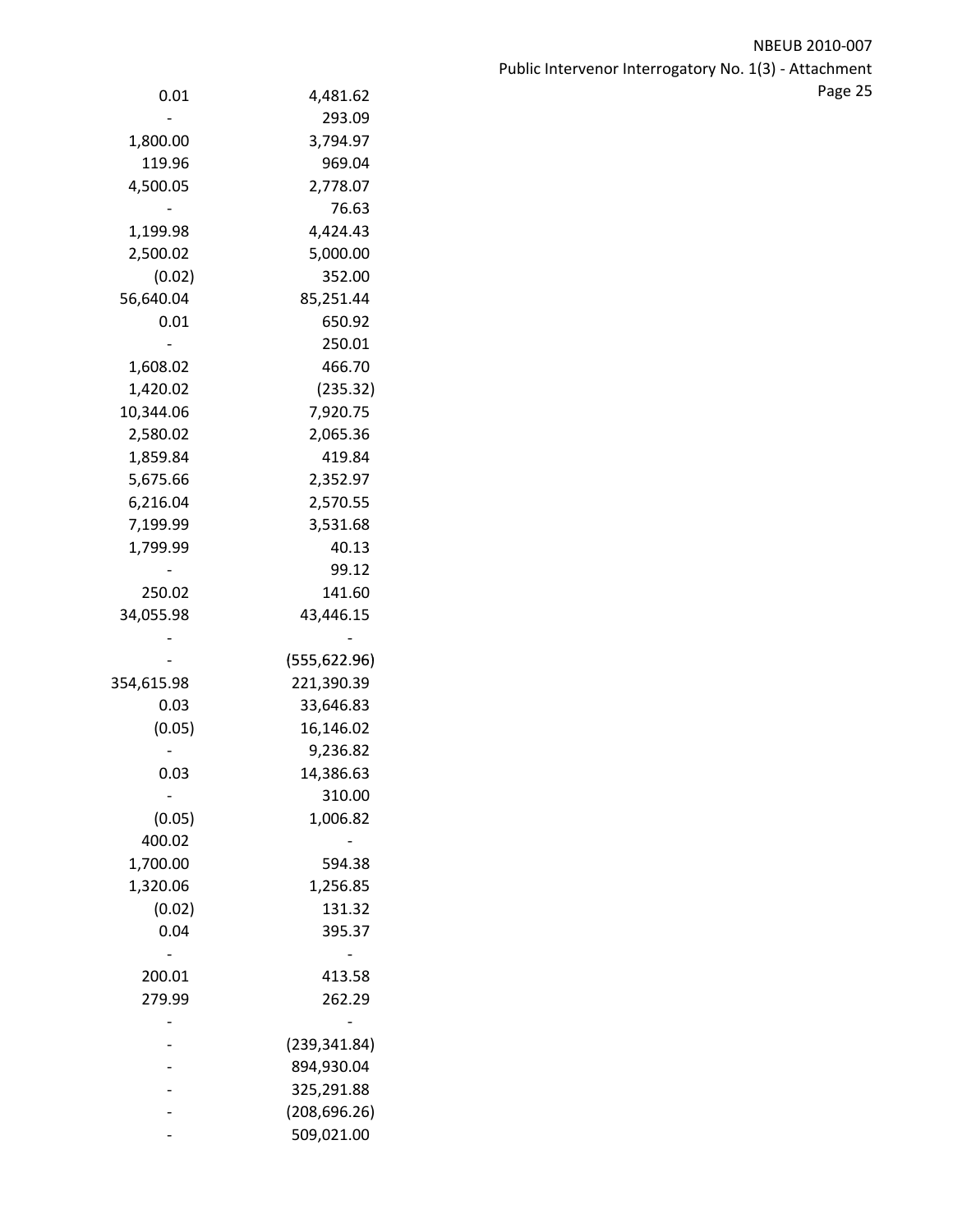| 0.01                     | 4,481.62      |
|--------------------------|---------------|
|                          | 293.09        |
| 1,800.00                 | 3,794.97      |
| 119.96                   | 969.04        |
| 4,500.05                 | 2,778.07      |
|                          | 76.63         |
| 1,199.98                 | 4,424.43      |
| 2,500.02                 | 5,000.00      |
| (0.02)                   | 352.00        |
| 56,640.04                | 85,251.44     |
| 0.01                     | 650.92        |
|                          | 250.01        |
| 1,608.02                 | 466.70        |
| 1,420.02                 | (235.32)      |
| 10,344.06                | 7,920.75      |
| 2,580.02                 | 2,065.36      |
| 1,859.84                 | 419.84        |
| 5,675.66                 | 2,352.97      |
| 6,216.04                 | 2,570.55      |
| 7,199.99                 | 3,531.68      |
| 1,799.99                 | 40.13         |
|                          | 99.12         |
| 250.02                   | 141.60        |
| 34,055.98                | 43,446.15     |
|                          |               |
|                          | (555, 622.96) |
| 354,615.98               | 221,390.39    |
| 0.03                     | 33,646.83     |
| (0.05)                   | 16,146.02     |
|                          | 9,236.82      |
| 0.03                     | 14,386.63     |
| $\overline{\phantom{0}}$ | 310.00        |
| (0.05)                   | 1,006.82      |
| 400.02                   |               |
| 1,700.00                 | 594.38        |
| 1,320.06                 | 1,256.85      |
| (0.02)                   | 131.32        |
| 0.04                     | 395.37        |
|                          |               |
| 200.01                   | 413.58        |
| 279.99                   | 262.29        |
|                          |               |
|                          | (239, 341.84) |
|                          | 894,930.04    |
|                          | 325,291.88    |
|                          | (208, 696.26) |
|                          | 509,021.00    |
|                          |               |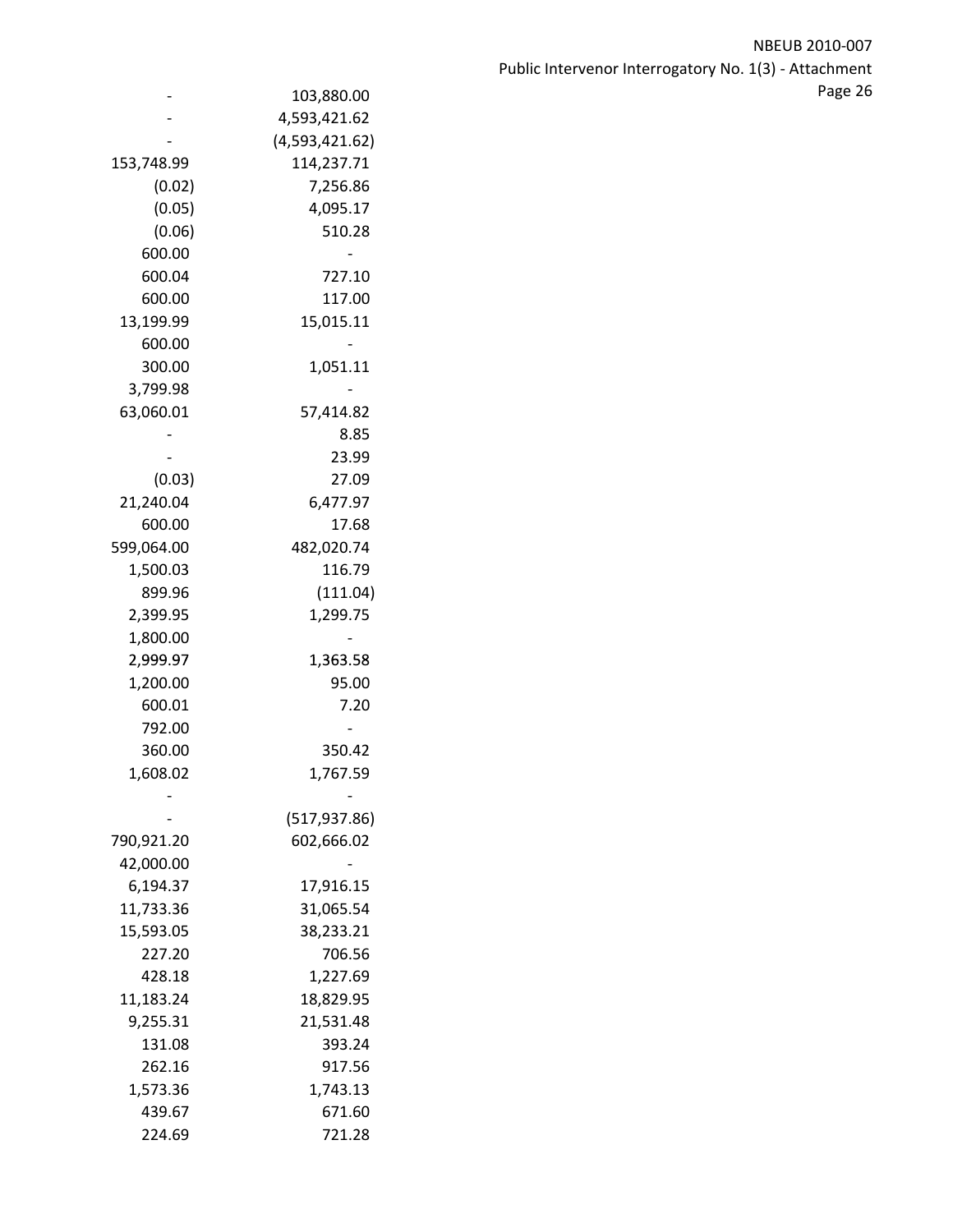NBEUB 2010‐007 Public Intervenor Interrogatory No. 1(3) ‐ Attachment e 103,880.00 and the state of the state of the state of the state of the state of the state of the state of the state of the state of the state of the state of the state of the state of the state of the state of the state

|            | 103,880.00     |
|------------|----------------|
|            | 4,593,421.62   |
|            | (4,593,421.62) |
| 153,748.99 | 114,237.71     |
| (0.02)     | 7,256.86       |
| (0.05)     | 4,095.17       |
| (0.06)     | 510.28         |
| 600.00     |                |
| 600.04     | 727.10         |
| 600.00     | 117.00         |
|            |                |
| 13,199.99  | 15,015.11      |
| 600.00     |                |
| 300.00     | 1,051.11       |
| 3,799.98   |                |
| 63,060.01  | 57,414.82      |
|            | 8.85           |
|            | 23.99          |
| (0.03)     | 27.09          |
| 21,240.04  | 6,477.97       |
| 600.00     | 17.68          |
| 599,064.00 | 482,020.74     |
| 1,500.03   | 116.79         |
| 899.96     | (111.04)       |
| 2,399.95   | 1,299.75       |
| 1,800.00   |                |
| 2,999.97   | 1,363.58       |
| 1,200.00   | 95.00          |
| 600.01     | 7.20           |
| 792.00     |                |
| 360.00     | 350.42         |
| 1,608.02   | 1,767.59       |
|            |                |
|            | (517,937.86)   |
| 790,921.20 | 602,666.02     |
| 42,000.00  |                |
|            |                |
| 6,194.37   | 17,916.15      |
| 11,733.36  | 31,065.54      |
| 15,593.05  | 38,233.21      |
| 227.20     | 706.56         |
| 428.18     | 1,227.69       |
| 11,183.24  | 18,829.95      |
| 9,255.31   | 21,531.48      |
| 131.08     | 393.24         |
| 262.16     | 917.56         |
| 1,573.36   | 1,743.13       |
| 439.67     | 671.60         |
| 224.69     | 721.28         |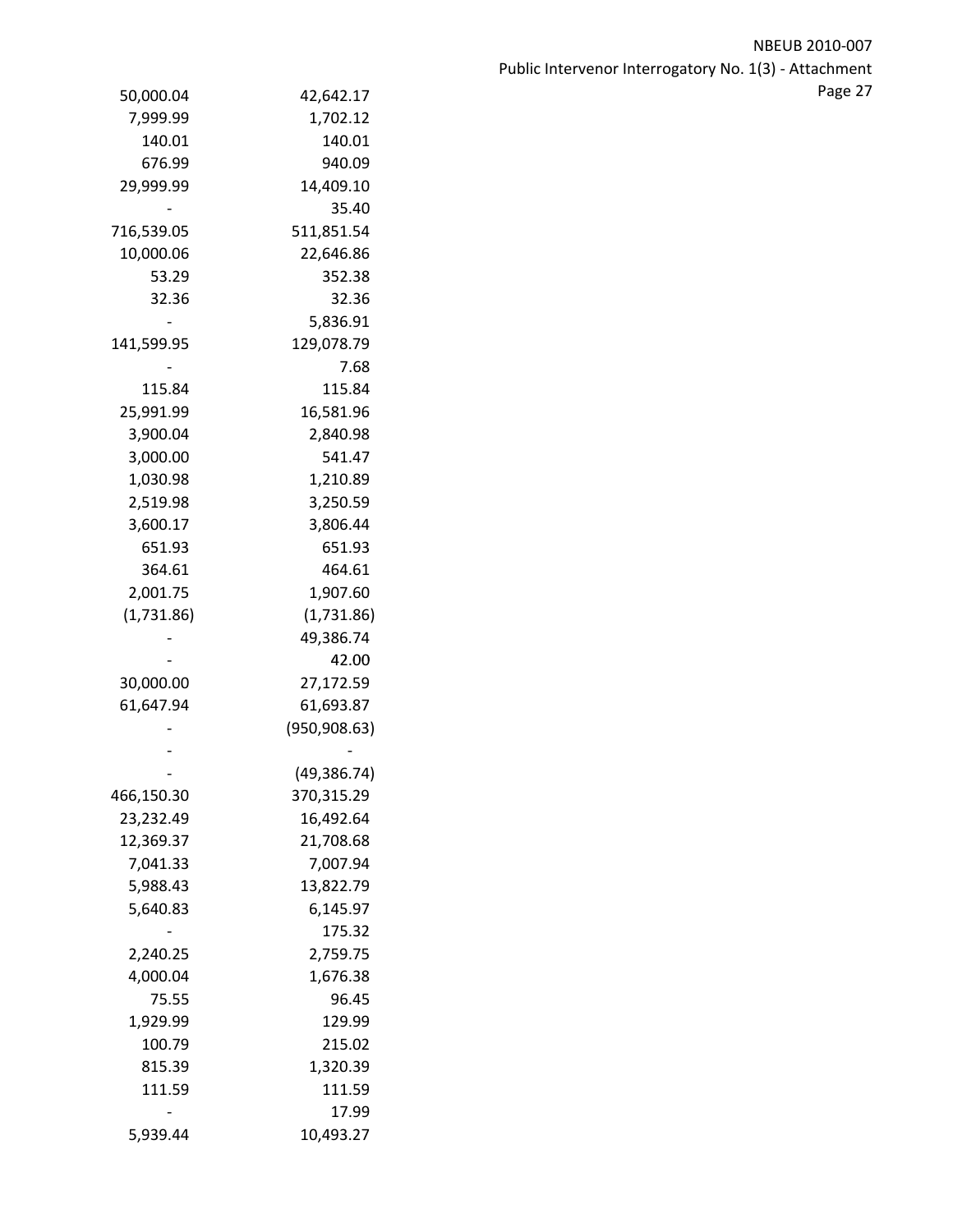| 50,000.04  | 42,642.17     |  |
|------------|---------------|--|
| 7,999.99   | 1,702.12      |  |
| 140.01     | 140.01        |  |
| 676.99     | 940.09        |  |
| 29,999.99  | 14,409.10     |  |
|            | 35.40         |  |
| 716,539.05 | 511,851.54    |  |
| 10,000.06  | 22,646.86     |  |
| 53.29      | 352.38        |  |
| 32.36      | 32.36         |  |
|            | 5,836.91      |  |
| 141,599.95 | 129,078.79    |  |
|            | 7.68          |  |
| 115.84     | 115.84        |  |
| 25,991.99  | 16,581.96     |  |
| 3,900.04   | 2,840.98      |  |
| 3,000.00   | 541.47        |  |
| 1,030.98   | 1,210.89      |  |
| 2,519.98   | 3,250.59      |  |
| 3,600.17   | 3,806.44      |  |
| 651.93     | 651.93        |  |
| 364.61     | 464.61        |  |
| 2,001.75   | 1,907.60      |  |
| (1,731.86) | (1,731.86)    |  |
|            | 49,386.74     |  |
|            | 42.00         |  |
| 30,000.00  | 27,172.59     |  |
| 61,647.94  | 61,693.87     |  |
|            | (950, 908.63) |  |
|            |               |  |
|            | (49, 386.74)  |  |
| 466,150.30 | 370,315.29    |  |
| 23,232.49  | 16,492.64     |  |
| 12,369.37  | 21,708.68     |  |
| 7,041.33   | 7,007.94      |  |
| 5,988.43   | 13,822.79     |  |
| 5,640.83   | 6,145.97      |  |
|            | 175.32        |  |
| 2,240.25   | 2,759.75      |  |
| 4,000.04   | 1,676.38      |  |
| 75.55      | 96.45         |  |
| 1,929.99   | 129.99        |  |
| 100.79     | 215.02        |  |
| 815.39     | 1,320.39      |  |
| 111.59     | 111.59        |  |
|            | 17.99         |  |
| 5,939.44   | 10,493.27     |  |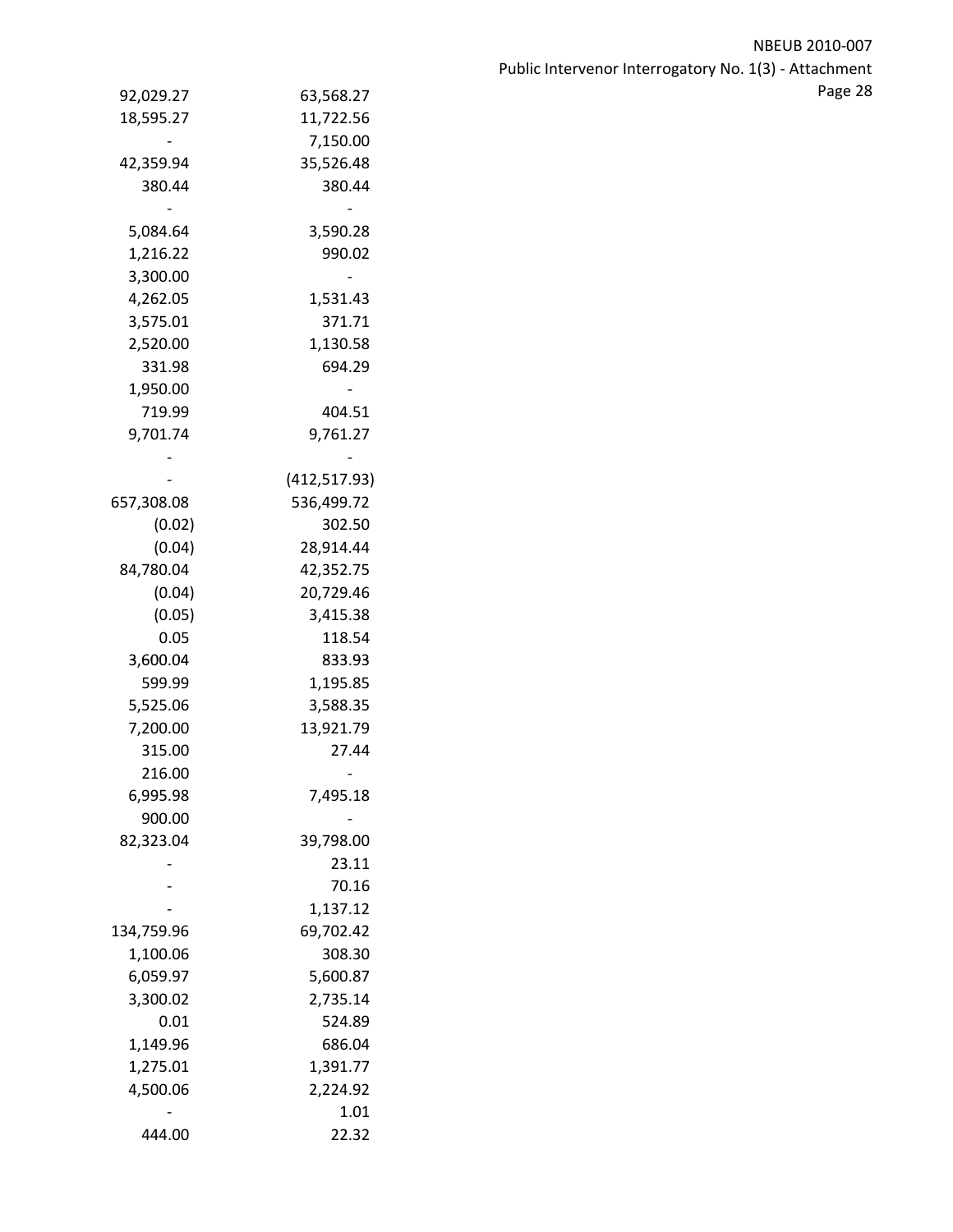| ٥<br>ap<br>۰ |  |
|--------------|--|
|              |  |

|            |               | Page 28 |
|------------|---------------|---------|
| 92,029.27  | 63,568.27     |         |
| 18,595.27  | 11,722.56     |         |
|            | 7,150.00      |         |
| 42,359.94  | 35,526.48     |         |
| 380.44     | 380.44        |         |
|            |               |         |
| 5,084.64   | 3,590.28      |         |
| 1,216.22   | 990.02        |         |
| 3,300.00   |               |         |
| 4,262.05   | 1,531.43      |         |
| 3,575.01   | 371.71        |         |
| 2,520.00   | 1,130.58      |         |
| 331.98     | 694.29        |         |
| 1,950.00   |               |         |
| 719.99     | 404.51        |         |
| 9,701.74   | 9,761.27      |         |
|            |               |         |
|            | (412, 517.93) |         |
| 657,308.08 | 536,499.72    |         |
| (0.02)     | 302.50        |         |
| (0.04)     | 28,914.44     |         |
| 84,780.04  | 42,352.75     |         |
| (0.04)     | 20,729.46     |         |
| (0.05)     | 3,415.38      |         |
| 0.05       | 118.54        |         |
| 3,600.04   | 833.93        |         |
| 599.99     | 1,195.85      |         |
| 5,525.06   | 3,588.35      |         |
| 7,200.00   | 13,921.79     |         |
| 315.00     | 27.44         |         |
| 216.00     |               |         |
| 6,995.98   | 7,495.18      |         |
| 900.00     |               |         |
| 82,323.04  | 39,798.00     |         |
|            | 23.11         |         |
|            | 70.16         |         |
|            | 1,137.12      |         |
| 134,759.96 | 69,702.42     |         |
| 1,100.06   | 308.30        |         |
| 6,059.97   | 5,600.87      |         |
| 3,300.02   | 2,735.14      |         |
| 0.01       | 524.89        |         |
| 1,149.96   | 686.04        |         |
| 1,275.01   | 1,391.77      |         |
| 4,500.06   | 2,224.92      |         |
|            | $1.01\,$      |         |
| 444.00     | 22.32         |         |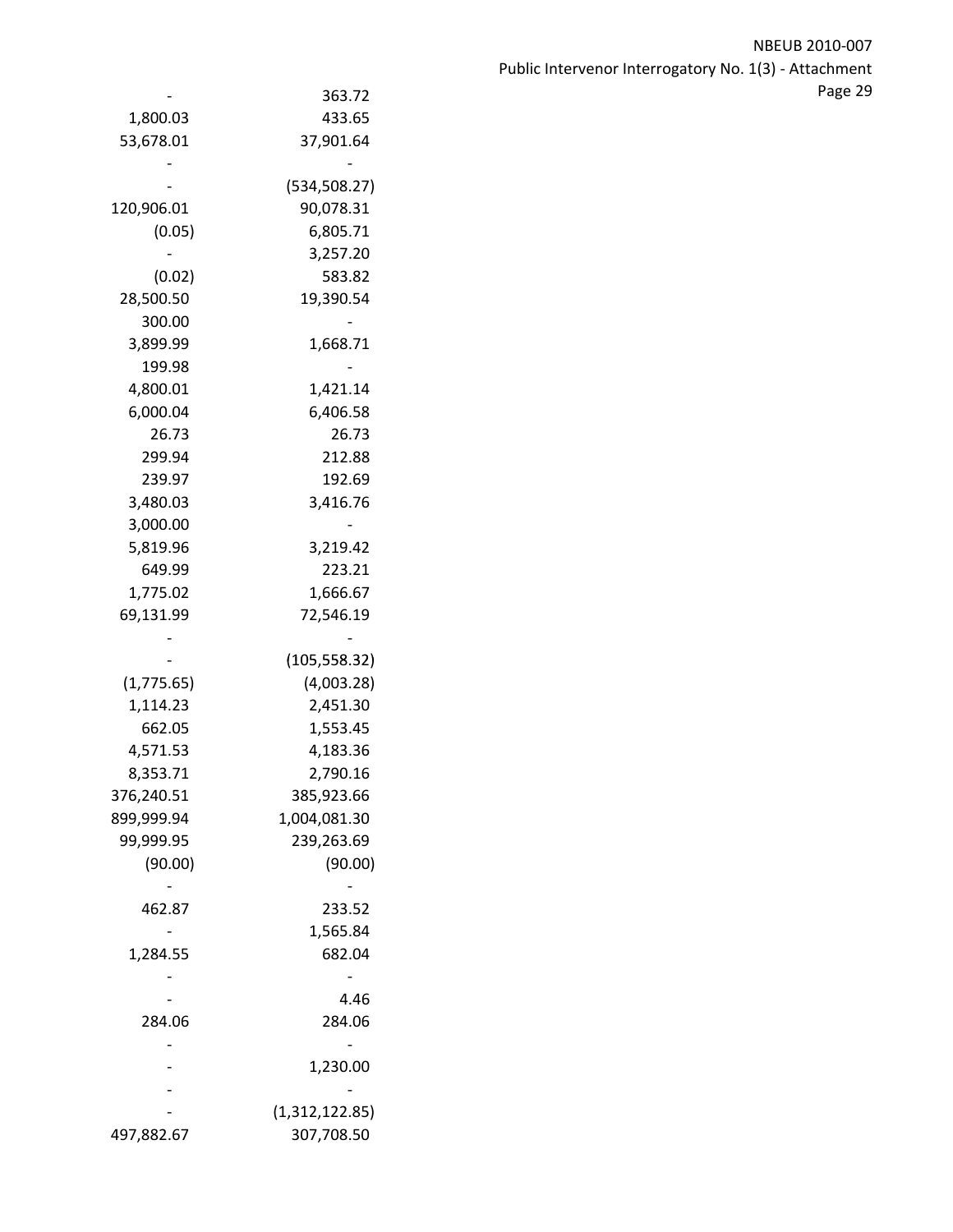| NBEUB 2010-007                                        |               |                          |
|-------------------------------------------------------|---------------|--------------------------|
| Public Intervenor Interrogatory No. 1(3) - Attachment |               |                          |
| Page 29                                               | 363.72        | $\overline{\phantom{0}}$ |
|                                                       | 433.65        | 1,800.03                 |
|                                                       | 37,901.64     | 53,678.01                |
|                                                       |               |                          |
|                                                       | (534, 508.27) |                          |
|                                                       | 90,078.31     | 120,906.01               |
|                                                       | 6,805.71      | (0.05)                   |
|                                                       | 3,257.20      |                          |
|                                                       | 583.82        | (0.02)                   |
|                                                       | 19,390.54     | 28,500.50                |
|                                                       |               | 300.00                   |
|                                                       | 1,668.71      | 3,899.99                 |
|                                                       |               |                          |

| 53,678.01     | 37,901.64                    |
|---------------|------------------------------|
|               |                              |
| (534, 508.27) |                              |
| 120,906.01    | 90,078.31                    |
| (0.05)        | 6,805.71                     |
|               | 3,257.20                     |
| (0.02)        | 583.82                       |
| 28,500.50     | 19,390.54                    |
| 300.00        |                              |
| 3,899.99      | 1,668.71                     |
| 199.98        |                              |
| 4,800.01      | 1,421.14                     |
| 6,000.04      | 6,406.58                     |
| 26.73         | 26.73                        |
| 299.94        | 212.88                       |
| 239.97        | 192.69                       |
| 3,480.03      | 3,416.76                     |
| 3,000.00      |                              |
| 5,819.96      | 3,219.42                     |
| 649.99        | 223.21                       |
|               |                              |
| 1,775.02      | 1,666.67                     |
| 69,131.99     | 72,546.19                    |
|               |                              |
| (1,775.65)    | (105, 558.32)<br>(4,003.28)  |
|               |                              |
|               |                              |
| 1,114.23      | 2,451.30                     |
| 662.05        | 1,553.45                     |
| 4,571.53      | 4,183.36                     |
| 8,353.71      | 2,790.16                     |
| 376,240.51    | 385,923.66                   |
| 899,999.94    | 1,004,081.30                 |
| 99,999.95     | 239,263.69                   |
| (90.00)       | (90.00)                      |
|               |                              |
| 462.87        | 233.52                       |
|               | 1,565.84                     |
| 1,284.55      | 682.04                       |
|               |                              |
|               | 4.46                         |
| 284.06        | 284.06                       |
|               |                              |
|               | 1,230.00                     |
|               |                              |
|               | (1,312,122.85)<br>307,708.50 |